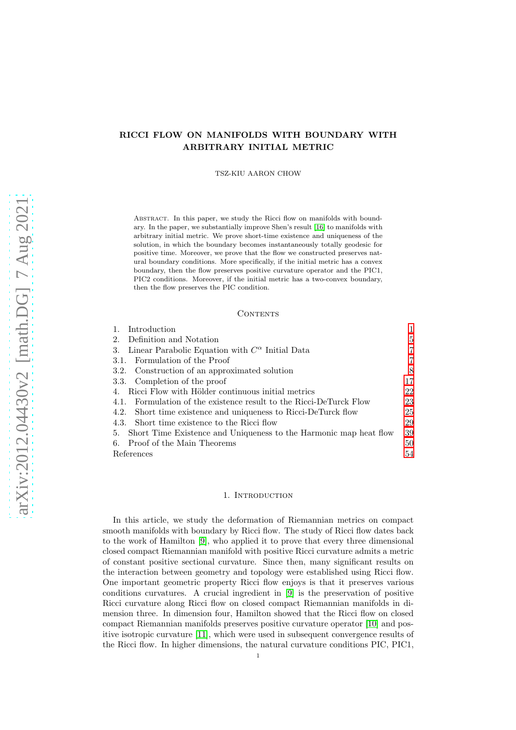# RICCI FLOW ON MANIFOLDS WITH BOUNDARY WITH ARBITRARY INITIAL METRIC

TSZ-KIU AARON CHOW

ABSTRACT. In this paper, we study the Ricci flow on manifolds with boundary. In the paper, we substantially improve Shen's result [\[16\]](#page-54-0) to manifolds with arbitrary initial metric. We prove short-time existence and uniqueness of the solution, in which the boundary becomes instantaneously totally geodesic for positive time. Moreover, we prove that the flow we constructed preserves natural boundary conditions. More specifically, if the initial metric has a convex boundary, then the flow preserves positive curvature operator and the PIC1, PIC2 conditions. Moreover, if the initial metric has a two-convex boundary, then the flow preserves the PIC condition.

#### **CONTENTS**

| $\mathbf{1}$ .<br>Introduction                                       |    |
|----------------------------------------------------------------------|----|
| 2. Definition and Notation                                           | 5  |
| 3. Linear Parabolic Equation with $C^{\alpha}$ Initial Data          | 7  |
| 3.1. Formulation of the Proof                                        | 7  |
| 3.2. Construction of an approximated solution                        | 8  |
| 3.3. Completion of the proof                                         | 17 |
| 4. Ricci Flow with Hölder continuous initial metrics                 | 22 |
| 4.1. Formulation of the existence result to the Ricci-DeTurck Flow   | 23 |
| 4.2. Short time existence and uniqueness to Ricci-DeTurck flow       | 25 |
| 4.3. Short time existence to the Ricci flow                          | 29 |
| 5. Short Time Existence and Uniqueness to the Harmonic map heat flow | 39 |
| 6. Proof of the Main Theorems                                        | 50 |
| References                                                           | 54 |

#### 1. INTRODUCTION

<span id="page-0-0"></span>In this article, we study the deformation of Riemannian metrics on compact smooth manifolds with boundary by Ricci flow. The study of Ricci flow dates back to the work of Hamilton [\[9\]](#page-54-1), who applied it to prove that every three dimensional closed compact Riemannian manifold with positive Ricci curvature admits a metric of constant positive sectional curvature. Since then, many significant results on the interaction between geometry and topology were established using Ricci flow. One important geometric property Ricci flow enjoys is that it preserves various conditions curvatures. A crucial ingredient in [\[9\]](#page-54-1) is the preservation of positive Ricci curvature along Ricci flow on closed compact Riemannian manifolds in dimension three. In dimension four, Hamilton showed that the Ricci flow on closed compact Riemannian manifolds preserves positive curvature operator [\[10\]](#page-54-2) and positive isotropic curvature [\[11\]](#page-54-3), which were used in subsequent convergence results of the Ricci flow. In higher dimensions, the natural curvature conditions PIC, PIC1,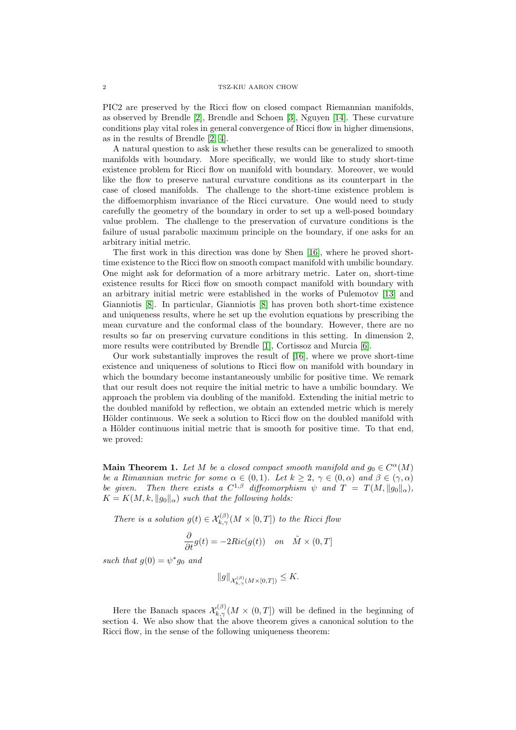PIC2 are preserved by the Ricci flow on closed compact Riemannian manifolds, as observed by Brendle [\[2\]](#page-53-1), Brendle and Schoen [\[3\]](#page-54-4), Nguyen [\[14\]](#page-54-5). These curvature conditions play vital roles in general convergence of Ricci flow in higher dimensions. as in the results of Brendle [\[2,](#page-53-1) [4\]](#page-54-6).

A natural question to ask is whether these results can be generalized to smooth manifolds with boundary. More specifically, we would like to study short-time existence problem for Ricci flow on manifold with boundary. Moreover, we would like the flow to preserve natural curvature conditions as its counterpart in the case of closed manifolds. The challenge to the short-time existence problem is the diffoemorphism invariance of the Ricci curvature. One would need to study carefully the geometry of the boundary in order to set up a well-posed boundary value problem. The challenge to the preservation of curvature conditions is the failure of usual parabolic maximum principle on the boundary, if one asks for an arbitrary initial metric.

The first work in this direction was done by Shen [\[16\]](#page-54-0), where he proved shorttime existence to the Ricci flow on smooth compact manifold with umbilic boundary. One might ask for deformation of a more arbitrary metric. Later on, short-time existence results for Ricci flow on smooth compact manifold with boundary with an arbitrary initial metric were established in the works of Pulemotov [\[13\]](#page-54-7) and Gianniotis [\[8\]](#page-54-8). In particular, Gianniotis [\[8\]](#page-54-8) has proven both short-time existence and uniqueness results, where he set up the evolution equations by prescribing the mean curvature and the conformal class of the boundary. However, there are no results so far on preserving curvature conditions in this setting. In dimension 2, more results were contributed by Brendle [\[1\]](#page-53-2), Cortissoz and Murcia [\[6\]](#page-54-9).

Our work substantially improves the result of [\[16\]](#page-54-0), where we prove short-time existence and uniqueness of solutions to Ricci flow on manifold with boundary in which the boundary become instantaneously umbilic for positive time. We remark that our result does not require the initial metric to have a umbilic boundary. We approach the problem via doubling of the manifold. Extending the initial metric to the doubled manifold by reflection, we obtain an extended metric which is merely Hölder continuous. We seek a solution to Ricci flow on the doubled manifold with a Hölder continuous initial metric that is smooth for positive time. To that end, we proved:

**Main Theorem 1.** Let M be a closed compact smooth manifold and  $g_0 \in C^{\alpha}(M)$ be a Rimannian metric for some  $\alpha \in (0,1)$ . Let  $k \geq 2$ ,  $\gamma \in (0,\alpha)$  and  $\beta \in (\gamma,\alpha)$ be given. Then there exists a  $C^{1,\beta}$  diffeomorphism  $\psi$  and  $T = T(M, ||g_0||_{\alpha}),$  $K = K(M, k, \|q_0\|_{\alpha})$  such that the following holds:

There is a solution  $g(t) \in \mathcal{X}_{k,\gamma}^{(\beta)}(M \times [0,T])$  to the Ricci flow

$$
\frac{\partial}{\partial t}g(t) = -2Ric(g(t)) \quad on \quad \tilde{M} \times (0,T]
$$

such that  $g(0) = \psi^* g_0$  and

$$
\|g\|_{\mathcal{X}_{k,\gamma}^{(\beta)}(M\times [0,T])}\leq K.
$$

Here the Banach spaces  $\mathcal{X}_{k,\gamma}^{(\beta)}(M \times (0,T])$  will be defined in the beginning of section 4. We also show that the above theorem gives a canonical solution to the Ricci flow, in the sense of the following uniqueness theorem: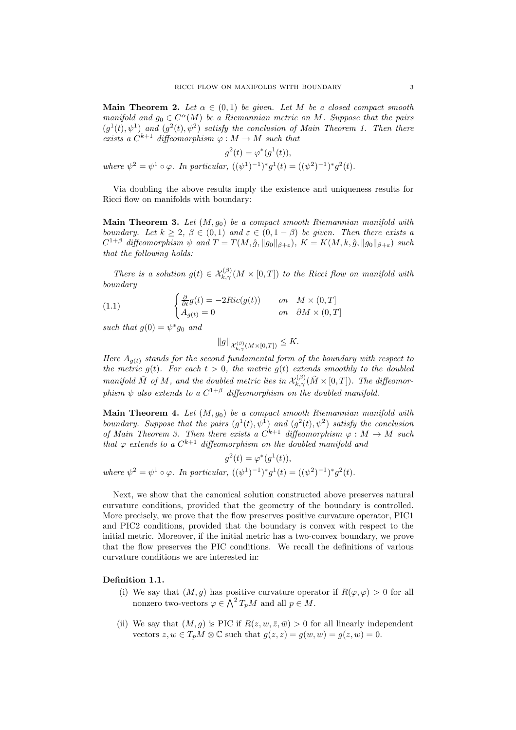**Main Theorem 2.** Let  $\alpha \in (0,1)$  be given. Let M be a closed compact smooth manifold and  $g_0 \in C^{\alpha}(M)$  be a Riemannian metric on M. Suppose that the pairs  $(g^1(t), \psi^1)$  and  $(g^2(t), \psi^2)$  satisfy the conclusion of Main Theorem 1. Then there exists a  $C^{k+1}$  diffeomorphism  $\varphi : M \to M$  such that

$$
g^{2}(t) = \varphi^{*}(g^{1}(t)),
$$
  
where  $\psi^{2} = \psi^{1} \circ \varphi$ . In particular,  $((\psi^{1})^{-1})^{*}g^{1}(t) = ((\psi^{2})^{-1})^{*}g^{2}(t)$ .

Via doubling the above results imply the existence and uniqueness results for Ricci flow on manifolds with boundary:

Main Theorem 3. Let  $(M, g_0)$  be a compact smooth Riemannian manifold with boundary. Let  $k \geq 2$ ,  $\beta \in (0,1)$  and  $\varepsilon \in (0,1-\beta)$  be given. Then there exists a  $C^{1+\beta}$  diffeomorphism  $\psi$  and  $T = T(M, \hat{g}, \|g_0\|_{\beta+\varepsilon})$ ,  $K = K(M, k, \hat{g}, \|g_0\|_{\beta+\varepsilon})$  such that the following holds:

There is a solution  $g(t) \in \mathcal{X}_{k,\gamma}^{(\beta)}(M \times [0,T])$  to the Ricci flow on manifold with boundary

(1.1) 
$$
\begin{cases} \frac{\partial}{\partial t}g(t) = -2Ric(g(t)) & \text{on} \quad M \times (0,T] \\ A_{g(t)} = 0 & \text{on} \quad \partial M \times (0,T] \end{cases}
$$

such that  $g(0) = \psi^* g_0$  and

$$
||g||_{\mathcal{X}_{k,\gamma}^{(\beta)}(M\times [0,T])}\leq K.
$$

Here  $A_{q(t)}$  stands for the second fundamental form of the boundary with respect to the metric  $g(t)$ . For each  $t > 0$ , the metric  $g(t)$  extends smoothly to the doubled manifold  $\tilde{M}$  of  $M$ , and the doubled metric lies in  $\mathcal{X}^{(\beta)}_{k,\gamma}(\tilde{M}\times [0,T])$ . The diffeomorphism  $\psi$  also extends to a  $C^{1+\beta}$  diffeomorphism on the doubled manifold.

**Main Theorem 4.** Let  $(M, q_0)$  be a compact smooth Riemannian manifold with boundary. Suppose that the pairs  $(g^1(t), \psi^1)$  and  $(g^2(t), \psi^2)$  satisfy the conclusion of Main Theorem 3. Then there exists a  $C^{k+1}$  diffeomorphism  $\varphi : M \to M$  such that  $\varphi$  extends to a  $C^{k+1}$  diffeomorphism on the doubled manifold and

 $g^2(t) = \varphi^*(g^1(t)),$ where  $\psi^2 = \psi^1 \circ \varphi$ . In particular,  $((\psi^1)^{-1})^* g^1(t) = ((\psi^2)^{-1})^* g^2(t)$ .

Next, we show that the canonical solution constructed above preserves natural curvature conditions, provided that the geometry of the boundary is controlled. More precisely, we prove that the flow preserves positive curvature operator, PIC1 and PIC2 conditions, provided that the boundary is convex with respect to the initial metric. Moreover, if the initial metric has a two-convex boundary, we prove that the flow preserves the PIC conditions. We recall the definitions of various curvature conditions we are interested in:

# Definition 1.1.

- (i) We say that  $(M, g)$  has positive curvature operator if  $R(\varphi, \varphi) > 0$  for all nonzero two-vectors  $\varphi \in \bigwedge^2 T_pM$  and all  $p \in M$ .
- (ii) We say that  $(M, g)$  is PIC if  $R(z, w, \bar{z}, \bar{w}) > 0$  for all linearly independent vectors  $z, w \in T_pM \otimes \mathbb{C}$  such that  $g(z, z) = g(w, w) = g(z, w) = 0$ .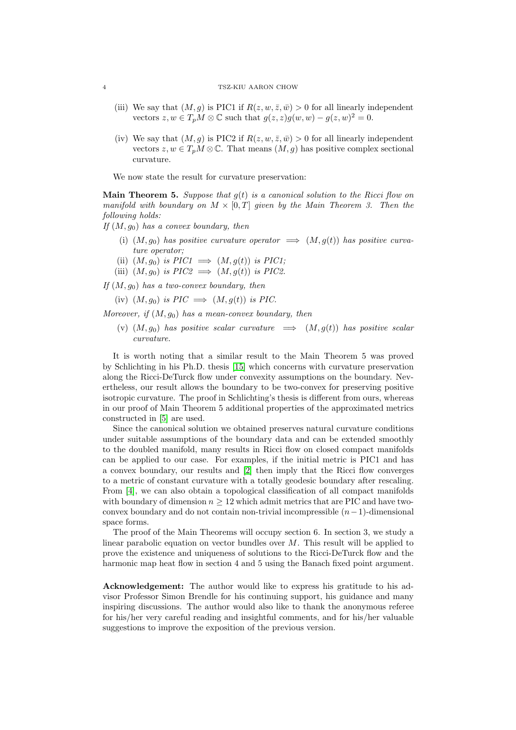## 4 TSZ-KIU AARON CHOW

- (iii) We say that  $(M, g)$  is PIC1 if  $R(z, w, \bar{z}, \bar{w}) > 0$  for all linearly independent vectors  $z, w \in T_pM \otimes \mathbb{C}$  such that  $g(z, z)g(w, w) - g(z, w)^2 = 0$ .
- (iv) We say that  $(M, q)$  is PIC2 if  $R(z, w, \overline{z}, \overline{w}) > 0$  for all linearly independent vectors  $z, w \in T_pM \otimes \mathbb{C}$ . That means  $(M, g)$  has positive complex sectional curvature.

We now state the result for curvature preservation:

**Main Theorem 5.** Suppose that  $g(t)$  is a canonical solution to the Ricci flow on manifold with boundary on  $M \times [0,T]$  given by the Main Theorem 3. Then the following holds:

If  $(M, g_0)$  has a convex boundary, then

- (i)  $(M, g_0)$  has positive curvature operator  $\implies (M, g(t))$  has positive curvature operator;
- (ii)  $(M, g_0)$  is  $PIC1 \implies (M, g(t))$  is  $PIC1;$
- (iii)  $(M, g_0)$  is  $PIC2 \implies (M, g(t))$  is PIC2.

If  $(M, q_0)$  has a two-convex boundary, then

(iv)  $(M, q_0)$  is  $\text{PIC} \implies (M, q(t))$  is  $\text{PIC}$ .

Moreover, if  $(M, g_0)$  has a mean-convex boundary, then

(v)  $(M, g_0)$  has positive scalar curvature  $\implies$   $(M, g(t))$  has positive scalar curvature.

It is worth noting that a similar result to the Main Theorem 5 was proved by Schlichting in his Ph.D. thesis [\[15\]](#page-54-10) which concerns with curvature preservation along the Ricci-DeTurck flow under convexity assumptions on the boundary. Nevertheless, our result allows the boundary to be two-convex for preserving positive isotropic curvature. The proof in Schlichting's thesis is different from ours, whereas in our proof of Main Theorem 5 additional properties of the approximated metrics constructed in [\[5\]](#page-54-11) are used.

Since the canonical solution we obtained preserves natural curvature conditions under suitable assumptions of the boundary data and can be extended smoothly to the doubled manifold, many results in Ricci flow on closed compact manifolds can be applied to our case. For examples, if the initial metric is PIC1 and has a convex boundary, our results and [\[2\]](#page-53-1) then imply that the Ricci flow converges to a metric of constant curvature with a totally geodesic boundary after rescaling. From [\[4\]](#page-54-6), we can also obtain a topological classification of all compact manifolds with boundary of dimension  $n \geq 12$  which admit metrics that are PIC and have twoconvex boundary and do not contain non-trivial incompressible  $(n-1)$ -dimensional space forms.

The proof of the Main Theorems will occupy section 6. In section 3, we study a linear parabolic equation on vector bundles over  $M$ . This result will be applied to prove the existence and uniqueness of solutions to the Ricci-DeTurck flow and the harmonic map heat flow in section 4 and 5 using the Banach fixed point argument.

Acknowledgement: The author would like to express his gratitude to his advisor Professor Simon Brendle for his continuing support, his guidance and many inspiring discussions. The author would also like to thank the anonymous referee for his/her very careful reading and insightful comments, and for his/her valuable suggestions to improve the exposition of the previous version.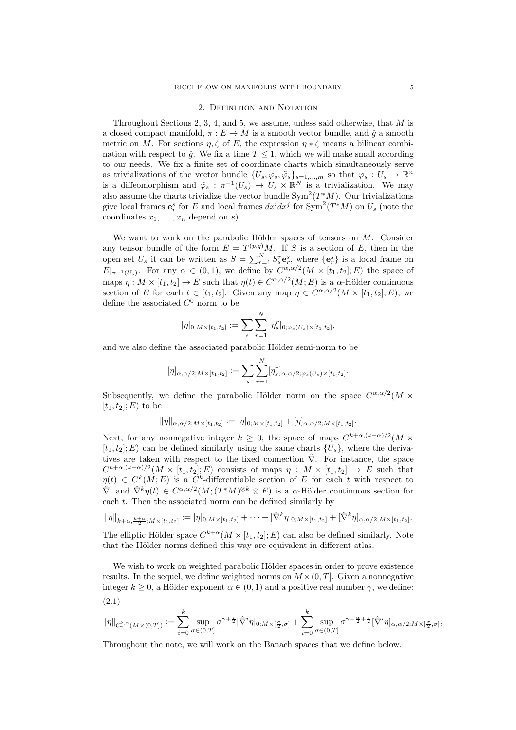#### 2. Definition and Notation

<span id="page-4-0"></span>Throughout Sections 2, 3, 4, and 5, we assume, unless said otherwise, that  $M$  is a closed compact manifold,  $\pi : E \to M$  is a smooth vector bundle, and  $\hat{q}$  a smooth metric on M. For sections  $\eta, \zeta$  of E, the expression  $\eta * \zeta$  means a bilinear combination with respect to  $\hat{g}$ . We fix a time  $T \leq 1$ , which we will make small according to our needs. We fix a finite set of coordinate charts which simultaneously serve as trivializations of the vector bundle  $\{U_s, \varphi_s, \tilde{\varphi}_s\}_{s=1,\dots,m}$  so that  $\varphi_s: U_s \to \mathbb{R}^n$ is a diffeomorphism and  $\tilde{\varphi}_s : \pi^{-1}(U_s) \to U_s \times \mathbb{R}^N$  is a trivialization. We may also assume the charts trivialize the vector bundle  $Sym^2(T^*M)$ . Our trivializations give local frames  $e_r^s$  for E and local frames  $dx^i dx^j$  for  $\text{Sym}^2(T^*M)$  on  $U_s$  (note the coordinates  $x_1, \ldots, x_n$  depend on s).

We want to work on the parabolic Hölder spaces of tensors on  $M$ . Consider any tensor bundle of the form  $E = T^{(p,q)}M$ . If S is a section of E, then in the open set  $U_s$  it can be written as  $S = \sum_{r=1}^{N} S_s^r \mathbf{e}_r^s$ , where  $\{\mathbf{e}_r^s\}$  is a local frame on  $E|_{\pi^{-1}(U_s)}$ . For any  $\alpha \in (0,1)$ , we define by  $C^{\alpha,\alpha/2}(M \times [t_1,t_2];E)$  the space of maps  $\eta: M \times [t_1, t_2] \to E$  such that  $\eta(t) \in C^{\alpha, \alpha/2}(M; E)$  is a  $\alpha$ -Hölder continuous section of E for each  $t \in [t_1, t_2]$ . Given any map  $\eta \in C^{\alpha, \alpha/2}(M \times [t_1, t_2]; E)$ , we define the associated  $C^0$  norm to be

$$
|\eta|_{0;M\times[t_1,t_2]}:=\sum_{s}\sum_{r=1}^N|\eta_s^r|_{0;\varphi_s(U_s)\times[t_1,t_2]},
$$

and we also define the associated parabolic Hölder semi-norm to be

$$
[\eta]_{\alpha,\alpha/2;M\times[t_1,t_2]}:=\sum_{s}\sum_{r=1}^N[\eta^r_s]_{\alpha,\alpha/2;\varphi_s(U_s)\times[t_1,t_2]}.
$$

Subsequently, we define the parabolic Hölder norm on the space  $C^{\alpha,\alpha/2}(M \times$  $[t_1, t_2]$ ; E) to be

$$
\|\eta\|_{\alpha,\alpha/2;M\times[t_1,t_2]}:=|\eta|_{0;M\times[t_1,t_2]}+[\eta]_{\alpha,\alpha/2;M\times[t_1,t_2]}.
$$

Next, for any nonnegative integer  $k \geq 0$ , the space of maps  $C^{k+\alpha,(k+\alpha)/2}(M \times$  $[t_1, t_2]; E$  can be defined similarly using the same charts  $\{U_s\}$ , where the derivatives are taken with respect to the fixed connection  $\hat{\nabla}$ . For instance, the space  $C^{k+\alpha,(k+\alpha)/2}(M\times [t_1,t_2];E)$  consists of maps  $\eta: M\times [t_1,t_2] \to E$  such that  $\eta(t) \in C^k(M; E)$  is a  $C^k$ -differentiable section of E for each t with respect to  $\hat{\nabla}$ , and  $\hat{\nabla}^k \eta(t) \in C^{\alpha,\alpha/2}(M;(T^*M)^{\otimes k} \otimes E)$  is a  $\alpha$ -Hölder continuous section for each  $t$ . Then the associated norm can be defined similarly by

$$
\|\eta\|_{k+\alpha,\frac{k+\alpha}{2};M\times[t_1,t_2]}:=|\eta|_{0;M\times[t_1,t_2]}+\cdots+|\hat{\nabla}^k\eta|_{0;M\times[t_1,t_2]}+[\hat{\nabla}^k\eta]_{\alpha,\alpha/2;M\times[t_1,t_2]}.
$$

The elliptic Hölder space  $C^{k+\alpha}(M \times [t_1, t_2]; E)$  can also be defined similarly. Note that the Hölder norms defined this way are equivalent in different atlas.

We wish to work on weighted parabolic Hölder spaces in order to prove existence results. In the sequel, we define weighted norms on  $M \times (0, T]$ . Given a nonnegative integer  $k > 0$ , a Hölder exponent  $\alpha \in (0, 1)$  and a positive real number  $\gamma$ , we define:

$$
\|\eta\|_{\mathcal{C}^{k, \alpha}_{\gamma}(M\times(0, T])}:=\sum_{i=0}^k \sup_{\sigma\in (0, T]}\sigma^{\gamma+ \frac{i}{2}}|\hat{\nabla}^i\eta|_{0; M\times [\frac{\sigma}{2}, \sigma]}+\sum_{i=0}^k \sup_{\sigma\in (0, T]}\sigma^{\gamma+ \frac{\alpha}{2}+ \frac{i}{2}}[\hat{\nabla}^i\eta]_{\alpha, \alpha/2; M\times [\frac{\sigma}{2}, \sigma]},
$$

Throughout the note, we will work on the Banach spaces that we define below.

(2.1)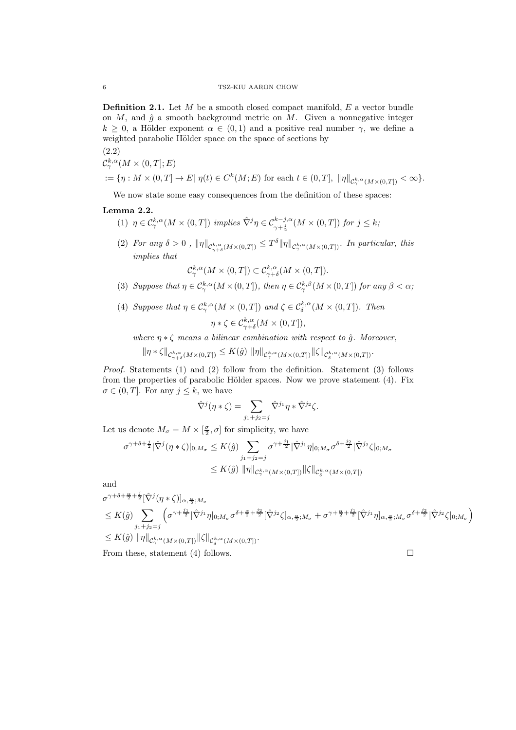**Definition 2.1.** Let  $M$  be a smooth closed compact manifold,  $E$  a vector bundle on  $M$ , and  $\hat{g}$  a smooth background metric on  $M$ . Given a nonnegative integer  $k \geq 0$ , a Hölder exponent  $\alpha \in (0,1)$  and a positive real number  $\gamma$ , we define a weighted parabolic Hölder space on the space of sections by

$$
(2.2)
$$

$$
\mathcal{C}^{\kappa,\alpha}_{\gamma}(M\times(0,T];E)
$$

 $:= \{ \eta : M \times (0,T] \to E | \eta(t) \in C^k(M;E) \text{ for each } t \in (0,T], \ \|\eta\|_{C^{k,\alpha}_\gamma(M \times (0,T])} < \infty \}.$ 

We now state some easy consequences from the definition of these spaces:

## <span id="page-5-0"></span>Lemma 2.2.

- (1)  $\eta \in C^{k,\alpha}_{\gamma}(M \times (0,T])$  implies  $\hat{\nabla}^j \eta \in C^{k-j,\alpha}_{\gamma+\frac{j}{2}}(M \times (0,T])$  for  $j \leq k$ ;
- (2) For any  $\delta > 0$ ,  $\|\eta\|_{\mathcal{C}^{k,\alpha}_{\gamma+\delta}(M\times(0,T])} \leq T^{\delta}\|\eta\|_{\mathcal{C}^{k,\alpha}_{\gamma}(M\times(0,T])}$ . In particular, this implies that

$$
\mathcal{C}^{k,\alpha}_{\gamma}(M\times(0,T])\subset \mathcal{C}^{k,\alpha}_{\gamma+\delta}(M\times(0,T]).
$$

- (3) Suppose that  $\eta \in C^{k,\alpha}_{\gamma}(M\times (0,T])$ , then  $\eta \in C^{k,\beta}_{\gamma}(M\times (0,T])$  for any  $\beta < \alpha$ ;
- (4) Suppose that  $\eta \in \mathcal{C}^{k,\alpha}_{\gamma}(M \times (0,T])$  and  $\zeta \in \mathcal{C}^{k,\alpha}_{\delta}(M \times (0,T])$ . Then

$$
\eta * \zeta \in \mathcal{C}_{\gamma+\delta}^{k,\alpha}(M \times (0,T]),
$$

where  $\eta * \zeta$  means a bilinear combination with respect to  $\hat{q}$ . Moreover,

$$
\|\eta * \zeta\|_{\mathcal{C}^{k,\alpha}_{\gamma+\delta}(M\times(0,T])} \leq K(\hat{g}) \|\eta\|_{\mathcal{C}^{k,\alpha}_{\gamma}(M\times(0,T])} \|\zeta\|_{\mathcal{C}^{k,\alpha}_{\delta}(M\times(0,T])}.
$$

Proof. Statements (1) and (2) follow from the definition. Statement (3) follows from the properties of parabolic Hölder spaces. Now we prove statement  $(4)$ . Fix  $\sigma \in (0, T]$ . For any  $j \leq k$ , we have

$$
\hat{\nabla}^j(\eta * \zeta) = \sum_{j_1 + j_2 = j} \hat{\nabla}^{j_1} \eta * \hat{\nabla}^{j_2} \zeta.
$$

Let us denote  $M_{\sigma} = M \times [\frac{\sigma}{2}, \sigma]$  for simplicity, we have

$$
\sigma^{\gamma+\delta+\frac{j}{2}}|\hat{\nabla}^j(\eta*\zeta)|_{0;M_\sigma}\leq K(\hat{g})\sum_{j_1+j_2=j}\sigma^{\gamma+\frac{j_1}{2}}|\hat{\nabla}^{j_1}\eta|_{0;M_\sigma}\sigma^{\delta+\frac{j_2}{2}}|\hat{\nabla}^{j_2}\zeta|_{0;M_\sigma}
$$

$$
\leq K(\hat{g})\|\eta\|_{\mathcal{C}^{k,\alpha}_{\gamma}(M\times(0,T])}\|\zeta\|_{\mathcal{C}^{k,\alpha}_{\delta}(M\times(0,T])}
$$

and

$$
\sigma^{\gamma+\delta+\frac{\alpha}{2}+\frac{j}{2}}[\hat{\nabla}^{j}(\eta*\zeta)]_{\alpha,\frac{\alpha}{2};M_{\sigma}}\leq K(\hat{g})\sum_{j_{1}+j_{2}=j}\left(\sigma^{\gamma+\frac{j_{1}}{2}}|\hat{\nabla}^{j_{1}}\eta|_{0;M_{\sigma}}\sigma^{\delta+\frac{\alpha}{2}+\frac{j_{2}}{2}}[\hat{\nabla}^{j_{2}}\zeta]_{\alpha,\frac{\alpha}{2};M_{\sigma}}+\sigma^{\gamma+\frac{\alpha}{2}+\frac{j_{1}}{2}}[\hat{\nabla}^{j_{1}}\eta]_{\alpha,\frac{\alpha}{2};M_{\sigma}}\sigma^{\delta+\frac{j_{2}}{2}}|\hat{\nabla}^{j_{2}}\zeta|_{0;M_{\sigma}}\right)\leq K(\hat{g})\|\eta\|_{\mathcal{C}_{\gamma}^{k,\alpha}(M\times(0,T])}\|\zeta\|_{\mathcal{C}_{\delta}^{k,\alpha}(M\times(0,T])}.
$$

From these, statement (4) follows.  $\square$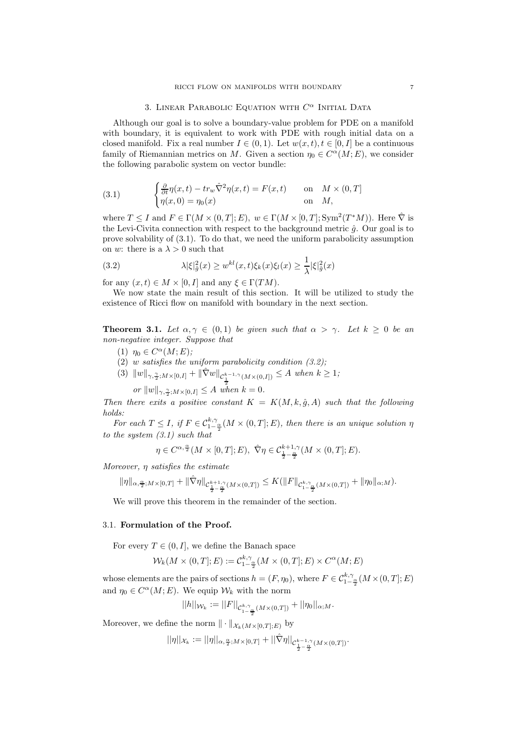## 3. LINEAR PARABOLIC EQUATION WITH  $C^{\alpha}$  Initial Data

<span id="page-6-0"></span>Although our goal is to solve a boundary-value problem for PDE on a manifold with boundary, it is equivalent to work with PDE with rough initial data on a closed manifold. Fix a real number  $I \in (0,1)$ . Let  $w(x,t), t \in [0, I]$  be a continuous family of Riemannian metrics on M. Given a section  $\eta_0 \in C^{\alpha}(M; E)$ , we consider the following parabolic system on vector bundle:

(3.1) 
$$
\begin{cases} \frac{\partial}{\partial t} \eta(x,t) - t r_w \hat{\nabla}^2 \eta(x,t) = F(x,t) & \text{on} \quad M \times (0,T] \\ \eta(x,0) = \eta_0(x) & \text{on} \quad M, \end{cases}
$$

where  $T \leq I$  and  $F \in \Gamma(M \times (0,T]; E)$ ,  $w \in \Gamma(M \times [0,T]; Sym^2(T^*M))$ . Here  $\hat{\nabla}$  is the Levi-Civita connection with respect to the background metric  $\hat{q}$ . Our goal is to prove solvability of (3.1). To do that, we need the uniform parabolicity assumption on w: there is a  $\lambda > 0$  such that

(3.2) 
$$
\lambda |\xi|^2_{\hat{g}}(x) \geq w^{kl}(x,t)\xi_k(x)\xi_l(x) \geq \frac{1}{\lambda} |\xi|^2_{\hat{g}}(x)
$$

for any  $(x, t) \in M \times [0, I]$  and any  $\xi \in \Gamma(TM)$ .

We now state the main result of this section. It will be utilized to study the existence of Ricci flow on manifold with boundary in the next section.

<span id="page-6-2"></span>**Theorem 3.1.** Let  $\alpha, \gamma \in (0,1)$  be given such that  $\alpha > \gamma$ . Let  $k \geq 0$  be an non-negative integer. Suppose that

- (1)  $\eta_0 \in C^{\alpha}(M; E);$
- (2) w satisfies the uniform parabolicity condition  $(3.2)$ ;
- (3)  $||w||_{\gamma, \frac{\gamma}{2}; M\times [0, I]} + ||\hat{\nabla}w||_{\mathcal{C}_{\frac{1}{2}}^{k-1,\gamma}(M\times(0, I])} \leq A$  when  $k \geq 1;$

or  $||w||_{\gamma, \frac{\gamma}{2}; M\times[0, I]} \leq A$  when  $k = 0$ .

Then there exits a positive constant  $K = K(M, k, \hat{g}, A)$  such that the following holds:

For each  $T \leq I$ , if  $F \in C^{k,\gamma}_{1-\frac{\alpha}{2}}(M \times (0,T];E)$ , then there is an unique solution  $\eta$ to the system (3.1) such that

$$
\eta\in C^{\alpha,\frac{\alpha}{2}}(M\times[0,T];E),\ \hat{\nabla}\eta\in \mathcal{C}^{k+1,\gamma}_{\frac{1}{2}-\frac{\alpha}{2}}(M\times(0,T];E).
$$

Moreover,  $\eta$  satisfies the estimate

$$
\|\eta\|_{\alpha,\frac{\alpha}{2};M\times[0,T]}+\|\hat{\nabla}\eta\|_{\mathcal{C}^{k+1,\gamma}_{\frac{1}{2}-\frac{\alpha}{2}}(M\times(0,T])}\leq K(\|F\|_{\mathcal{C}^{k,\gamma}_{1-\frac{\alpha}{2}}(M\times(0,T])}+\|\eta_0\|_{\alpha;M}).
$$

We will prove this theorem in the remainder of the section.

## <span id="page-6-1"></span>3.1. Formulation of the Proof.

For every  $T \in (0, I]$ , we define the Banach space

$$
\mathcal{W}_k(M \times (0,T]; E) := \mathcal{C}_{1-\frac{\alpha}{2}}^{k,\gamma}(M \times (0,T]; E) \times C^{\alpha}(M; E)
$$

whose elements are the pairs of sections  $h = (F, \eta_0)$ , where  $F \in C^{k, \gamma}_{1-\frac{\alpha}{2}}(M \times (0, T]; E)$ and  $\eta_0 \in C^{\alpha}(M; E)$ . We equip  $\mathcal{W}_k$  with the norm

$$
||h||_{\mathcal{W}_k} := ||F||_{\mathcal{C}_{1-\frac{\alpha}{2}}^{k,\gamma}(M \times (0,T])} + ||\eta_0||_{\alpha;M}.
$$

Moreover, we define the norm  $\|\cdot\|_{\mathcal{X}_k(M\times [0,T];E)}$  by

$$
||\eta||_{\mathcal{X}_k} := ||\eta||_{\alpha, \frac{\alpha}{2}; M \times [0,T]} + ||\hat{\nabla}\eta||_{\mathcal{C}_{\frac{1}{2} - \frac{\alpha}{2}}^{k-1,\gamma}(M \times (0,T])}.
$$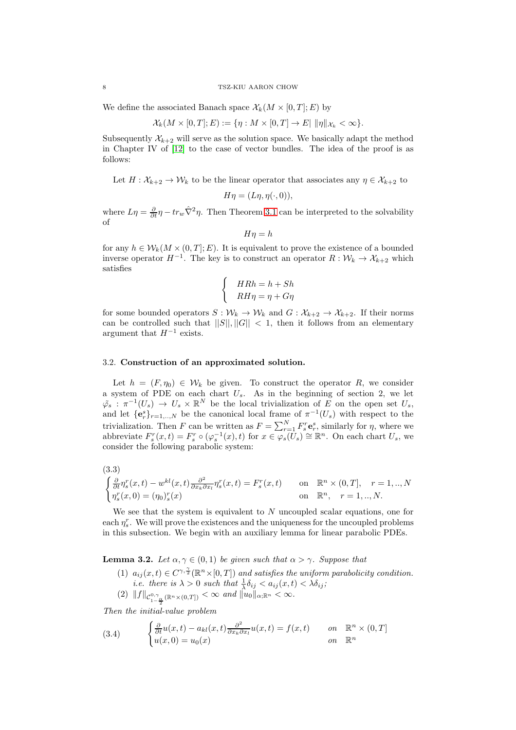#### 8 TSZ-KIU AARON CHOW

We define the associated Banach space  $\mathcal{X}_k(M \times [0,T]; E)$  by

$$
\mathcal{X}_k(M\times[0,T];E):=\{\eta: M\times[0,T]\to E|\ \|\eta\|_{\mathcal{X}_k}<\infty\}.
$$

Subsequently  $\mathcal{X}_{k+2}$  will serve as the solution space. We basically adapt the method in Chapter IV of [\[12\]](#page-54-12) to the case of vector bundles. The idea of the proof is as follows:

Let  $H: \mathcal{X}_{k+2} \to \mathcal{W}_k$  to be the linear operator that associates any  $\eta \in \mathcal{X}_{k+2}$  to

$$
H\eta = (L\eta, \eta(\cdot, 0)),
$$

where  $L\eta = \frac{\partial}{\partial t}\eta - tr_w \hat{\nabla}^2 \eta$ . Then Theorem [3.1](#page-6-2) can be interpreted to the solvability of

$$
H\eta = h
$$

for any  $h \in \mathcal{W}_k(M \times (0,T]; E)$ . It is equivalent to prove the existence of a bounded inverse operator  $H^{-1}$ . The key is to construct an operator  $R: \mathcal{W}_k \to \mathcal{X}_{k+2}$  which satisfies

$$
\begin{cases}\nHRh = h + Sh \\
RH\eta = \eta + G\eta\n\end{cases}
$$

for some bounded operators  $S: \mathcal{W}_k \to \mathcal{W}_k$  and  $G: \mathcal{X}_{k+2} \to \mathcal{X}_{k+2}$ . If their norms can be controlled such that  $||S||, ||G|| < 1$ , then it follows from an elementary argument that  $H^{-1}$  exists.

## <span id="page-7-0"></span>3.2. Construction of an approximated solution.

Let  $h = (F, \eta_0) \in \mathcal{W}_k$  be given. To construct the operator R, we consider a system of PDE on each chart  $U_s$ . As in the beginning of section 2, we let  $\tilde{\varphi}_s : \pi^{-1}(U_s) \to U_s \times \mathbb{R}^N$  be the local trivialization of E on the open set  $U_s$ , and let  $\{e_r^s\}_{r=1,\dots,N}$  be the canonical local frame of  $\pi^{-1}(U_s)$  with respect to the trivialization. Then F can be written as  $F = \sum_{r=1}^{N} F_s^r \mathbf{e}_r^s$ , similarly for  $\eta$ , where we abbreviate  $F_s^r(x,t) = F_s^r \circ (\varphi_s^{-1}(x),t)$  for  $x \in \varphi_s(\tilde{U}_s) \cong \mathbb{R}^n$ . On each chart  $U_s$ , we consider the following parabolic system:

<span id="page-7-3"></span>
$$
(3.3)
$$

$$
\begin{cases} \frac{\partial}{\partial t} \eta_s^r(x,t) - w^{kl}(x,t) \frac{\partial^2}{\partial x_k \partial x_l} \eta_s^r(x,t) = F_s^r(x,t) & \text{on } \mathbb{R}^n \times (0,T], \quad r = 1,..,N\\ \eta_s^r(x,0) = (\eta_0)_s^r(x) & \text{on } \mathbb{R}^n, \quad r = 1,..,N. \end{cases}
$$

We see that the system is equivalent to  $N$  uncoupled scalar equations, one for each  $\eta_s^r$ . We will prove the existences and the uniqueness for the uncoupled problems in this subsection. We begin with an auxiliary lemma for linear parabolic PDEs.

<span id="page-7-2"></span>**Lemma 3.2.** Let  $\alpha, \gamma \in (0, 1)$  be given such that  $\alpha > \gamma$ . Suppose that

(1)  $a_{ij}(x,t) \in C^{\gamma, \frac{\gamma}{2}}(\mathbb{R}^n \times [0,T])$  and satisfies the uniform parabolicity condition. *i.e.* there is  $\lambda > 0$  such that  $\frac{1}{\lambda} \delta_{ij} < a_{ij}(x, t) < \lambda \delta_{ij}$ ;  $(2) \|f\|_{\mathcal{C}_{1-\frac{\alpha}{2}}^{0,\gamma}(\mathbb{R}^n\times(0,T])}<\infty$  and  $\|u_0\|_{\alpha;\mathbb{R}^n}<\infty$ .

Then the initial-value problem

<span id="page-7-1"></span>(3.4) 
$$
\begin{cases} \frac{\partial}{\partial t} u(x,t) - a_{kl}(x,t) \frac{\partial^2}{\partial x_k \partial x_l} u(x,t) = f(x,t) & \text{on } \mathbb{R}^n \times (0,T] \\ u(x,0) = u_0(x) & \text{on } \mathbb{R}^n \end{cases}
$$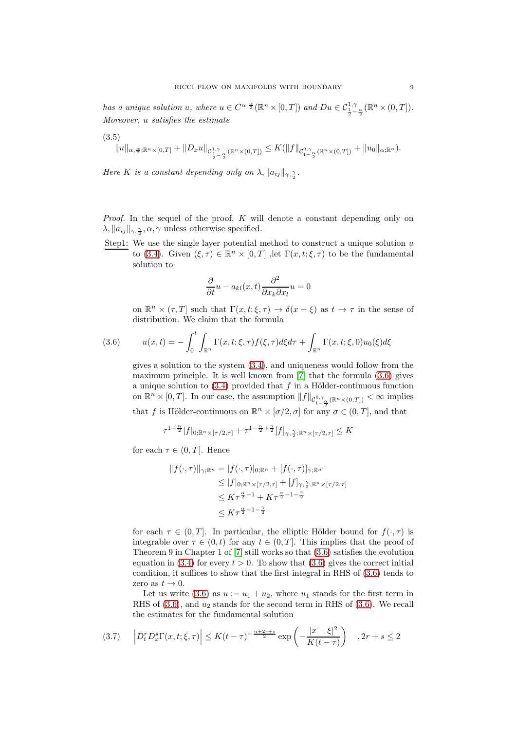has a unique solution u, where  $u \in C^{\alpha, \frac{\alpha}{2}}(\mathbb{R}^n \times [0, T])$  and  $Du \in C^{\frac{1}{1}, \gamma}_{\frac{1}{2} - \frac{\alpha}{2}}(\mathbb{R}^n \times (0, T]).$ Moreover, u satisfies the estimate

$$
(3.5)
$$

$$
||u||_{\alpha,\frac{\alpha}{2};\mathbb{R}^n\times[0,T]}+||D_xu||_{\mathcal{C}^{1,\gamma}_{\frac{1}{2}-\frac{\alpha}{2}}(\mathbb{R}^n\times(0,T])}\leq K(||f||_{\mathcal{C}^{0,\gamma}_{1-\frac{\alpha}{2}}(\mathbb{R}^n\times(0,T])}+||u_0||_{\alpha;\mathbb{R}^n}).
$$

Here K is a constant depending only on  $\lambda$ ,  $||a_{ij}||_{\gamma, \frac{\gamma}{2}}$ .

*Proof.* In the sequel of the proof,  $K$  will denote a constant depending only on  $\lambda, \|a_{ij}\|_{\gamma, \frac{\gamma}{2}}, \alpha, \gamma$  unless otherwise specified.

Step1: We use the single layer potential method to construct a unique solution  $u$ to [\(3.4\)](#page-7-1). Given  $(\xi, \tau) \in \mathbb{R}^n \times [0, T]$  , let  $\Gamma(x, t; \xi, \tau)$  to be the fundamental solution to

$$
\frac{\partial}{\partial t}u - a_{kl}(x,t)\frac{\partial^2}{\partial x_k \partial x_l}u = 0
$$

on  $\mathbb{R}^n \times (\tau, T]$  such that  $\Gamma(x, t; \xi, \tau) \to \delta(x - \xi)$  as  $t \to \tau$  in the sense of distribution. We claim that the formula

(3.6) 
$$
u(x,t) = -\int_0^t \int_{\mathbb{R}^n} \Gamma(x,t;\xi,\tau) f(\xi,\tau) d\xi d\tau + \int_{\mathbb{R}^n} \Gamma(x,t;\xi,0) u_0(\xi) d\xi
$$

<span id="page-8-0"></span>gives a solution to the system [\(3.4\)](#page-7-1), and uniqueness would follow from the maximum principle. It is well known from [\[7\]](#page-54-13) that the formula [\(3.6\)](#page-8-0) gives a unique solution to  $(3.4)$  provided that f in a Hölder-continuous function on  $\mathbb{R}^n \times [0,T]$ . In our case, the assumption  $||f||_{C^{0,\gamma}_{1-\frac{\alpha}{2}}(\mathbb{R}^n \times (0,T])} < \infty$  implies that f is Hölder-continuous on  $\mathbb{R}^n \times [\sigma/2, \sigma]$  for any  $\sigma \in (0, T]$ , and that

$$
\tau^{1-\frac{\alpha}{2}}|f|_{0;\mathbb{R}^n\times [\tau/2,\tau]} + \tau^{1-\frac{\alpha}{2}+\frac{\gamma}{2}}[f]_{\gamma,\frac{\gamma}{2};\mathbb{R}^n\times [\tau/2,\tau]}\leq K
$$

for each  $\tau \in (0, T]$ . Hence

$$
||f(\cdot,\tau)||_{\gamma;\mathbb{R}^n} = |f(\cdot,\tau)|_{0;\mathbb{R}^n} + [f(\cdot,\tau)]_{\gamma;\mathbb{R}^n}
$$
  
\n
$$
\leq |f|_{0;\mathbb{R}^n \times [\tau/2,\tau]} + [f]_{\gamma,\frac{\gamma}{2};\mathbb{R}^n \times [\tau/2,\tau]}
$$
  
\n
$$
\leq K\tau^{\frac{\alpha}{2}-1} + K\tau^{\frac{\alpha}{2}-1-\frac{\gamma}{2}}
$$
  
\n
$$
\leq K\tau^{\frac{\alpha}{2}-1-\frac{\gamma}{2}}
$$

for each  $\tau \in (0, T]$ . In particular, the elliptic Hölder bound for  $f(\cdot, \tau)$  is integrable over  $\tau \in (0, t)$  for any  $t \in (0, T]$ . This implies that the proof of Theorem 9 in Chapter 1 of [\[7\]](#page-54-13) still works so that [\(3.6\)](#page-8-0) satisfies the evolution equation in [\(3.4\)](#page-7-1) for every  $t > 0$ . To show that [\(3.6\)](#page-8-0) gives the correct initial condition, it suffices to show that the first integral in RHS of [\(3.6\)](#page-8-0) tends to zero as  $t \to 0$ .

Let us write [\(3.6\)](#page-8-0) as  $u := u_1 + u_2$ , where  $u_1$  stands for the first term in RHS of  $(3.6)$ , and  $u_2$  stands for the second term in RHS of  $(3.6)$ . We recall the estimates for the fundamental solution

<span id="page-8-1"></span>
$$
(3.7) \qquad \left| D_t^r D_x^s \Gamma(x, t; \xi, \tau) \right| \le K(t - \tau)^{-\frac{n + 2r + s}{2}} \exp\left(-\frac{|x - \xi|^2}{K(t - \tau)}\right) \quad , 2r + s \le 2
$$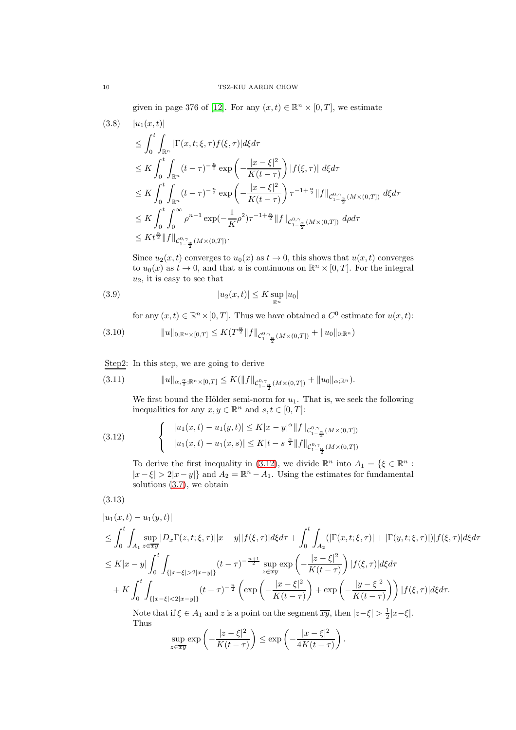given in page 376 of [\[12\]](#page-54-12). For any  $(x,t) \in \mathbb{R}^n \times [0,T]$ , we estimate

<span id="page-9-2"></span>
$$
(3.8) \quad |u_{1}(x,t)|
$$
\n
$$
\leq \int_{0}^{t} \int_{\mathbb{R}^{n}} |\Gamma(x,t;\xi,\tau)f(\xi,\tau)| d\xi d\tau
$$
\n
$$
\leq K \int_{0}^{t} \int_{\mathbb{R}^{n}} (t-\tau)^{-\frac{n}{2}} \exp\left(-\frac{|x-\xi|^{2}}{K(t-\tau)}\right) |f(\xi,\tau)| d\xi d\tau
$$
\n
$$
\leq K \int_{0}^{t} \int_{\mathbb{R}^{n}} (t-\tau)^{-\frac{n}{2}} \exp\left(-\frac{|x-\xi|^{2}}{K(t-\tau)}\right) \tau^{-1+\frac{\alpha}{2}} \|f\|_{\mathcal{C}_{1-\frac{\alpha}{2}}^{0,\gamma}(M\times(0,T))} d\xi d\tau
$$
\n
$$
\leq K \int_{0}^{t} \int_{0}^{\infty} \rho^{n-1} \exp(-\frac{1}{K}\rho^{2}) \tau^{-1+\frac{\alpha}{2}} \|f\|_{\mathcal{C}_{1-\frac{\alpha}{2}}^{0,\gamma}(M\times(0,T))} d\rho d\tau
$$
\n
$$
\leq K t^{\frac{\alpha}{2}} \|f\|_{\mathcal{C}_{1-\frac{\alpha}{2}}^{0,\gamma}(M\times(0,T))}.
$$

Since  $u_2(x, t)$  converges to  $u_0(x)$  as  $t \to 0$ , this shows that  $u(x, t)$  converges to  $u_0(x)$  as  $t \to 0$ , and that u is continuous on  $\mathbb{R}^n \times [0, T]$ . For the integral  $u_2$ , it is easy to see that

(3.9) 
$$
|u_2(x,t)| \leq K \sup_{\mathbb{R}^n} |u_0|
$$

for any  $(x, t) \in \mathbb{R}^n \times [0, T]$ . Thus we have obtained a  $C^0$  estimate for  $u(x, t)$ :

<span id="page-9-3"></span>
$$
(3.10) \t\t ||u||_{0;\mathbb{R}^n\times[0,T]} \leq K(T^{\frac{\alpha}{2}}||f||_{\mathcal{C}^{0,\gamma}_{1-\frac{\alpha}{2}}(M\times(0,T])} + ||u_0||_{0;\mathbb{R}^n})
$$

Step2: In this step, we are going to derive

<span id="page-9-4"></span>
$$
(3.11) \t\t\t ||u||_{\alpha,\frac{\alpha}{2};\mathbb{R}^n\times[0,T]} \leq K(||f||_{\mathcal{C}^{0,\gamma}_{1-\frac{\alpha}{2}}(M\times(0,T])}+||u_0||_{\alpha;\mathbb{R}^n}).
$$

We first bound the Hölder semi-norm for  $u_1$ . That is, we seek the following inequalities for any  $x, y \in \mathbb{R}^n$  and  $s, t \in [0, T]$ :

<span id="page-9-0"></span>(3.12) 
$$
\begin{cases} |u_1(x,t) - u_1(y,t)| \le K|x-y|^{\alpha} ||f||_{\mathcal{C}_{1-\frac{\alpha}{2}}^{0,\gamma}(M\times(0,T])} \\ |u_1(x,t) - u_1(x,s)| \le K|t-s|^{\frac{\alpha}{2}} ||f||_{\mathcal{C}_{1-\frac{\alpha}{2}}^{0,\gamma}(M\times(0,T])} \end{cases}
$$

To derive the first inequality in [\(3.12\)](#page-9-0), we divide  $\mathbb{R}^n$  into  $A_1 = \{ \xi \in \mathbb{R}^n :$  $|x-\xi| > 2|x-y|$  and  $A_2 = \mathbb{R}^n - A_1$ . Using the estimates for fundamental solutions [\(3.7\)](#page-8-1), we obtain

<span id="page-9-1"></span>
$$
(3.13)
$$

$$
|u_{1}(x,t) - u_{1}(y,t)|
$$
\n
$$
\leq \int_{0}^{t} \int_{A_{1}} \sup_{z \in \overline{xy}} |D_{x}\Gamma(z,t;\xi,\tau)||x-y||f(\xi,\tau)|d\xi d\tau + \int_{0}^{t} \int_{A_{2}} (|\Gamma(x,t;\xi,\tau)| + |\Gamma(y,t;\xi,\tau)|) |f(\xi,\tau)|d\xi d\tau
$$
\n
$$
\leq K|x-y| \int_{0}^{t} \int_{\{|x-\xi| > 2|x-y|\}} (t-\tau)^{-\frac{n+1}{2}} \sup_{z \in \overline{xy}} \exp\left(-\frac{|z-\xi|^{2}}{K(t-\tau)}\right) |f(\xi,\tau)|d\xi d\tau
$$
\n
$$
+ K \int_{0}^{t} \int_{\{|x-\xi| < 2|x-y|\}} (t-\tau)^{-\frac{n}{2}} \left( \exp\left(-\frac{|x-\xi|^{2}}{K(t-\tau)}\right) + \exp\left(-\frac{|y-\xi|^{2}}{K(t-\tau)}\right) \right) |f(\xi,\tau)|d\xi d\tau.
$$
\nNote that if  $\xi \in \mathcal{A}$ , and this is a point on the segment in the  $|x| \leq |x|$ , then  $|x| \leq |x|$ , then  $|x| \leq |x|$ , and  $|x| \leq |x|$ .

Note that if  $\xi \in A_1$  and z is a point on the segment  $\overline{xy}$ , then  $|z-\xi| > \frac{1}{2}|x-\xi|$ . Thus

$$
\sup_{z \in \overline{xy}} \exp \left(-\frac{|z-\xi|^2}{K(t-\tau)}\right) \le \exp \left(-\frac{|x-\xi|^2}{4K(t-\tau)}\right).
$$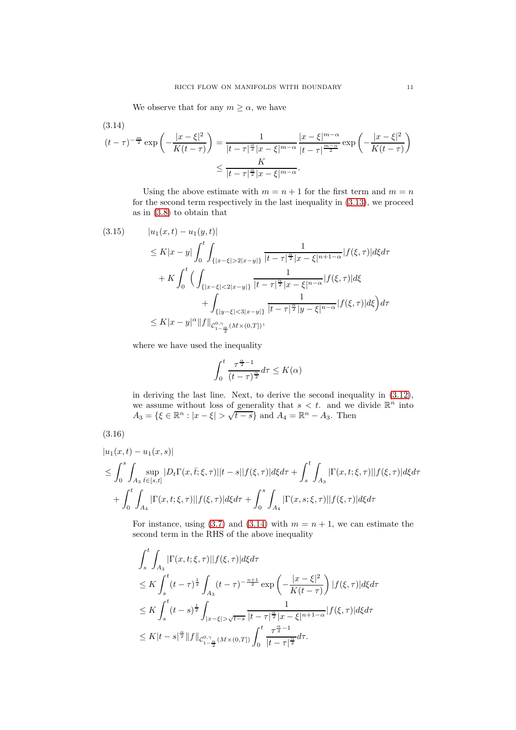We observe that for any  $m \geq \alpha$ , we have

$$
(3.14)
$$
\n
$$
(t-\tau)^{-\frac{m}{2}} \exp\left(-\frac{|x-\xi|^2}{K(t-\tau)}\right) = \frac{1}{|t-\tau|^{\frac{\alpha}{2}}|x-\xi|^{m-\alpha}} \frac{|x-\xi|^{m-\alpha}}{|t-\tau|^{\frac{m-\alpha}{2}}} \exp\left(-\frac{|x-\xi|^2}{K(t-\tau)}\right)
$$
\n
$$
\leq \frac{K}{|t-\tau|^{\frac{\alpha}{2}}|x-\xi|^{m-\alpha}}.
$$

Using the above estimate with  $m = n + 1$  for the first term and  $m = n$ for the second term respectively in the last inequality in [\(3.13\)](#page-9-1), we proceed as in [\(3.8\)](#page-9-2) to obtain that

$$
(3.15) \t|u_1(x,t) - u_1(y,t)|
$$
  
\n
$$
\leq K|x - y| \int_0^t \int_{\{|x - \xi| > 2|x - y|\}} \frac{1}{|t - \tau|^{\frac{\alpha}{2}} |x - \xi|^{n+1-\alpha}} |f(\xi, \tau)| d\xi d\tau
$$
  
\n
$$
+ K \int_0^t \Big( \int_{\{|x - \xi| < 2|x - y|\}} \frac{1}{|t - \tau|^{\frac{\alpha}{2}} |x - \xi|^{n-\alpha}} |f(\xi, \tau)| d\xi
$$
  
\n
$$
+ \int_{\{|y - \xi| < 3|x - y|\}} \frac{1}{|t - \tau|^{\frac{\alpha}{2}} |y - \xi|^{n-\alpha}} |f(\xi, \tau)| d\xi \Big) d\tau
$$
  
\n
$$
\leq K|x - y|^{\alpha} ||f||_{\mathcal{C}_{1 - \frac{\alpha}{2}}^{0, \gamma}(M \times (0, T])},
$$

where we have used the inequality

$$
\int_0^t \frac{\tau^{\frac{\alpha}{2}-1}}{(t-\tau)^{\frac{\alpha}{2}}}d\tau \leq K(\alpha)
$$

in deriving the last line. Next, to derive the second inequality in [\(3.12\)](#page-9-0), we assume without loss of generality that  $s < t$ . and we divide  $\mathbb{R}^n$  into  $A_3 = \{ \xi \in \mathbb{R}^n : |x - \xi| > \sqrt{t - s} \}$  and  $A_4 = \mathbb{R}^n - A_3$ . Then

<span id="page-10-1"></span>
$$
(3.16)
$$

<span id="page-10-0"></span> $(9.14)$ 

$$
|u_1(x,t) - u_1(x,s)|
$$
  
\n
$$
\leq \int_0^s \int_{A_3} \sup_{\bar{t} \in [s,t]} |D_t \Gamma(x,\bar{t};\xi,\tau)| |t-s||f(\xi,\tau)| d\xi d\tau + \int_s^t \int_{A_3} |\Gamma(x,t;\xi,\tau)| |f(\xi,\tau)| d\xi d\tau
$$
  
\n
$$
+ \int_0^t \int_{A_4} |\Gamma(x,t;\xi,\tau)| |f(\xi,\tau)| d\xi d\tau + \int_0^s \int_{A_4} |\Gamma(x,s;\xi,\tau)| |f(\xi,\tau)| d\xi d\tau
$$

For instance, using [\(3.7\)](#page-8-1) and [\(3.14\)](#page-10-0) with  $m = n + 1$ , we can estimate the second term in the RHS of the above inequality

$$
\int_{s}^{t} \int_{A_{3}} |\Gamma(x, t; \xi, \tau)| |f(\xi, \tau)| d\xi d\tau
$$
\n
$$
\leq K \int_{s}^{t} (t - \tau)^{\frac{1}{2}} \int_{A_{3}} (t - \tau)^{-\frac{n+1}{2}} \exp\left(-\frac{|x - \xi|^{2}}{K(t - \tau)}\right) |f(\xi, \tau)| d\xi d\tau
$$
\n
$$
\leq K \int_{s}^{t} (t - s)^{\frac{1}{2}} \int_{|x - \xi| > \sqrt{t - s}} \frac{1}{|t - \tau|^{\frac{\alpha}{2}} |x - \xi|^{n+1 - \alpha}} |f(\xi, \tau)| d\xi d\tau
$$
\n
$$
\leq K |t - s|^{\frac{\alpha}{2}} \|f\|_{C_{1 - \frac{\alpha}{2}}^{0, \gamma} (M \times (0, T))} \int_{0}^{t} \frac{\tau^{\frac{\alpha}{2} - 1}}{|t - \tau|^{\frac{\alpha}{2}}} d\tau.
$$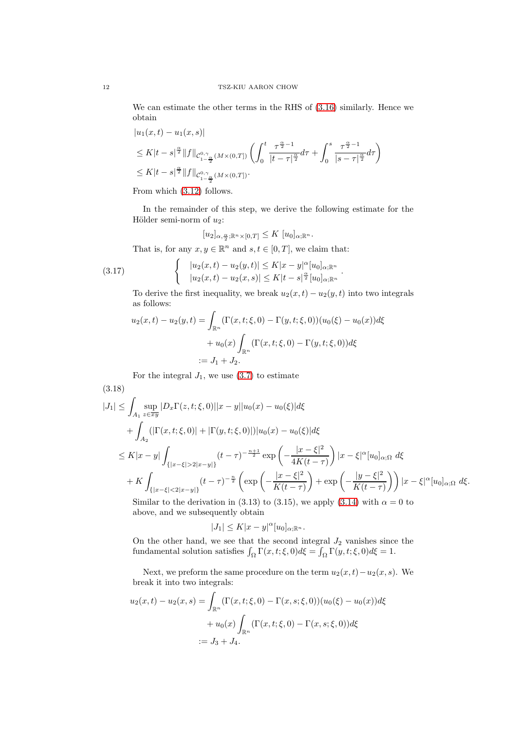We can estimate the other terms in the RHS of [\(3.16\)](#page-10-1) similarly. Hence we obtain

$$
|u_1(x,t) - u_1(x,s)|
$$
  
\n
$$
\leq K|t-s|^{\frac{\alpha}{2}} \|f\|_{C_{1-\frac{\alpha}{2}}^{0,\gamma}(M\times(0,T])} \left(\int_0^t \frac{\tau^{\frac{\alpha}{2}-1}}{|t-\tau|^{\frac{\alpha}{2}}} d\tau + \int_0^s \frac{\tau^{\frac{\alpha}{2}-1}}{|s-\tau|^{\frac{\alpha}{2}}} d\tau\right)
$$
  
\n
$$
\leq K|t-s|^{\frac{\alpha}{2}} \|f\|_{C_{1-\frac{\alpha}{2}}^{0,\gamma}(M\times(0,T])}.
$$

From which [\(3.12\)](#page-9-0) follows.

In the remainder of this step, we derive the following estimate for the Hölder semi-norm of  $u_2$ :

$$
[u_2]_{\alpha,\frac{\alpha}{2};\mathbb{R}^n\times[0,T]}\leq K\ [u_0]_{\alpha;\mathbb{R}^n}.
$$

That is, for any  $x, y \in \mathbb{R}^n$  and  $s, t \in [0, T]$ , we claim that:

<span id="page-11-1"></span>(3.17) 
$$
\begin{cases} |u_2(x,t) - u_2(y,t)| \le K|x-y|^{\alpha} [u_0]_{\alpha; \mathbb{R}^n} \\ |u_2(x,t) - u_2(x,s)| \le K|t-s|^{\frac{\alpha}{2}} [u_0]_{\alpha; \mathbb{R}^n} \end{cases}.
$$

To derive the first inequality, we break  $u_2(x,t) - u_2(y,t)$  into two integrals as follows:

$$
u_2(x,t) - u_2(y,t) = \int_{\mathbb{R}^n} (\Gamma(x,t;\xi,0) - \Gamma(y,t;\xi,0))(u_0(\xi) - u_0(x))d\xi
$$
  
+ 
$$
u_0(x) \int_{\mathbb{R}^n} (\Gamma(x,t;\xi,0) - \Gamma(y,t;\xi,0))d\xi
$$
  
:=  $J_1 + J_2$ .

For the integral  $J_1$ , we use  $(3.7)$  to estimate

<span id="page-11-0"></span>(3.18)  
\n
$$
|J_{1}| \leq \int_{A_{1}} \sup_{z \in \overline{xy}} |D_{x}\Gamma(z, t; \xi, 0)||x - y||u_{0}(x) - u_{0}(\xi)|d\xi
$$
\n
$$
+ \int_{A_{2}} (|\Gamma(x, t; \xi, 0)| + |\Gamma(y, t; \xi, 0)|)|u_{0}(x) - u_{0}(\xi)|d\xi
$$
\n
$$
\leq K|x - y| \int_{\{|x - \xi| > 2|x - y|\}} (t - \tau)^{-\frac{n+1}{2}} \exp\left(-\frac{|x - \xi|^{2}}{4K(t - \tau)}\right) |x - \xi|^{\alpha}[u_{0}]_{\alpha;\Omega} d\xi
$$
\n
$$
+ K \int_{\{|x - \xi| < 2|x - y|\}} (t - \tau)^{-\frac{n}{2}} \left(\exp\left(-\frac{|x - \xi|^{2}}{K(t - \tau)}\right) + \exp\left(-\frac{|y - \xi|^{2}}{K(t - \tau)}\right)\right) |x - \xi|^{\alpha}[u_{0}]_{\alpha;\Omega} d\xi.
$$
\nSimilarly, the derivation in (3.13) to (3.15), we apply (3.14) with  $\alpha = 0$  to

Similar to the derivation in (3.13) to (3.15), we apply [\(3.14\)](#page-10-0) with  $\alpha = 0$  to above, and we subsequently obtain

$$
|J_1| \le K|x-y|^{\alpha} [u_0]_{\alpha;\mathbb{R}^n}.
$$

On the other hand, we see that the second integral  $J_2$  vanishes since the fundamental solution satisfies  $\int_{\Omega} \Gamma(x, t; \xi, 0) d\xi = \int_{\Omega} \Gamma(y, t; \xi, 0) d\xi = 1$ .

Next, we preform the same procedure on the term  $u_2(x,t)-u_2(x,s)$ . We break it into two integrals:

$$
u_2(x,t) - u_2(x,s) = \int_{\mathbb{R}^n} (\Gamma(x,t;\xi,0) - \Gamma(x,s;\xi,0))(u_0(\xi) - u_0(x))d\xi
$$
  
+ 
$$
u_0(x) \int_{\mathbb{R}^n} (\Gamma(x,t;\xi,0) - \Gamma(x,s;\xi,0))d\xi
$$
  
:= 
$$
J_3 + J_4.
$$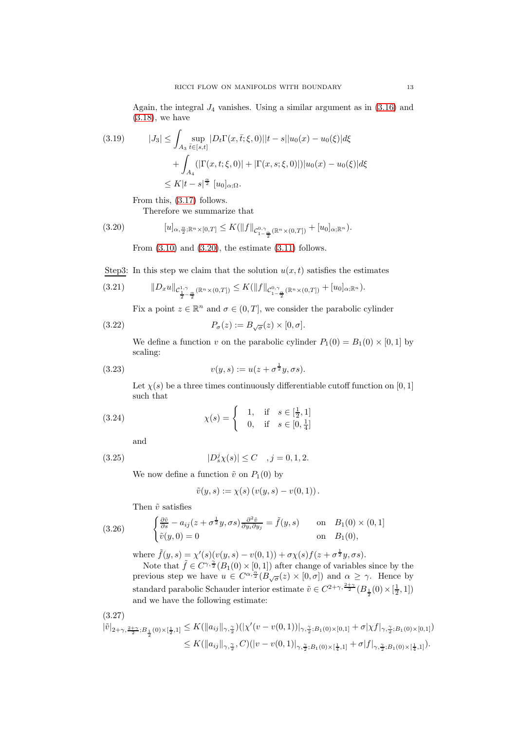Again, the integral  $J_4$  vanishes. Using a similar argument as in  $(3.16)$  and [\(3.18\)](#page-11-0), we have

(3.19) 
$$
|J_3| \leq \int_{A_3} \sup_{\bar{t} \in [s,t]} |D_t \Gamma(x, \bar{t}; \xi, 0)| |t - s| |u_0(x) - u_0(\xi)| d\xi + \int_{A_4} (|\Gamma(x, t; \xi, 0)| + |\Gamma(x, s; \xi, 0)|) |u_0(x) - u_0(\xi)| d\xi \leq K|t - s|^{\frac{\alpha}{2}} [u_0]_{\alpha; \Omega}.
$$

From this, [\(3.17\)](#page-11-1) follows.

Therefore we summarize that

<span id="page-12-0"></span>
$$
(3.20) \t [u]_{\alpha, \frac{\alpha}{2}; \mathbb{R}^n \times [0,T]} \leq K(||f||_{\mathcal{C}_{1-\frac{\alpha}{2}}^{0,\gamma}(\mathbb{R}^n \times (0,T])} + [u_0]_{\alpha; \mathbb{R}^n}).
$$

From  $(3.10)$  and  $(3.20)$ , the estimate  $(3.11)$  follows.

Step3: In this step we claim that the solution  $u(x, t)$  satisfies the estimates

<span id="page-12-1"></span>
$$
(3.21) \t\t ||D_xu||_{\mathcal{C}_{\frac{1}{2}-\frac{\alpha}{2}}^{1,\gamma}(\mathbb{R}^n\times(0,T])}\leq K(||f||_{\mathcal{C}_{1-\frac{\alpha}{2}}^{0,\gamma}(\mathbb{R}^n\times(0,T])}+[u_0]_{\alpha;\mathbb{R}^n}).
$$

Fix a point  $z \in \mathbb{R}^n$  and  $\sigma \in (0, T]$ , we consider the parabolic cylinder

(3.22) 
$$
P_{\sigma}(z) := B_{\sqrt{\sigma}}(z) \times [0, \sigma].
$$

We define a function v on the parabolic cylinder  $P_1(0) = B_1(0) \times [0, 1]$  by scaling:

(3.23) 
$$
v(y,s) := u(z + \sigma^{\frac{1}{2}}y, \sigma s).
$$

Let  $\chi(s)$  be a three times continuously differentiable cutoff function on [0, 1] such that

(3.24) 
$$
\chi(s) = \begin{cases} 1, & \text{if } s \in [\frac{1}{2}, 1] \\ 0, & \text{if } s \in [0, \frac{1}{4}] \end{cases}
$$

and

(3.25) 
$$
|D_s^j \chi(s)| \le C \quad , j = 0, 1, 2.
$$

We now define a function  $\tilde{v}$  on  $P_1(0)$  by

$$
\tilde{v}(y, s) := \chi(s) (v(y, s) - v(0, 1)).
$$

Then  $\tilde{v}$  satisfies

(3.26) 
$$
\begin{cases} \frac{\partial \tilde{v}}{\partial s} - a_{ij}(z + \sigma^{\frac{1}{2}}y, \sigma s) \frac{\partial^2 \tilde{v}}{\partial y_i \partial y_j} = \tilde{f}(y, s) & \text{on} \quad B_1(0) \times (0, 1] \\ \tilde{v}(y, 0) = 0 & \text{on} \quad B_1(0), \end{cases}
$$

where  $\tilde{f}(y, s) = \chi'(s) (v(y, s) - v(0, 1)) + \sigma \chi(s) f(z + \sigma^{\frac{1}{2}} y, \sigma s).$ 

Note that  $\tilde{f} \in C^{\gamma, \frac{2}{2}}(B_1(0) \times [0, 1])$  after change of variables since by the previous step we have  $u \in C^{\alpha, \frac{\alpha}{2}}(B_{\sqrt{\sigma}}(z) \times [0, \sigma])$  and  $\alpha \geq \gamma$ . Hence by standard parabolic Schauder interior estimate  $\tilde{v} \in C^{2+\gamma,\frac{2+\gamma}{2}}(B_{\frac{1}{2}}(0) \times [\frac{1}{2},1])$ and we have the following estimate:

$$
(3.27)
$$

$$
\begin{split} |\tilde{v}|_{2+\gamma,\frac{2+\gamma}{2};B_{\frac{1}{2}}(0)\times[\frac{1}{2},1]} &\leq K(\|a_{ij}\|_{\gamma,\frac{\gamma}{2}})(|\chi'(v-v(0,1))|_{\gamma,\frac{\gamma}{2};B_1(0)\times[0,1]}+\sigma|\chi f|_{\gamma,\frac{\gamma}{2};B_1(0)\times[0,1]})\\ &\leq K(\|a_{ij}\|_{\gamma,\frac{\gamma}{2}},C)(|v-v(0,1)|_{\gamma,\frac{\gamma}{2};B_1(0)\times[\frac{1}{4},1]}+\sigma|f|_{\gamma,\frac{\gamma}{2};B_1(0)\times[\frac{1}{4},1]}). \end{split}
$$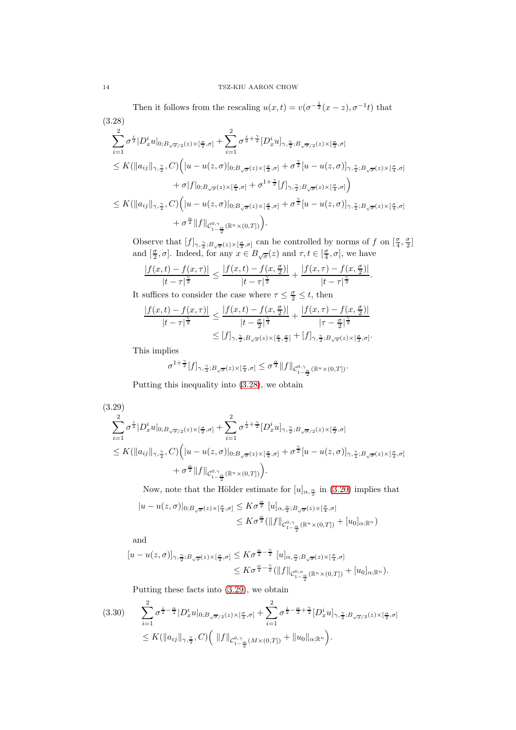Then it follows from the rescaling  $u(x,t) = v(\sigma^{-\frac{1}{2}}(x-z), \sigma^{-1}t)$  that

<span id="page-13-0"></span>
$$
(3.28)
$$
\n
$$
\sum_{i=1}^{2} \sigma^{\frac{i}{2}} |D_x^i u|_{0; B_{\sqrt{\sigma}/2}(z) \times [\frac{\sigma}{2}, \sigma]} + \sum_{i=1}^{2} \sigma^{\frac{i}{2} + \frac{\gamma}{2}} [D_x^i u]_{\gamma, \frac{\gamma}{2}; B_{\sqrt{\sigma}/2}(z) \times [\frac{\sigma}{2}, \sigma]}
$$
\n
$$
\leq K(||a_{ij}||_{\gamma, \frac{\gamma}{2}}, C) \Big( |u - u(z, \sigma)|_{0; B_{\sqrt{\sigma}}(z) \times [\frac{\sigma}{4}, \sigma]} + \sigma^{\frac{\gamma}{2}} [u - u(z, \sigma)]_{\gamma, \frac{\gamma}{2}; B_{\sqrt{\sigma}}(z) \times [\frac{\sigma}{4}, \sigma]}
$$
\n
$$
+ \sigma |f|_{0; B_{\sqrt{\sigma}}(z) \times [\frac{\sigma}{4}, \sigma]} + \sigma^{1 + \frac{\gamma}{2}} [f]_{\gamma, \frac{\gamma}{2}; B_{\sqrt{\sigma}}(z) \times [\frac{\sigma}{4}, \sigma]}
$$
\n
$$
\leq K(||a_{ij}||_{\gamma, \frac{\gamma}{2}}, C) \Big( |u - u(z, \sigma)|_{0; B_{\sqrt{\sigma}}(z) \times [\frac{\sigma}{4}, \sigma]} + \sigma^{\frac{\gamma}{2}} [u - u(z, \sigma)]_{\gamma, \frac{\gamma}{2}; B_{\sqrt{\sigma}}(z) \times [\frac{\sigma}{4}, \sigma]}
$$
\n
$$
+ \sigma^{\frac{\alpha}{2}} ||f||_{\mathcal{C}_{1 - \frac{\alpha}{2}}^{0, \gamma} (\mathbb{R}^n \times (0, T))} \Big).
$$

Observe that  $[f]_{\gamma, \frac{\gamma}{2}; B_{\sqrt{\sigma}}(z) \times [\frac{\sigma}{4}, \sigma]}$  can be controlled by norms of f on  $[\frac{\sigma}{4}, \frac{\sigma}{2}]$ and  $[\frac{\sigma}{2}, \sigma]$ . Indeed, for any  $x \in B_{\sqrt{\sigma}}(z)$  and  $\tau, t \in [\frac{\sigma}{4}, \sigma]$ , we have

.

$$
\frac{|f(x,t)-f(x,\tau)|}{|t-\tau|^{\frac{\gamma}{2}}}\leq \frac{|f(x,t)-f(x,\frac{\sigma}{2})|}{|t-\tau|^{\frac{\gamma}{2}}}+\frac{|f(x,\tau)-f(x,\frac{\sigma}{2})|}{|t-\tau|^{\frac{\gamma}{2}}}.
$$

It suffices to consider the case where  $\tau \leq \frac{\sigma}{2} \leq t$ , then

$$
\frac{|f(x,t)-f(x,\tau)|}{|t-\tau|^{\frac{\gamma}{2}}}\leq \frac{|f(x,t)-f(x,\frac{\sigma}{2})|}{|t-\frac{\sigma}{2}|^{\frac{\gamma}{2}}}+\frac{|f(x,\tau)-f(x,\frac{\sigma}{2})|}{|\tau-\frac{\sigma}{2}|^{\frac{\gamma}{2}}}\n\leq [f]_{\gamma,\frac{\gamma}{2};B_{\sqrt{\sigma}}(z)\times[\frac{\sigma}{4},\frac{\sigma}{2}]}+[f]_{\gamma,\frac{\gamma}{2};B_{\sqrt{\sigma}}(z)\times[\frac{\sigma}{2},\sigma]}
$$

This implies

$$
\sigma^{1+\frac{\gamma}{2}}[f]_{\gamma,\frac{\gamma}{2};B_{\sqrt{\sigma}}(z)\times[\frac{\sigma}{4},\sigma]}\leq \sigma^{\frac{\alpha}{2}}\|f\|_{\mathcal{C}^{0,\gamma}_{1-\frac{\alpha}{2}}(\mathbb{R}^n\times(0,T])}.
$$

Putting this inequality into [\(3.28\)](#page-13-0), we obtain

<span id="page-13-1"></span>
$$
(3.29)
$$
\n
$$
\sum_{i=1}^{2} \sigma^{\frac{i}{2}} |D_x^i u|_{0; B_{\sqrt{\sigma}/2}(z) \times [\frac{\sigma}{2}, \sigma]} + \sum_{i=1}^{2} \sigma^{\frac{i}{2} + \frac{\gamma}{2}} [D_x^i u]_{\gamma, \frac{\gamma}{2}; B_{\sqrt{\sigma}/2}(z) \times [\frac{\sigma}{2}, \sigma]}
$$
\n
$$
\leq K(||a_{ij}||_{\gamma, \frac{\gamma}{2}}, C) \Big( |u - u(z, \sigma)|_{0; B_{\sqrt{\sigma}}(z) \times [\frac{\sigma}{4}, \sigma]} + \sigma^{\frac{\gamma}{2}} [u - u(z, \sigma)]_{\gamma, \frac{\gamma}{2}; B_{\sqrt{\sigma}}(z) \times [\frac{\sigma}{4}, \sigma]}
$$
\n
$$
+ \sigma^{\frac{\alpha}{2}} ||f||_{\mathcal{C}_{1-\frac{\alpha}{2}}^{0, \gamma}(\mathbb{R}^n \times (0, T))} \Big).
$$

Now, note that the Hölder estimate for  $[u]_{\alpha,\frac{\alpha}{2}}$  in [\(3.20\)](#page-12-0) implies that

$$
|u - u(z, \sigma)|_{0; B_{\sqrt{\sigma}}(z) \times [\frac{\sigma}{4}, \sigma]} \leq K \sigma^{\frac{\alpha}{2}} [u]_{\alpha, \frac{\alpha}{2}; B_{\sqrt{\sigma}}(z) \times [\frac{\sigma}{4}, \sigma]}
$$
  

$$
\leq K \sigma^{\frac{\alpha}{2}} (\|f\|_{\mathcal{C}_{1-\frac{\alpha}{2}}^{0,\gamma}(\mathbb{R}^n \times (0,T])} + [u_0]_{\alpha; \mathbb{R}^n})
$$

and

$$
[u - u(z, \sigma)]_{\gamma, \frac{\gamma}{2}; B_{\sqrt{\sigma}}(z) \times [\frac{\sigma}{4}, \sigma]} \leq K \sigma^{\frac{\alpha}{2} - \frac{\gamma}{2}} [u]_{\alpha, \frac{\alpha}{2}; B_{\sqrt{\sigma}}(z) \times [\frac{\sigma}{4}, \sigma]}
$$
  

$$
\leq K \sigma^{\frac{\alpha}{2} - \frac{\gamma}{2}} (\|f\|_{\mathcal{C}_{1-\frac{\alpha}{2}}^{0,\alpha}(\mathbb{R}^n \times (0,T])} + [u_0]_{\alpha; \mathbb{R}^n}).
$$

Putting these facts into [\(3.29\)](#page-13-1), we obtain

$$
(3.30) \qquad \sum_{i=1}^{2} \sigma^{\frac{i}{2} - \frac{\alpha}{2}} |D_x^i u|_{0; B_{\sqrt{\sigma}/2}(z) \times [\frac{\sigma}{2}, \sigma]} + \sum_{i=1}^{2} \sigma^{\frac{i}{2} - \frac{\alpha}{2} + \frac{\gamma}{2}} [D_x^i u]_{\gamma, \frac{\gamma}{2}; B_{\sqrt{\sigma}/2}(z) \times [\frac{\sigma}{2}, \sigma]} \leq K(||a_{ij}||_{\gamma, \frac{\gamma}{2}}, C) \Big( ||f||_{\mathcal{C}_{1 - \frac{\alpha}{2}}^{0, \gamma}(M \times (0, T])} + ||u_0||_{\alpha; \mathbb{R}^n} \Big).
$$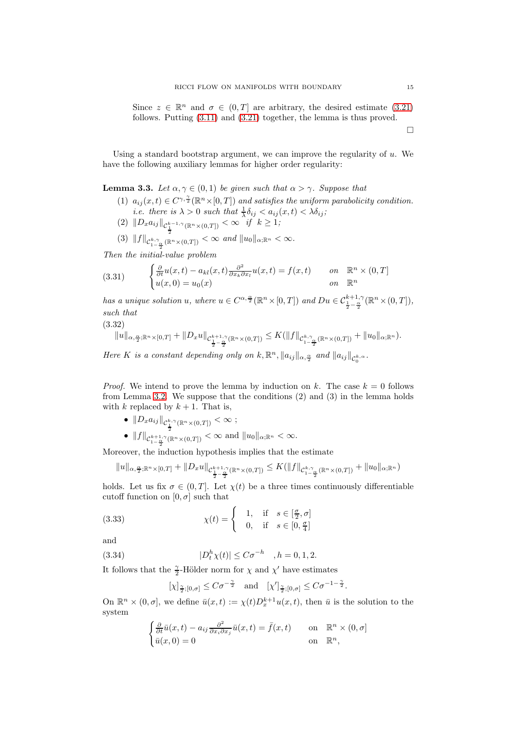Since  $z \in \mathbb{R}^n$  and  $\sigma \in (0, T]$  are arbitrary, the desired estimate [\(3.21\)](#page-12-1) follows. Putting [\(3.11\)](#page-9-4) and [\(3.21\)](#page-12-1) together, the lemma is thus proved.

 $\Box$ 

Using a standard bootstrap argument, we can improve the regularity of  $u$ . We have the following auxiliary lemmas for higher order regularity:

<span id="page-14-1"></span>**Lemma 3.3.** Let  $\alpha, \gamma \in (0, 1)$  be given such that  $\alpha > \gamma$ . Suppose that

- (1)  $a_{ij}(x,t) \in C^{\gamma, \frac{\gamma}{2}}(\mathbb{R}^n \times [0,T])$  and satisfies the uniform parabolicity condition. *i.e.* there is  $\lambda > 0$  such that  $\frac{1}{\lambda} \delta_{ij} < a_{ij}(x, t) < \lambda \delta_{ij}$ ;
- $(2)$   $||D_x a_{ij}||_{\mathcal{C}_{\frac{1}{2}}^{k-1,\gamma}(\mathbb{R}^n \times (0,T])} < \infty$  if  $k \geq 1;$
- (3)  $||f||_{\mathcal{C}_{1-\frac{\alpha}{2}}^{k,\gamma}(\mathbb{R}^n\times(0,T])}<\infty$  and  $||u_0||_{\alpha;\mathbb{R}^n}<\infty$ .

Then the initial-value problem

(3.31) 
$$
\begin{cases} \frac{\partial}{\partial t}u(x,t) - a_{kl}(x,t) \frac{\partial^2}{\partial x_k \partial x_l}u(x,t) = f(x,t) & \text{on } \mathbb{R}^n \times (0,T] \\ u(x,0) = u_0(x) & \text{on } \mathbb{R}^n \end{cases}
$$

has a unique solution u, where  $u \in C^{\alpha, \frac{\alpha}{2}}(\mathbb{R}^n \times [0, T])$  and  $Du \in C_{\frac{1}{2} - \frac{\alpha}{2}}^{k+1, \gamma}(\mathbb{R}^n \times (0, T]),$ such that

<span id="page-14-0"></span>(3.32)

$$
\|u\|_{\alpha,\frac{\alpha}{2}; {\mathbb{R}}^n\times [0,T]}+\|D_xu\|_{{\mathcal C}^{k+1,\gamma}_{\frac{1}{2}-\frac{\alpha}{2}}({\mathbb{R}}^n\times (0,T])}\leq K(\|f\|_{{\mathcal C}^{k,\gamma}_{1-\frac{\alpha}{2}}({\mathbb{R}}^n\times (0,T])}+\|u_0\|_{\alpha;{\mathbb{R}}^n}).
$$

Here K is a constant depending only on  $k, \mathbb{R}^n, ||a_{ij}||_{\alpha, \frac{\alpha}{2}}$  and  $||a_{ij}||_{\mathcal{C}_0^{k,\alpha}}$ .

*Proof.* We intend to prove the lemma by induction on k. The case  $k = 0$  follows from Lemma [3.2.](#page-7-2) We suppose that the conditions (2) and (3) in the lemma holds with k replaced by  $k + 1$ . That is,

- $||D_x a_{ij}||_{\mathcal{C}_{\frac{1}{2}}^{k,\gamma}(\mathbb{R}^n \times(0,T])} < \infty;$
- $||f||_{\mathcal{C}_{1-\frac{\alpha}{2}}^{k+1,\gamma}(\mathbb{R}^{n}\times(0,T])}<\infty$  and  $||u_{0}||_{\alpha;\mathbb{R}^{n}}<\infty$ .

Moreover, the induction hypothesis implies that the estimate

$$
||u||_{\alpha,\frac{\alpha}{2};\mathbb{R}^n\times[0,T]}+||D_xu||_{\mathcal{C}^{k+1,\gamma}_{\frac{1}{2}-\frac{\alpha}{2}}(\mathbb{R}^n\times(0,T])}\leq K(||f||_{\mathcal{C}^{k,\gamma}_{1-\frac{\alpha}{2}}(\mathbb{R}^n\times(0,T])}+||u_0||_{\alpha;\mathbb{R}^n})
$$

holds. Let us fix  $\sigma \in (0, T]$ . Let  $\chi(t)$  be a three times continuously differentiable cutoff function on  $[0, \sigma]$  such that

(3.33) 
$$
\chi(t) = \begin{cases} 1, & \text{if } s \in [\frac{\sigma}{2}, \sigma] \\ 0, & \text{if } s \in [0, \frac{\sigma}{4}] \end{cases}
$$

and

(3.34) 
$$
|D_t^h \chi(t)| \leq C\sigma^{-h} \quad , h = 0, 1, 2.
$$

It follows that the  $\frac{\gamma}{2}$ -Hölder norm for  $\chi$  and  $\chi'$  have estimates

$$
[\chi]_{\frac{\gamma}{2};[0,\sigma]}\leq C\sigma^{-\frac{\gamma}{2}}\quad\text{and}\quad [\chi']_{\frac{\gamma}{2};[0,\sigma]}\leq C\sigma^{-1-\frac{\gamma}{2}}.
$$

On  $\mathbb{R}^n \times (0, \sigma]$ , we define  $\bar{u}(x, t) := \chi(t) D_x^{k+1} u(x, t)$ , then  $\bar{u}$  is the solution to the system

$$
\begin{cases} \frac{\partial}{\partial t}\bar{u}(x,t) - a_{ij}\frac{\partial^2}{\partial x_i \partial x_j}\bar{u}(x,t) = \bar{f}(x,t) & \text{on } \mathbb{R}^n \times (0,\sigma] \\ \bar{u}(x,0) = 0 & \text{on } \mathbb{R}^n, \end{cases}
$$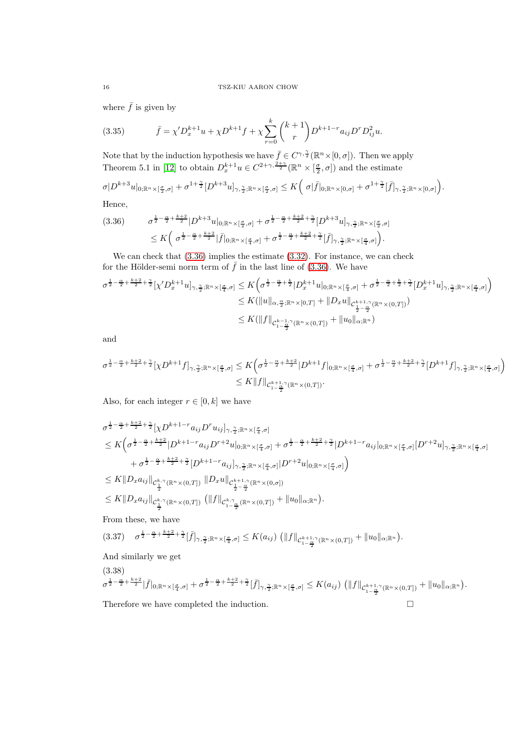where  $\bar{f}$  is given by

(3.35) 
$$
\bar{f} = \chi' D_x^{k+1} u + \chi D^{k+1} f + \chi \sum_{r=0}^k {k+1 \choose r} D^{k+1-r} a_{ij} D^r D_{ij}^2 u.
$$

Note that by the induction hypothesis we have  $\bar{f} \in C^{\gamma, \frac{\gamma}{2}}(\mathbb{R}^n \times [0, \sigma])$ . Then we apply Theorem 5.1 in [\[12\]](#page-54-12) to obtain  $D_x^{k+1}u \in C^{2+\gamma,\frac{2+\gamma}{2}}(\mathbb{R}^n \times [\frac{\sigma}{2}, \sigma])$  and the estimate

$$
\sigma|D^{k+3}u|_{0;\mathbb{R}^n\times[\frac{\sigma}{2},\sigma]}+\sigma^{1+\frac{\gamma}{2}}[D^{k+3}u]_{\gamma,\frac{\gamma}{2};\mathbb{R}^n\times[\frac{\sigma}{2},\sigma]}\leq K\Big(\sigma|\bar{f}|_{0;\mathbb{R}^n\times[0,\sigma]}+\sigma^{1+\frac{\gamma}{2}}[\bar{f}]_{\gamma,\frac{\gamma}{2};\mathbb{R}^n\times[0,\sigma]}\Big).
$$

Hence,

<span id="page-15-0"></span>
$$
(3.36) \qquad \sigma^{\frac{1}{2}-\frac{\alpha}{2}+\frac{k+2}{2}}|D^{k+3}u|_{0;\mathbb{R}^n\times[\frac{\sigma}{2},\sigma]} + \sigma^{\frac{1}{2}-\frac{\alpha}{2}+\frac{k+2}{2}+\frac{\gamma}{2}}[D^{k+3}u]_{\gamma,\frac{\gamma}{2};\mathbb{R}^n\times[\frac{\sigma}{2},\sigma]}\leq K\left(\sigma^{\frac{1}{2}-\frac{\alpha}{2}+\frac{k+2}{2}}|\bar{f}|_{0;\mathbb{R}^n\times[\frac{\sigma}{4},\sigma]} + \sigma^{\frac{1}{2}-\frac{\alpha}{2}+\frac{k+2}{2}+\frac{\gamma}{2}}[\bar{f}]_{\gamma,\frac{\gamma}{2};\mathbb{R}^n\times[\frac{\sigma}{4},\sigma]}\right).
$$

We can check that  $(3.36)$  implies the estimate  $(3.32)$ . For instance, we can check for the Hölder-semi norm term of  $\bar{f}$  in the last line of [\(3.36\)](#page-15-0). We have

$$
\sigma^{\frac{1}{2}-\frac{\alpha}{2}+\frac{k+2}{2}+\frac{\gamma}{2}}[\chi'D_{x}^{k+1}u]_{\gamma,\frac{\gamma}{2};\mathbb{R}^{n}\times[\frac{\sigma}{4},\sigma]} \leq K\Big(\sigma^{\frac{1}{2}-\frac{\alpha}{2}+\frac{k}{2}}|D_{x}^{k+1}u|_{0;\mathbb{R}^{n}\times[\frac{\sigma}{4},\sigma]} + \sigma^{\frac{1}{2}-\frac{\alpha}{2}+\frac{k}{2}+\frac{\gamma}{2}}[D_{x}^{k+1}u]_{\gamma,\frac{\gamma}{2};\mathbb{R}^{n}\times[\frac{\sigma}{4},\sigma]}\Big) \leq K(||u||_{\alpha,\frac{\alpha}{2};\mathbb{R}^{n}\times[0,T]} + ||D_{x}u||_{\mathcal{C}^{k+1,\gamma}_{\frac{1}{2}-\frac{\alpha}{2}}(\mathbb{R}^{n}\times(0,T])}) \leq K(||f||_{\mathcal{C}^{k-1,\gamma}_{1-\frac{\alpha}{2}}(\mathbb{R}^{n}\times(0,T])} + ||u_{0}||_{\alpha;\mathbb{R}^{n}})
$$

and

$$
\sigma^{\frac12-\frac\alpha2+\frac{k+2}2+\frac\gamma2}[\chi D^{k+1}f]_{\gamma,\frac\gamma2;\mathbb R^n\times[\frac{\sigma}4,\sigma]}\leq K\Big(\sigma^{\frac12-\frac\alpha2+\frac{k+2}2}|D^{k+1}f|_{0;\mathbb R^n\times[\frac{\sigma}4,\sigma]}+\sigma^{\frac12-\frac\alpha2+\frac{k+2}2+\frac\gamma2}[D^{k+1}f]_{\gamma,\frac\gamma2;\mathbb R^n\times[\frac{\sigma}4,\sigma]}\Big)\notag\\qquad \qquad \leq K\|f\|_{\mathcal C^{k+1,\gamma}_{1-\frac\alpha2}((\mathbb R^n\times (0,T])}.
$$

Also, for each integer  $r \in [0, k]$  we have

$$
\sigma^{\frac{1}{2}-\frac{\alpha}{2}+\frac{k+2}{2}+\frac{\gamma}{2}}[\chi D^{k+1-r}a_{ij}D^{r}u_{ij}]_{\gamma,\frac{\gamma}{2};\mathbb{R}^{n}\times[\frac{\sigma}{4},\sigma]} \n\leq K\Big(\sigma^{\frac{1}{2}-\frac{\alpha}{2}+\frac{k+2}{2}}|D^{k+1-r}a_{ij}D^{r+2}u|_{0;\mathbb{R}^{n}\times[\frac{\sigma}{4},\sigma]} + \sigma^{\frac{1}{2}-\frac{\alpha}{2}+\frac{k+2}{2}+\frac{\gamma}{2}}|D^{k+1-r}a_{ij}|_{0;\mathbb{R}^{n}\times[\frac{\sigma}{4},\sigma]}[D^{r+2}u]_{\gamma,\frac{\gamma}{2};\mathbb{R}^{n}\times[\frac{\sigma}{4},\sigma]} \n+ \sigma^{\frac{1}{2}-\frac{\alpha}{2}+\frac{k+2}{2}+\frac{\gamma}{2}}[D^{k+1-r}a_{ij}]_{\gamma,\frac{\gamma}{2};\mathbb{R}^{n}\times[\frac{\sigma}{4},\sigma]}|D^{r+2}u|_{0;\mathbb{R}^{n}\times[\frac{\sigma}{4},\sigma]}\Big) \n\leq K\|D_xa_{ij}\|_{\mathcal{C}_{\frac{1}{2}}^{k,\gamma}(\mathbb{R}^{n}\times(0,T))} \|D_xu\|_{\mathcal{C}_{\frac{1}{2}-\frac{\alpha}{2}}^{k+1,\gamma}(\mathbb{R}^{n}\times(0,\sigma])} \n\leq K\|D_xa_{ij}\|_{\mathcal{C}_{\frac{1}{2}}^{k,\gamma}(\mathbb{R}^{n}\times(0,T))} (\|f\|_{\mathcal{C}_{1-\frac{\alpha}{2}}^{k,\gamma}(\mathbb{R}^{n}\times(0,T))} + \|u_{0}\|_{\alpha;\mathbb{R}^{n}}).
$$

From these, we have

$$
(3.37) \quad \sigma^{\frac{1}{2}-\frac{\alpha}{2}+\frac{k+2}{2}+\frac{\gamma}{2}}[\bar{f}]_{\gamma,\frac{\gamma}{2};\mathbb{R}^n\times[\frac{\sigma}{4},\sigma]}\leq K(a_{ij})\left(\|f\|_{\mathcal{C}_{1-\frac{\alpha}{2}}^{k+1,\gamma}(\mathbb{R}^n\times(0,T])}+\|u_0\|_{\alpha;\mathbb{R}^n}\right).
$$

And similarly we get

$$
\frac{(3.38)}{\sigma^{\frac{1}{2}-\frac{\alpha}{2}+\frac{k+2}{2}}|\bar{f}|_{0;\mathbb{R}^n\times[\frac{\sigma}{4},\sigma]}+\sigma^{\frac{1}{2}-\frac{\alpha}{2}+\frac{k+2}{2}+\frac{\gamma}{2}}[\bar{f}]_{\gamma,\frac{\gamma}{2};\mathbb{R}^n\times[\frac{\sigma}{4},\sigma]}\leq K(a_{ij})\left(\|f\|_{\mathcal{C}_{1-\frac{\alpha}{2}}^{k+1,\gamma}(\mathbb{R}^n\times(0,T])}+\|u_{0}\|_{\alpha;\mathbb{R}^n}\right).
$$

Therefore we have completed the induction.  $\hfill \Box$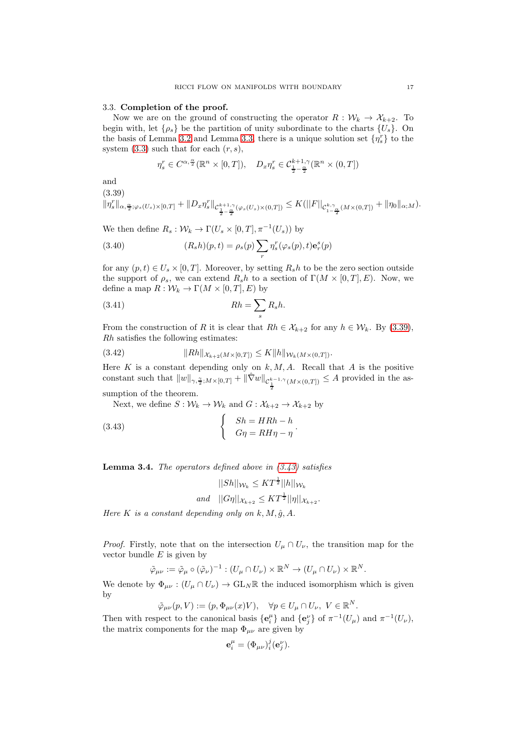## <span id="page-16-0"></span>3.3. Completion of the proof.

Now we are on the ground of constructing the operator  $R : \mathcal{W}_k \to \mathcal{X}_{k+2}$ . To begin with, let  $\{\rho_s\}$  be the partition of unity subordinate to the charts  $\{U_s\}$ . On the basis of Lemma [3.2](#page-7-2) and Lemma [3.3,](#page-14-1) there is a unique solution set  $\{\eta_s^r\}$  to the system  $(3.3)$  such that for each  $(r, s)$ ,

$$
\eta_s^r \in C^{\alpha, \frac{\alpha}{2}}(\mathbb{R}^n \times [0, T]), \quad D_x \eta_s^r \in C^{k+1, \gamma}_{\frac{1}{2} - \frac{\alpha}{2}}(\mathbb{R}^n \times (0, T])
$$

and

<span id="page-16-1"></span>(3.39)

$$
\|\eta_s^r\|_{\alpha,\frac{\alpha}{2};\varphi_s(U_s)\times[0,T]}+\|D_x\eta_s^r\|_{\mathcal{C}^{k+1,\gamma}_{\frac{1}{2}-\frac{\alpha}{2}}(\varphi_s(U_s)\times(0,T])}\leq K(||F||_{\mathcal{C}^{k,\gamma}_{1-\frac{\alpha}{2}}(M\times(0,T])}+\|\eta_0\|_{\alpha;M}).
$$

We then define  $R_s: \mathcal{W}_k \to \Gamma(U_s \times [0,T], \pi^{-1}(U_s))$  by

(3.40) 
$$
(R_s h)(p,t) = \rho_s(p) \sum_r \eta_s^r(\varphi_s(p),t) \mathbf{e}_r^s(p)
$$

for any  $(p, t) \in U_s \times [0, T]$ . Moreover, by setting  $R_s h$  to be the zero section outside the support of  $\rho_s$ , we can extend  $R_sh$  to a section of  $\Gamma(M \times [0, T], E)$ . Now, we define a map  $R: \mathcal{W}_k \to \Gamma(M \times [0,T], E)$  by

$$
(3.41)\t\t\t Rh = \sum_{s} R_{s}h.
$$

From the construction of R it is clear that  $Rh \in \mathcal{X}_{k+2}$  for any  $h \in \mathcal{W}_k$ . By [\(3.39\)](#page-16-1), Rh satisfies the following estimates:

<span id="page-16-3"></span>
$$
(3.42) \t\t\t ||Rh||_{\mathcal{X}_{k+2}(M\times[0,T])} \leq K||h||_{\mathcal{W}_k(M\times(0,T])}.
$$

Here K is a constant depending only on  $k, M, A$ . Recall that A is the positive constant such that  $||w||_{\gamma, \frac{\gamma}{2}; M\times[0,T]} + ||\hat{\nabla}w||_{\mathcal{C}_{\frac{1}{2}}^{k-1,\gamma}(M\times(0,T])} \leq A$  provided in the assumption of the theorem.

Next, we define  $S: \mathcal{W}_k \to \mathcal{W}_k$  and  $G: \mathcal{X}_{k+2} \to \mathcal{X}_{k+2}$  by

<span id="page-16-2"></span>(3.43) 
$$
\begin{cases} Sh = HRh - h \\ G\eta = RH\eta - \eta \end{cases}.
$$

<span id="page-16-4"></span>**Lemma 3.4.** The operators defined above in  $(3.43)$  satisfies

$$
||Sh||_{W_k} \leq KT^{\frac{1}{2}}||h||_{W_k}
$$
  
and 
$$
||G\eta||_{\mathcal{X}_{k+2}} \leq KT^{\frac{1}{2}}||\eta||_{\mathcal{X}_{k+2}}.
$$

Here K is a constant depending only on  $k, M, \hat{q}, A$ .

*Proof.* Firstly, note that on the intersection  $U_{\mu} \cap U_{\nu}$ , the transition map for the vector bundle  $E$  is given by

$$
\tilde{\varphi}_{\mu\nu} := \tilde{\varphi}_{\mu} \circ (\tilde{\varphi}_{\nu})^{-1} : (U_{\mu} \cap U_{\nu}) \times \mathbb{R}^{N} \to (U_{\mu} \cap U_{\nu}) \times \mathbb{R}^{N}.
$$

We denote by  $\Phi_{\mu\nu}$ :  $(U_{\mu} \cap U_{\nu}) \to GL_N \mathbb{R}$  the induced isomorphism which is given by

$$
\tilde{\varphi}_{\mu\nu}(p,V) := (p, \Phi_{\mu\nu}(x)V), \quad \forall p \in U_{\mu} \cap U_{\nu}, \ V \in \mathbb{R}^N.
$$

Then with respect to the canonical basis  $\{e_i^{\mu}\}\$ and  $\{e_j^{\nu}\}\$  of  $\pi^{-1}(U_{\mu})$  and  $\pi^{-1}(U_{\nu})$ , the matrix components for the map  $\Phi_{\mu\nu}$  are given by

$$
\mathbf{e}_i^{\mu} = (\Phi_{\mu\nu})_i^j (\mathbf{e}_j^{\nu}).
$$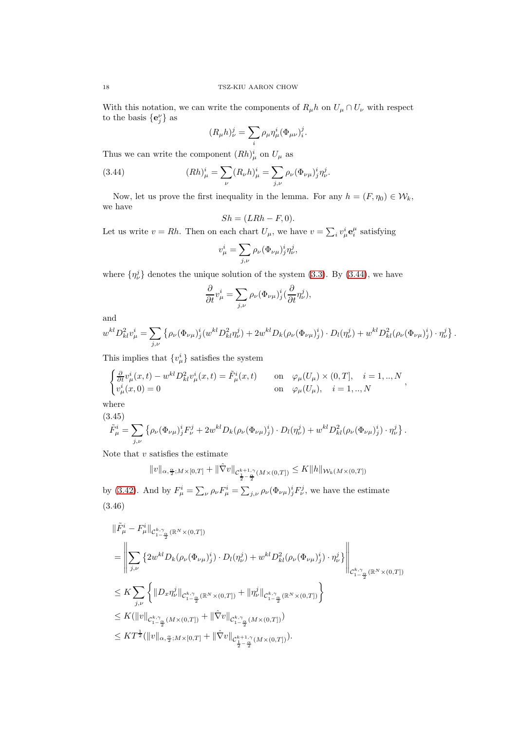With this notation, we can write the components of  $R_\mu h$  on  $U_\mu \cap U_\nu$  with respect to the basis  $\{e_j^{\nu}\}\$ as

$$
(R_{\mu}h)^j_{\nu} = \sum_i \rho_{\mu} \eta^i_{\mu} (\Phi_{\mu\nu})^j_i.
$$

Thus we can write the component  $(Rh)_{\mu}^{i}$  on  $U_{\mu}$  as

<span id="page-17-0"></span>(3.44) 
$$
(Rh)^i_{\mu} = \sum_{\nu} (R_{\nu}h)^i_{\mu} = \sum_{j,\nu} \rho_{\nu} (\Phi_{\nu\mu})^i_j \eta^j_{\nu}.
$$

Now, let us prove the first inequality in the lemma. For any  $h = (F, \eta_0) \in \mathcal{W}_k$ , we have

$$
Sh = (LRh - F, 0).
$$

Let us write  $v = Rh$ . Then on each chart  $U_{\mu}$ , we have  $v = \sum_i v_{\mu}^i e_i^{\mu}$  satisfying

$$
v^i_\mu = \sum_{j,\nu} \rho_\nu (\Phi_{\nu\mu})^i_j \eta^j_\nu,
$$

where  $\{\eta_{\nu}^j\}$  denotes the unique solution of the system [\(3.3\)](#page-7-3). By [\(3.44\)](#page-17-0), we have

$$
\frac{\partial}{\partial t}v_{\mu}^{i} = \sum_{j,\nu} \rho_{\nu}(\Phi_{\nu\mu})_{j}^{i}(\frac{\partial}{\partial t}\eta_{\nu}^{j}),
$$

and

$$
w^{kl} D_{kl}^2 v_{\mu}^i = \sum_{j,\nu} \left\{ \rho_{\nu} (\Phi_{\nu\mu})_j^i (w^{kl} D_{kl}^2 \eta_{\nu}^j) + 2 w^{kl} D_k (\rho_{\nu} (\Phi_{\nu\mu})_j^i) \cdot D_l (\eta_{\nu}^j) + w^{kl} D_{kl}^2 (\rho_{\nu} (\Phi_{\nu\mu})_j^i) \cdot \eta_{\nu}^j \right\}.
$$

This implies that  $\{v^i_\mu\}$  satisfies the system

$$
\begin{cases} \frac{\partial}{\partial t} v^i_\mu(x,t) - w^{kl} D^2_{kl} v^i_\mu(x,t) = \tilde{F}^i_\mu(x,t) & \text{on } \varphi_\mu(U_\mu) \times (0,T], \quad i = 1,..,N \\ v^i_\mu(x,0) = 0 & \text{on } \varphi_\mu(U_\mu), \quad i = 1,..,N \end{cases},
$$

where

<span id="page-17-2"></span>(3.45)  
\n
$$
\tilde{F}^i_\mu = \sum_{j,\nu} \left\{ \rho_\nu (\Phi_{\nu\mu})^i_j F^j_\nu + 2w^{kl} D_k (\rho_\nu (\Phi_{\nu\mu})^i_j) \cdot D_l(\eta^j_\nu) + w^{kl} D^2_{kl} (\rho_\nu (\Phi_{\nu\mu})^i_j) \cdot \eta^j_\nu \right\}.
$$

Note that  $v$  satisfies the estimate

$$
||v||_{\alpha, \frac{\alpha}{2}; M \times [0,T]} + ||\hat{\nabla}v||_{\mathcal{C}_{\frac{1}{2} - \frac{\alpha}{2}}^{k+1,\gamma}(M \times (0,T])} \leq K||h||_{\mathcal{W}_k(M \times (0,T])}
$$

<span id="page-17-1"></span>by [\(3.42\)](#page-16-3). And by  $F^i_\mu = \sum_\nu \rho_\nu F^i_\mu = \sum_{j,\nu} \rho_\nu (\Phi_{\nu\mu})^i_j F^j_\nu$ , we have the estimate (3.46)

$$
\label{eq:3.1} \begin{split} &\|\tilde{F}^i_\mu-F^i_\mu\|_{\mathcal{C}^{k,\gamma}_{1-\frac{\alpha}{2}}(\mathbb{R}^N\times(0,T])}\\ &=\left\|\sum_{j,\nu}\left\{2w^{kl}D_k(\rho_\nu(\Phi_{\nu\mu})^i_j)\cdot D_l(\eta^j_\nu)+w^{kl}D^2_{kl}(\rho_\nu(\Phi_{\nu\mu})^i_j)\cdot \eta^j_\nu\right\}\right\|_{\mathcal{C}^{k,\gamma}_{1-\frac{\alpha}{2}}(\mathbb{R}^N\times(0,T])}\\ &\leq K\sum_{j,\nu}\left\{\|D_x\eta^j_\nu\|_{\mathcal{C}^{k,\gamma}_{1-\frac{\alpha}{2}}(\mathbb{R}^N\times(0,T])}+\|\eta^j_\nu\|_{\mathcal{C}^{k,\gamma}_{1-\frac{\alpha}{2}}(\mathbb{R}^N\times(0,T])}\right\}\\ &\leq K(\|v\|_{\mathcal{C}^{k,\gamma}_{1-\frac{\alpha}{2}}(M\times(0,T])}+\|\hat{\nabla}v\|_{\mathcal{C}^{k,\gamma}_{1-\frac{\alpha}{2}}(M\times(0,T])})\\ &\leq KT^{\frac{1}{2}}(\|v\|_{\alpha,\frac{\alpha}{2};M\times[0,T]}+\|\hat{\nabla}v\|_{\mathcal{C}^{k+1,\gamma}_{1-\frac{\alpha}{2}}(M\times(0,T])}). \end{split}
$$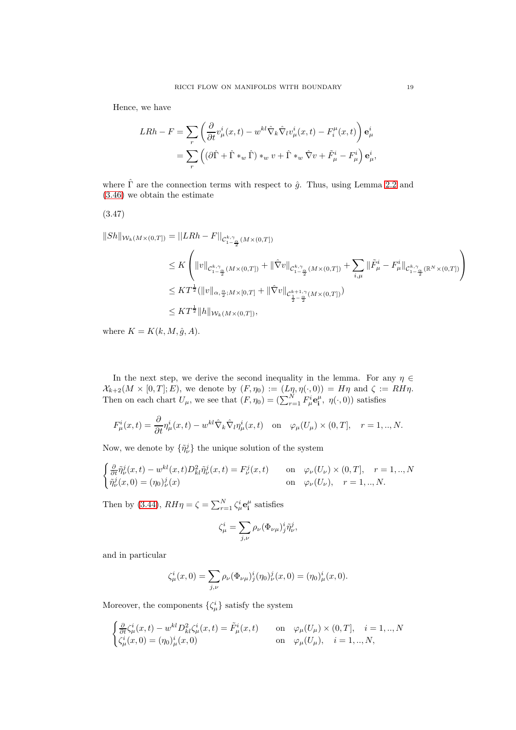Hence, we have

$$
LRh - F = \sum_{r} \left( \frac{\partial}{\partial t} v_{\mu}^{i}(x, t) - w^{kl} \hat{\nabla}_{k} \hat{\nabla}_{l} v_{\mu}^{i}(x, t) - F_{i}^{\mu}(x, t) \right) \mathbf{e}_{\mu}^{i}
$$
  
= 
$$
\sum_{r} \left( (\partial \hat{\Gamma} + \hat{\Gamma} *_{w} \hat{\Gamma}) *_{w} v + \hat{\Gamma} *_{w} \hat{\nabla} v + \tilde{F}_{\mu}^{i} - F_{\mu}^{i} \right) \mathbf{e}_{\mu}^{i},
$$

where  $\hat{\Gamma}$  are the connection terms with respect to  $\hat{g}$ . Thus, using Lemma [2.2](#page-5-0) and [\(3.46\)](#page-17-1) we obtain the estimate

$$
(3.47)
$$

$$
||Sh||_{\mathcal{W}_{k}(M\times(0,T])} = ||LRh - F||_{\mathcal{C}^{k,\gamma}_{1-\frac{\alpha}{2}}(M\times(0,T])}
$$
  
\n
$$
\leq K \left( ||v||_{\mathcal{C}^{k,\gamma}_{1-\frac{\alpha}{2}}(M\times(0,T])} + ||\hat{\nabla}v||_{\mathcal{C}^{k,\gamma}_{1-\frac{\alpha}{2}}(M\times(0,T])} + \sum_{i,\mu} ||\tilde{F}^{i}_{\mu} - F^{i}_{\mu}||_{\mathcal{C}^{k,\gamma}_{1-\frac{\alpha}{2}}(\mathbb{R}^{N}\times(0,T])} \right)
$$
  
\n
$$
\leq KT^{\frac{1}{2}}(||v||_{\alpha,\frac{\alpha}{2};M\times[0,T]} + ||\hat{\nabla}v||_{\mathcal{C}^{k+1,\gamma}_{\frac{1}{2}-\frac{\alpha}{2}}(M\times(0,T])})
$$
  
\n
$$
\leq KT^{\frac{1}{2}}||h||_{\mathcal{W}_{k}(M\times(0,T])},
$$

where  $K = K(k, M, \hat{g}, A)$ .

In the next step, we derive the second inequality in the lemma. For any  $\eta \in$  $\mathcal{X}_{k+2}(M \times [0,T]; E)$ , we denote by  $(F, \eta_0) := (L_{\eta, \eta}(\cdot, 0)) = H\eta$  and  $\zeta := RH\eta$ . Then on each chart  $U_{\mu}$ , we see that  $(F, \eta_0) = (\sum_{r=1}^{N} F_{\mu}^i \mathbf{e}_i^{\mu}, \eta(\cdot, 0))$  satisfies

$$
F_{\mu}^{i}(x,t) = \frac{\partial}{\partial t}\eta_{\mu}^{i}(x,t) - w^{kl}\hat{\nabla}_{k}\hat{\nabla}_{l}\eta_{\mu}^{i}(x,t) \quad \text{on} \quad \varphi_{\mu}(U_{\mu}) \times (0,T], \quad r = 1,..,N.
$$

Now, we denote by  $\{\tilde{\eta}^j_{\nu}\}\)$  the unique solution of the system

$$
\begin{cases} \frac{\partial}{\partial t} \tilde{\eta}_{\nu}^{j}(x,t) - w^{kl}(x,t) D_{kl}^{2} \tilde{\eta}_{\nu}^{j}(x,t) = F_{\nu}^{j}(x,t) & \text{on} \quad \varphi_{\nu}(U_{\nu}) \times (0,T], \quad r = 1,..,N\\ \tilde{\eta}_{\nu}^{j}(x,0) = (\eta_{0})_{\nu}^{j}(x) & \text{on} \quad \varphi_{\nu}(U_{\nu}), \quad r = 1,..,N. \end{cases}
$$

Then by [\(3.44\)](#page-17-0),  $RH\eta = \zeta = \sum_{r=1}^{N} \zeta_{\mu}^{i} e_{\mathbf{i}}^{\mu}$  satisfies

$$
\zeta^i_\mu = \sum_{j,\nu} \rho_\nu (\Phi_{\nu\mu})^i_j \tilde{\eta}^j_\nu,
$$

and in particular

$$
\zeta_{\mu}^{i}(x,0) = \sum_{j,\nu} \rho_{\nu}(\Phi_{\nu\mu})_{j}^{i}(\eta_{0})_{\nu}^{j}(x,0) = (\eta_{0})_{\mu}^{i}(x,0).
$$

Moreover, the components  $\{\zeta^i_\mu\}$  satisfy the system

$$
\begin{cases} \frac{\partial}{\partial t}\zeta^i_\mu(x,t)-w^{kl}D^2_{kl}\zeta^i_\mu(x,t)=\tilde{F}^i_\mu(x,t) & \text{on} \quad \varphi_\mu(U_\mu)\times(0,T], \quad i=1,..,N\\ \zeta^i_\mu(x,0)=(\eta_0)^i_\mu(x,0) & \text{on} \quad \varphi_\mu(U_\mu), \quad i=1,..,N, \end{cases}
$$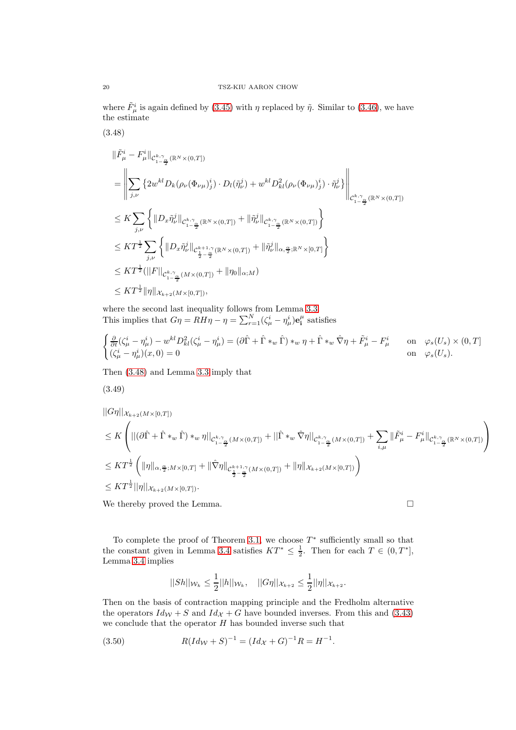where  $\tilde{F}^i_\mu$  is again defined by [\(3.45\)](#page-17-2) with  $\eta$  replaced by  $\tilde{\eta}$ . Similar to [\(3.46\)](#page-17-1), we have the estimate

<span id="page-19-0"></span>
$$
(3.48)
$$

$$
\label{eq:3.13} \begin{split} &\|\tilde{F}^i_\mu-F^i_\mu\|_{\mathcal{C}^{k,\gamma}_{1-\frac{\alpha}{2}}(\mathbb{R}^N\times(0,T])}\\ &=\left\|\sum_{j,\nu}\left\{2w^{kl}D_k(\rho_\nu(\Phi_{\nu\mu})^i_j)\cdot D_l(\tilde{\eta}^j_\nu)+w^{kl}D^2_{kl}(\rho_\nu(\Phi_{\nu\mu})^i_j)\cdot \tilde{\eta}^j_\nu\right\}\right\|_{\mathcal{C}^{k,\gamma}_{1-\frac{\alpha}{2}}(\mathbb{R}^N\times(0,T])}\\ &\leq K\sum_{j,\nu}\left\{\|D_x\tilde{\eta}^j_\nu\|_{\mathcal{C}^{k,\gamma}_{1-\frac{\alpha}{2}}(\mathbb{R}^N\times(0,T])}+\|\tilde{\eta}^j_\nu\|_{\mathcal{C}^{k,\gamma}_{1-\frac{\alpha}{2}}(\mathbb{R}^N\times(0,T])}\right\}\\ &\leq KT^{\frac{1}{2}}\sum_{j,\nu}\left\{\|D_x\tilde{\eta}^j_\nu\|_{\mathcal{C}^{k+1,\gamma}_{\frac{1}{2}-\frac{\alpha}{2}}(\mathbb{R}^N\times(0,T])}+\|\tilde{\eta}^j_\nu\|_{\alpha,\frac{\alpha}{2};\mathbb{R}^N\times[0,T]}\right\}\\ &\leq KT^{\frac{1}{2}}(\|F\|_{\mathcal{C}^{k,\gamma}_{1-\frac{\alpha}{2}}(M\times(0,T])}+\|\eta_0\|_{\alpha;M})\\ &\leq KT^{\frac{1}{2}}\|\eta\|_{\mathcal{X}_{k+2}(M\times[0,T])}, \end{split}
$$

where the second last inequality follows from Lemma [3.3.](#page-14-1) This implies that  $G\eta = RH\eta - \eta = \sum_{r=1}^{N} (\zeta_{\mu}^{i} - \eta_{\mu}^{i}) \mathbf{e}_{i}^{\mu}$  satisfies

$$
\begin{cases} \frac{\partial}{\partial t}(\zeta^i_\mu - \eta^i_\mu) - w^{kl} D^2_{kl}(\zeta^i_\mu - \eta^i_\mu) = (\partial \hat{\Gamma} + \hat{\Gamma} *_{w} \hat{\Gamma}) *_{w} \eta + \hat{\Gamma} *_{w} \hat{\nabla} \eta + \tilde{F}^i_\mu - F^i_\mu & \text{on } \varphi_s(U_s) \times (0, T] \\ (\zeta^i_\mu - \eta^i_\mu)(x, 0) = 0 & \text{on } \varphi_s(U_s). \end{cases}
$$

Then [\(3.48\)](#page-19-0) and Lemma [3.3](#page-14-1) imply that

$$
(3.49)
$$

$$
\begin{split} &||G\eta||_{\mathcal{X}_{k+2}(M\times [0,T])} \\ &\leq K\left(||(\partial\hat{\Gamma}+\hat{\Gamma}*_{w}\hat{\Gamma})*_{w}\eta||_{\mathcal{C}_{1-\frac{\alpha}{2}}^{k,\gamma}(M\times (0,T])}+||\hat{\Gamma}*_{w}\hat{\nabla}\eta||_{\mathcal{C}_{1-\frac{\alpha}{2}}^{k,\gamma}(M\times (0,T])}+\sum_{i,\mu}||\tilde{F}_{\mu}^{i}-F_{\mu}^{i}||_{\mathcal{C}_{1-\frac{\alpha}{2}}^{k,\gamma}(\mathbb{R}^{N}\times (0,T])}\right) \\ &\leq KT^{\frac{1}{2}}\left(||\eta||_{\alpha,\frac{\alpha}{2};M\times [0,T]}+||\hat{\nabla}\eta||_{\mathcal{C}_{\frac{1}{2}-\frac{\alpha}{2}}^{k+1,\gamma}(M\times (0,T])}+||\eta||_{\mathcal{X}_{k+2}(M\times [0,T])}\right) \\ &\leq KT^{\frac{1}{2}}||\eta||_{\mathcal{X}_{k+2}(M\times [0,T])}. \end{split}
$$

We thereby proved the Lemma.  $\hfill \square$ 

To complete the proof of Theorem [3.1,](#page-6-2) we choose  $T^*$  sufficiently small so that the constant given in Lemma [3.4](#page-16-4) satisfies  $KT^* \leq \frac{1}{2}$ . Then for each  $T \in (0, T^*]$ , Lemma [3.4](#page-16-4) implies

$$
||Sh||_{\mathcal{W}_{k}} \leq \frac{1}{2}||h||_{\mathcal{W}_{k}}, \quad ||G\eta||_{\mathcal{X}_{k+2}} \leq \frac{1}{2}||\eta||_{\mathcal{X}_{k+2}}.
$$

Then on the basis of contraction mapping principle and the Fredholm alternative the operators  $Id_{\mathcal{W}} + S$  and  $Id_{\mathcal{X}} + G$  have bounded inverses. From this and [\(3.43\)](#page-16-2) we conclude that the operator  $H$  has bounded inverse such that

(3.50) 
$$
R(Id_{\mathcal{W}} + S)^{-1} = (Id_{\mathcal{X}} + G)^{-1}R = H^{-1}.
$$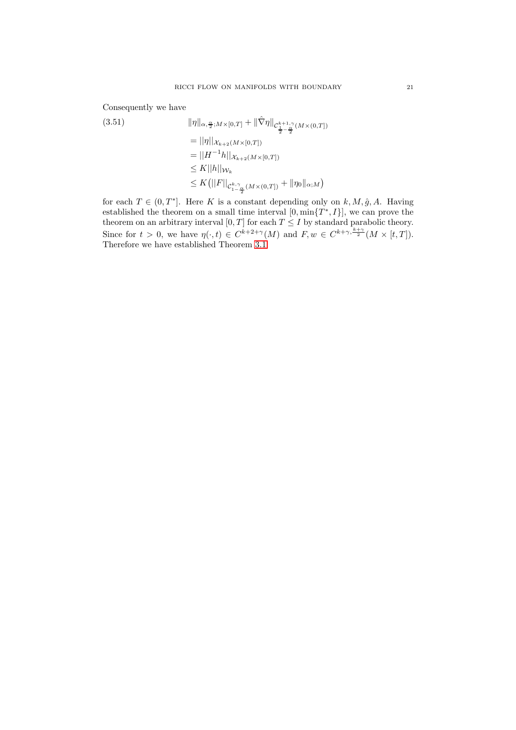Consequently we have

kηkα, <sup>α</sup> 2 ;M×[0,T] <sup>+</sup> k∇<sup>ˆ</sup> <sup>η</sup>k<sup>C</sup> k+1,γ 1 <sup>2</sup> <sup>−</sup> <sup>α</sup> 2 (M×(0,T]) (3.51) = ||η||Xk+2(M×[0,T]) = ||H <sup>−</sup>1h||Xk+2(M×[0,T]) ≤ K||h||W<sup>k</sup> ≤ K ||F||<sup>C</sup> k,γ <sup>1</sup><sup>−</sup> <sup>α</sup> 2 (M×(0,T]) <sup>+</sup> <sup>k</sup>η0kα;<sup>M</sup> 

for each  $T \in (0, T^*]$ . Here K is a constant depending only on  $k, M, \hat{g}, A$ . Having established the theorem on a small time interval  $[0, \min\{T^*, I\}]$ , we can prove the theorem on an arbitrary interval [0, T] for each  $T \leq I$  by standard parabolic theory. Since for  $t > 0$ , we have  $\eta(\cdot, t) \in C^{k+2+\gamma}(M)$  and  $F, w \in C^{k+\gamma, \frac{k+\gamma}{2}}(M \times [t, T]).$ Therefore we have established Theorem [3.1.](#page-6-2)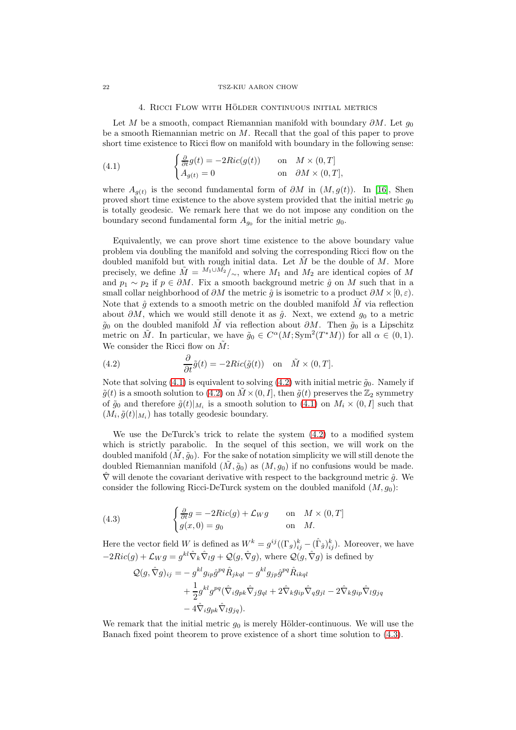## 4. RICCI FLOW WITH HÖLDER CONTINUOUS INITIAL METRICS

<span id="page-21-0"></span>Let M be a smooth, compact Riemannian manifold with boundary  $\partial M$ . Let  $g_0$ be a smooth Riemannian metric on M. Recall that the goal of this paper to prove short time existence to Ricci flow on manifold with boundary in the following sense:

<span id="page-21-1"></span>(4.1) 
$$
\begin{cases} \frac{\partial}{\partial t}g(t) = -2Ric(g(t)) & \text{on} \quad M \times (0,T] \\ A_{g(t)} = 0 & \text{on} \quad \partial M \times (0,T], \end{cases}
$$

where  $A_{g(t)}$  is the second fundamental form of  $\partial M$  in  $(M, g(t))$ . In [\[16\]](#page-54-0), Shen proved short time existence to the above system provided that the initial metric  $g_0$ is totally geodesic. We remark here that we do not impose any condition on the boundary second fundamental form  $A_{g_0}$  for the initial metric  $g_0$ .

Equivalently, we can prove short time existence to the above boundary value problem via doubling the manifold and solving the corresponding Ricci flow on the doubled manifold but with rough initial data. Let  $\tilde{M}$  be the double of M. More precisely, we define  $\tilde{M} = M_1 \cup M_2 \over |\sim\rangle$ , where  $M_1$  and  $M_2$  are identical copies of M and  $p_1 \sim p_2$  if  $p \in \partial M$ . Fix a smooth background metric  $\hat{g}$  on M such that in a small collar neighborhood of  $\partial M$  the metric  $\hat{g}$  is isometric to a product  $\partial M \times [0, \varepsilon)$ . Note that  $\hat{q}$  extends to a smooth metric on the doubled manifold M via reflection about  $\partial M$ , which we would still denote it as  $\hat{g}$ . Next, we extend  $g_0$  to a metric  $\tilde{g}_0$  on the doubled manifold  $\tilde{M}$  via reflection about  $\partial M$ . Then  $\tilde{g}_0$  is a Lipschitz metric on  $\tilde{M}$ . In particular, we have  $\tilde{g}_0 \in C^{\alpha}(M; \text{Sym}^2(T^*M))$  for all  $\alpha \in (0,1)$ . We consider the Ricci flow on  $\tilde{M}$ :

<span id="page-21-2"></span>(4.2) 
$$
\frac{\partial}{\partial t}\tilde{g}(t) = -2Ric(\tilde{g}(t)) \text{ on } \tilde{M} \times (0,T].
$$

Note that solving [\(4.1\)](#page-21-1) is equivalent to solving [\(4.2\)](#page-21-2) with initial metric  $\tilde{g}_0$ . Namely if  $\tilde{g}(t)$  is a smooth solution to [\(4.2\)](#page-21-2) on  $\tilde{M} \times (0, I]$ , then  $\tilde{g}(t)$  preserves the  $\mathbb{Z}_2$  symmetry of  $\tilde{g}_0$  and therefore  $\tilde{g}(t)|_{M_i}$  is a smooth solution to  $(4.1)$  on  $M_i \times (0, I]$  such that  $(M_i, \tilde{g}(t)|_{M_i})$  has totally geodesic boundary.

We use the DeTurck's trick to relate the system [\(4.2\)](#page-21-2) to a modified system which is strictly parabolic. In the sequel of this section, we will work on the doubled manifold  $(M, \tilde{g}_0)$ . For the sake of notation simplicity we will still denote the doubled Riemannian manifold  $(M, \tilde{g}_0)$  as  $(M, g_0)$  if no confusions would be made.  $\hat{\nabla}$  will denote the covariant derivative with respect to the background metric  $\hat{g}$ . We consider the following Ricci-DeTurck system on the doubled manifold  $(M, g_0)$ :

<span id="page-21-3"></span>(4.3) 
$$
\begin{cases} \frac{\partial}{\partial t}g = -2Ric(g) + \mathcal{L}_W g & \text{on} \quad M \times (0,T] \\ g(x,0) = g_0 & \text{on} \quad M. \end{cases}
$$

Here the vector field W is defined as  $W^k = g^{ij}((\Gamma_g)_{ij}^k - (\hat{\Gamma}_{\hat{g}})_{ij}^k)$ . Moreover, we have  $-2Ric(g) + \mathcal{L}_W g = g^{kl}\hat{\nabla}_k \hat{\nabla}_l g + \mathcal{Q}(g, \hat{\nabla}g)$ , where  $\mathcal{Q}(g, \hat{\nabla}g)$  is defined by

$$
Q(g, \hat{\nabla}g)_{ij} = -g^{kl} g_{ip} \hat{g}^{pq} \hat{R}_{jkdl} - g^{kl} g_{jp} \hat{g}^{pq} \hat{R}_{ikql}
$$
  
+ 
$$
\frac{1}{2} g^{kl} g^{pq} (\hat{\nabla}_i g_{pk} \hat{\nabla}_j g_{ql} + 2 \hat{\nabla}_k g_{ip} \hat{\nabla}_q g_{jl} - 2 \hat{\nabla}_k g_{ip} \hat{\nabla}_l g_{jq}
$$
  
- 
$$
4 \hat{\nabla}_i g_{pk} \hat{\nabla}_l g_{jq}).
$$

We remark that the initial metric  $g_0$  is merely Hölder-continuous. We will use the Banach fixed point theorem to prove existence of a short time solution to [\(4.3\)](#page-21-3).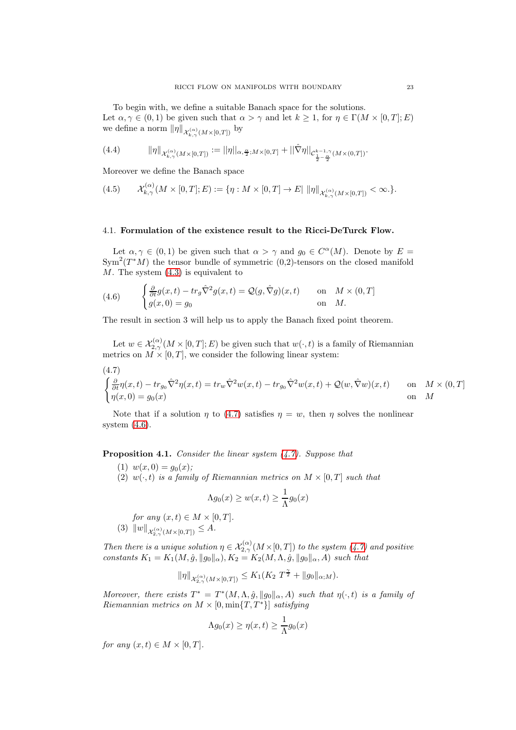To begin with, we define a suitable Banach space for the solutions. Let  $\alpha, \gamma \in (0,1)$  be given such that  $\alpha > \gamma$  and let  $k \geq 1$ , for  $\eta \in \Gamma(M \times [0,T]; E)$ we define a norm  $\|\eta\|_{\mathcal{X}_{k,\gamma}^{(\alpha)}(M\times[0,T])}$  by

(4.4) 
$$
\|\eta\|_{\mathcal{X}_{k,\gamma}^{(\alpha)}(M\times [0,T])} := \|\eta\|_{\alpha,\frac{\alpha}{2};M\times [0,T]} + \|\hat{\nabla}\eta\|_{\mathcal{C}_{\frac{1}{2}-\frac{\alpha}{2}}^{k-1,\gamma}(M\times (0,T])}.
$$

Moreover we define the Banach space

$$
(4.5) \qquad \mathcal{X}_{k,\gamma}^{(\alpha)}(M\times[0,T];E):=\{\eta: M\times[0,T]\to E\left\|\eta\right\|_{\mathcal{X}_{k,\gamma}^{(\alpha)}(M\times[0,T])}<\infty.\}.
$$

#### <span id="page-22-0"></span>4.1. Formulation of the existence result to the Ricci-DeTurck Flow.

Let  $\alpha, \gamma \in (0,1)$  be given such that  $\alpha > \gamma$  and  $g_0 \in C^{\alpha}(M)$ . Denote by  $E =$  $\text{Sym}^2(T^*M)$  the tensor bundle of symmetric (0,2)-tensors on the closed manifold  $M$ . The system  $(4.3)$  is equivalent to

<span id="page-22-2"></span>(4.6) 
$$
\begin{cases} \frac{\partial}{\partial t} g(x,t) - tr_g \hat{\nabla}^2 g(x,t) = \mathcal{Q}(g, \hat{\nabla}g)(x,t) & \text{on} & M \times (0,T] \\ g(x,0) = g_0 & \text{on} & M. \end{cases}
$$

The result in section 3 will help us to apply the Banach fixed point theorem.

Let  $w \in \mathcal{X}_{2,\gamma}^{(\alpha)}(M\times [0,T];E)$  be given such that  $w(\cdot,t)$  is a family of Riemannian metrics on  $M \times [0, T]$ , we consider the following linear system:

<span id="page-22-1"></span>(4.7)  
\n
$$
\begin{cases}\n\frac{\partial}{\partial t}\eta(x,t) - tr_{g_0}\hat{\nabla}^2\eta(x,t) = tr_w\hat{\nabla}^2w(x,t) - tr_{g_0}\hat{\nabla}^2w(x,t) + \mathcal{Q}(w,\hat{\nabla}w)(x,t) & \text{on} \quad M \times (0,T] \\
\eta(x,0) = g_0(x) & \text{on} \quad M\n\end{cases}
$$

Note that if a solution *n* to [\(4.7\)](#page-22-1) satisfies  $n = w$ , then *n* solves the nonlinear system [\(4.6\)](#page-22-2).

<span id="page-22-3"></span>**Proposition 4.1.** Consider the linear system  $(4.7)$ . Suppose that

(1)  $w(x, 0) = g_0(x);$ 

(2)  $w(\cdot, t)$  is a family of Riemannian metrics on  $M \times [0, T]$  such that

$$
\Lambda g_0(x) \ge w(x, t) \ge \frac{1}{\Lambda} g_0(x)
$$

for any  $(x, t) \in M \times [0, T]$ . (3)  $||w||_{\mathcal{X}_{2,\gamma}^{(\alpha)}(M\times[0,T])} \leq A.$ 

Then there is a unique solution  $\eta \in \mathcal{X}_{2,\gamma}^{(\alpha)}(M\times[0,T])$  to the system  $(4.7)$  and positive constants  $K_1 = K_1(M, \hat{g}, \|g_0\|_{\alpha}), K_2 = K_2(M, \Lambda, \hat{g}, \|g_0\|_{\alpha}, A)$  such that

$$
\|\eta\|_{\mathcal{X}_{2,\gamma}^{(\alpha)}(M\times [0,T])}\leq K_1(K_2\;T^{\frac{\gamma}{2}}+\|g_0\|_{\alpha;M}).
$$

Moreover, there exists  $T^* = T^*(M, \Lambda, \hat{g}, ||g_0||_{\alpha}, A)$  such that  $\eta(\cdot, t)$  is a family of Riemannian metrics on  $M \times [0, \min\{T, T^*\}]$  satisfying

$$
\Lambda g_0(x) \ge \eta(x,t) \ge \frac{1}{\Lambda} g_0(x)
$$

for any  $(x, t) \in M \times [0, T]$ .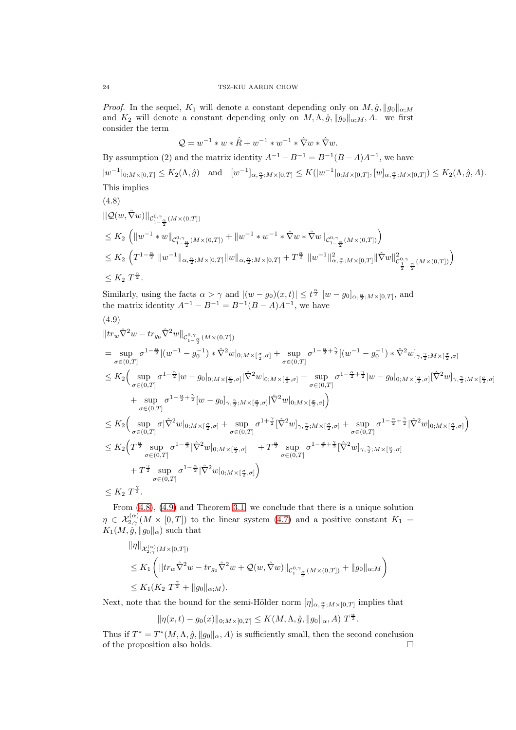*Proof.* In the sequel,  $K_1$  will denote a constant depending only on  $M, \hat{g}, \|g_0\|_{\alpha;M}$ and  $K_2$  will denote a constant depending only on  $M, \Lambda, \hat{g}, ||g_0||_{\alpha;M}, A$ . we first consider the term

$$
Q = w^{-1} * w * \hat{R} + w^{-1} * w^{-1} * \hat{\nabla} w * \hat{\nabla} w.
$$

By assumption (2) and the matrix identity  $A^{-1} - B^{-1} = B^{-1}(B - A)A^{-1}$ , we have  $|w^{-1}|_{0,M\times[0,T]}\leq K_2(\Lambda,\hat{g})\quad\text{and}\quad [w^{-1}]_{\alpha,\frac{\alpha}{2};M\times[0,T]}\leq K(|w^{-1}|_{0,M\times[0,T]},[w]_{\alpha,\frac{\alpha}{2};M\times[0,T]})\leq K_2(\Lambda,\hat{g},A).$ This implies

<span id="page-23-0"></span>
$$
(4.8)
$$

$$
\|Q(w,\hat{\nabla}w)\|_{C_{1-\frac{\alpha}{2}}^{0,\gamma}(M\times(0,T])}
$$
\n
$$
\leq K_2 \left( \|w^{-1} * w\|_{C_{1-\frac{\alpha}{2}}^{0,\gamma}(M\times(0,T])} + \|w^{-1} * w^{-1} * \hat{\nabla}w * \hat{\nabla}w\|_{C_{1-\frac{\alpha}{2}}^{0,\gamma}(M\times(0,T])} \right)
$$
\n
$$
\leq K_2 \left( T^{1-\frac{\alpha}{2}} \|w^{-1}\|_{\alpha,\frac{\alpha}{2};M\times[0,T]} \|w\|_{\alpha,\frac{\alpha}{2};M\times[0,T]} + T^{\frac{\alpha}{2}} \|w^{-1}\|_{\alpha,\frac{\alpha}{2};M\times[0,T]}^2 \| \hat{\nabla}w\|_{C_{\frac{1}{2}-\frac{\alpha}{2}}^{0,\gamma}(M\times(0,T])}^2 \right)
$$
\n
$$
\leq K_2 T^{\frac{\alpha}{2}}.
$$

Similarly, using the facts  $\alpha > \gamma$  and  $|(w - g_0)(x, t)| \leq t^{\frac{\alpha}{2}} [w - g_0]_{\alpha, \frac{\alpha}{2}; M \times [0, T]},$  and the matrix identity  $A^{-1} - B^{-1} = B^{-1}(B - A)A^{-1}$ , we have

<span id="page-23-1"></span>
$$
(4.9)
$$

$$
\begin{split} &\|tr_w\hat{\nabla}^2 w - tr_{g_0}\hat{\nabla}^2 w\|_{\mathcal{C}_{1-\frac{\alpha}{2}}^{0,\gamma}(M\times(0,T])} \\ &= \sup_{\sigma\in(0,T]} \sigma^{1-\frac{\alpha}{2}} |(w^{-1}-g_0^{-1})\ast \hat{\nabla}^2 w|_{0;M\times[\frac{\sigma}{2},\sigma]} + \sup_{\sigma\in(0,T]} \sigma^{1-\frac{\alpha}{2}+\frac{\gamma}{2}} [(w^{-1}-g_0^{-1})\ast \hat{\nabla}^2 w]_{\gamma,\frac{\gamma}{2};M\times[\frac{\sigma}{2},\sigma]} \\ &\leq K_2 \Big(\sup_{\sigma\in(0,T]} \sigma^{1-\frac{\alpha}{2}} |w-g_0|_{0;M\times[\frac{\sigma}{2},\sigma]} |\hat{\nabla}^2 w|_{0;M\times[\frac{\sigma}{2},\sigma]} + \sup_{\sigma\in(0,T]} \sigma^{1-\frac{\alpha}{2}+\frac{\gamma}{2}} |w-g_0|_{0;M\times[\frac{\sigma}{2},\sigma]} |\hat{\nabla}^2 w|_{\gamma,\frac{\gamma}{2};M\times[\frac{\sigma}{2},\sigma]} \\ &\quad + \sup_{\sigma\in(0,T]} \sigma^{1-\frac{\alpha}{2}+\frac{\gamma}{2}} [w-g_0]_{\gamma,\frac{\gamma}{2};M\times[\frac{\sigma}{2},\sigma]} |\hat{\nabla}^2 w|_{0;M\times[\frac{\sigma}{2},\sigma]} \\ &\leq K_2 \Big(\sup_{\sigma\in(0,T]} \sigma |\hat{\nabla}^2 w|_{0;M\times[\frac{\sigma}{2},\sigma]} + \sup_{\sigma\in(0,T]} \sigma^{1+\frac{\gamma}{2}} [\hat{\nabla}^2 w]_{\gamma,\frac{\gamma}{2};M\times[\frac{\sigma}{2},\sigma]} + \sup_{\sigma\in(0,T]} \sigma^{1-\frac{\alpha}{2}+\frac{\gamma}{2}} |\hat{\nabla}^2 w|_{0;M\times[\frac{\sigma}{2},\sigma]} \\ &\leq K_2 \Big(T^{\frac{\alpha}{2}} \sup_{\sigma\in(0,T]} \sigma^{1-\frac{\alpha}{2}} |\hat{\nabla}^2 w|_{0;M\times[\frac{\sigma}{2},\sigma]} + T^{\frac{\alpha}{2}} \sup_{\sigma\in(0,T]} \sigma^{1-\frac{\alpha}{2}+\frac{\gamma}{2}} [\hat{\nabla}^2 w]_{\gamma,\frac{\gamma}{2};M\times
$$

 $\leq K_2 T^{\frac{1}{2}}.$ 

From [\(4.8\)](#page-23-0), [\(4.9\)](#page-23-1) and Theorem [3.1,](#page-6-2) we conclude that there is a unique solution  $\eta \in \mathcal{X}_{2,\gamma}^{(\alpha)}(M\times [0,T])$  to the linear system [\(4.7\)](#page-22-1) and a positive constant  $K_1 =$  $K_1(M, \hat{g}, \|g_0\|_{\alpha})$  such that

$$
\label{eq:3.1} \begin{split} &\|\eta\|_{\mathcal{X}^{(\alpha)}_{2,\gamma}(M\times [0,T])}\\ &\leq K_1\left(\big||tr_w\hat{\nabla}^2 w- tr_{g_0}\hat{\nabla}^2 w +\mathcal{Q}(w,\hat{\nabla} w)||_{\mathcal{C}^{0,\gamma}_{1-\frac{\alpha}{2}}(M\times (0,T])}+\|g_0\|_{\alpha;M}\right)\\ &\leq K_1(K_2\ T^{\frac{\gamma}{2}}+\|g_0\|_{\alpha;M}). \end{split}
$$

Next, note that the bound for the semi-Hölder norm  $[\eta]_{\alpha,\frac{\alpha}{2},M\times[0,T]}$  implies that

$$
\|\eta(x,t) - g_0(x)\|_{0; M \times [0,T]} \leq K(M,\Lambda, \hat{g}, \|g_0\|_{\alpha}, A) T^{\frac{\alpha}{2}}.
$$

Thus if  $T^* = T^*(M, \Lambda, \hat{g}, \|g_0\|_\alpha, A)$  is sufficiently small, then the second conclusion of the proposition also holds.  $\square$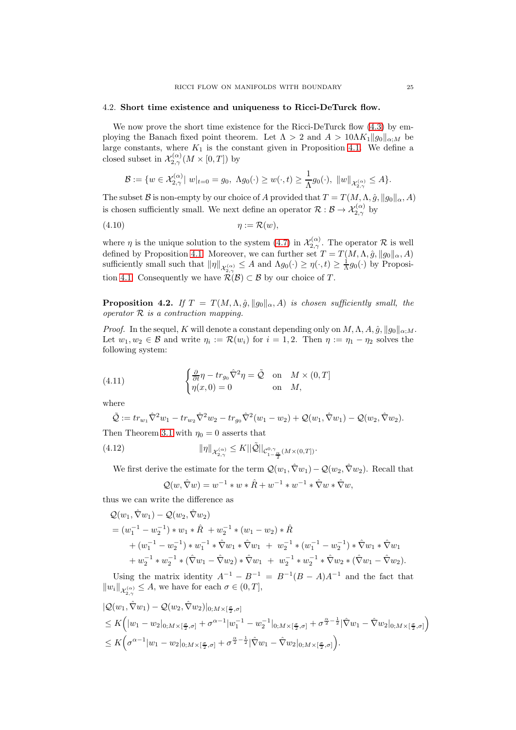## <span id="page-24-0"></span>4.2. Short time existence and uniqueness to Ricci-DeTurck flow.

We now prove the short time existence for the Ricci-DeTurck flow [\(4.3\)](#page-21-3) by employing the Banach fixed point theorem. Let  $\Lambda > 2$  and  $A > 10\Lambda K_1||g_0||_{\alpha;M}$  be large constants, where  $K_1$  is the constant given in Proposition [4.1.](#page-22-3) We define a closed subset in  $\mathcal{X}_{2,\gamma}^{(\alpha)}(M\times [0,T])$  by

$$
\mathcal{B}:=\{w\in\mathcal{X}^{(\alpha)}_{2,\gamma}\vert\ w\vert_{t=0}=g_0,\ \Lambda g_0(\cdot)\geq w(\cdot,t)\geq\frac{1}{\Lambda}g_0(\cdot),\ \Vert w\Vert_{\mathcal{X}^{(\alpha)}_{2,\gamma}}\leq A\}.
$$

The subset B is non-empty by our choice of A provided that  $T = T(M, \Lambda, \hat{g}, \|g_0\|_{\alpha}, A)$ is chosen sufficiently small. We next define an operator  $\mathcal{R}: \mathcal{B} \to \mathcal{X}_{2,\gamma}^{(\alpha)}$  by

$$
(4.10) \t\t \eta := \mathcal{R}(w),
$$

where  $\eta$  is the unique solution to the system [\(4.7\)](#page-22-1) in  $\mathcal{X}_{2,\gamma}^{(\alpha)}$ . The operator  $\mathcal{R}$  is well defined by Proposition [4.1.](#page-22-3) Moreover, we can further set  $T = T(M, \Lambda, \hat{g}, \|g_0\|_{\alpha}, A)$ sufficiently small such that  $\|\eta\|_{\mathcal{X}_{2,\gamma}^{(\alpha)}} \leq A$  and  $\Lambda g_0(\cdot) \geq \eta(\cdot, t) \geq \frac{1}{\Lambda} g_0(\cdot)$  by Proposi-tion [4.1.](#page-22-3) Consequently we have  $\mathcal{R}^{2,\gamma}(\mathcal{B}) \subset \mathcal{B}$  by our choice of T.

**Proposition 4.2.** If  $T = T(M, \Lambda, \hat{g}, ||g_0||_{\alpha}, A)$  is chosen sufficiently small, the operator  $R$  is a contraction mapping.

*Proof.* In the sequel, K will denote a constant depending only on  $M, \Lambda, A, \hat{g}, ||g_0||_{\alpha:M}$ . Let  $w_1, w_2 \in \mathcal{B}$  and write  $\eta_i := \mathcal{R}(w_i)$  for  $i = 1, 2$ . Then  $\eta := \eta_1 - \eta_2$  solves the following system:

(4.11) 
$$
\begin{cases} \frac{\partial}{\partial t} \eta - tr_{g_0} \hat{\nabla}^2 \eta = \tilde{\mathcal{Q}} & \text{on } M \times (0, T] \\ \eta(x, 0) = 0 & \text{on } M, \end{cases}
$$

where

$$
\tilde{\mathcal{Q}} := tr_{w_1} \hat{\nabla}^2 w_1 - tr_{w_2} \hat{\nabla}^2 w_2 - tr_{g_0} \hat{\nabla}^2 (w_1 - w_2) + \mathcal{Q}(w_1, \hat{\nabla} w_1) - \mathcal{Q}(w_2, \hat{\nabla} w_2).
$$

Then Theorem [3.1](#page-6-2) with  $\eta_0 = 0$  asserts that

<span id="page-24-1"></span>(4.12) 
$$
\|\eta\|_{\mathcal{X}_{2,\gamma}^{(\alpha)}} \leq K \|\tilde{\mathcal{Q}}\|_{\mathcal{C}_{1-\frac{\alpha}{2}}^{0,\gamma}(M\times(0,T])}.
$$

We first derive the estimate for the term  $\mathcal{Q}(w_1, \hat{\nabla}w_1) - \mathcal{Q}(w_2, \hat{\nabla}w_2)$ . Recall that

$$
Q(w, \hat{\nabla}w) = w^{-1} * w * \hat{R} + w^{-1} * w^{-1} * \hat{\nabla}w * \hat{\nabla}w,
$$

thus we can write the difference as

$$
Q(w_1, \hat{\nabla}w_1) - Q(w_2, \hat{\nabla}w_2)
$$
  
=  $(w_1^{-1} - w_2^{-1}) * w_1 * \hat{R} + w_2^{-1} * (w_1 - w_2) * \hat{R}$   
+  $(w_1^{-1} - w_2^{-1}) * w_1^{-1} * \hat{\nabla}w_1 * \hat{\nabla}w_1 + w_2^{-1} * (w_1^{-1} - w_2^{-1}) * \hat{\nabla}w_1 * \hat{\nabla}w_1$   
+  $w_2^{-1} * w_2^{-1} * (\hat{\nabla}w_1 - \hat{\nabla}w_2) * \hat{\nabla}w_1 + w_2^{-1} * w_2^{-1} * \hat{\nabla}w_2 * (\hat{\nabla}w_1 - \hat{\nabla}w_2).$ 

Using the matrix identity  $A^{-1} - B^{-1} = B^{-1}(B - A)A^{-1}$  and the fact that  $||w_i||_{\mathcal{X}_{2,\gamma}^{(\alpha)}} \leq A$ , we have for each  $\sigma \in (0,T],$ 

$$
|Q(w_1, \hat{\nabla} w_1) - Q(w_2, \hat{\nabla} w_2)|_{0; M \times [\frac{\sigma}{2}, \sigma]}
$$
  
\n
$$
\leq K\Big(|w_1 - w_2|_{0; M \times [\frac{\sigma}{2}, \sigma]} + \sigma^{\alpha-1}|w_1^{-1} - w_2^{-1}|_{0; M \times [\frac{\sigma}{2}, \sigma]} + \sigma^{\frac{\alpha}{2}-\frac{1}{2}}|\hat{\nabla} w_1 - \hat{\nabla} w_2|_{0; M \times [\frac{\sigma}{2}, \sigma]}\Big)
$$
  
\n
$$
\leq K\Big(\sigma^{\alpha-1}|w_1 - w_2|_{0; M \times [\frac{\sigma}{2}, \sigma]} + \sigma^{\frac{\alpha}{2}-\frac{1}{2}}|\hat{\nabla} w_1 - \hat{\nabla} w_2|_{0; M \times [\frac{\sigma}{2}, \sigma]}\Big).
$$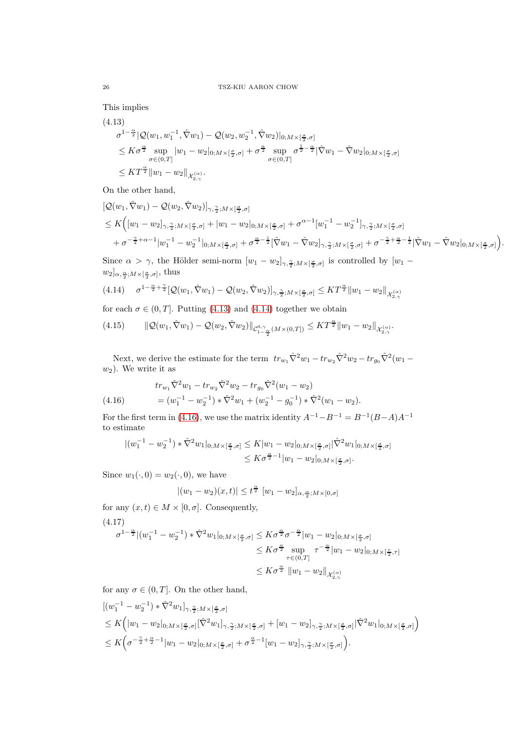This implies

<span id="page-25-0"></span>
$$
(4.13)
$$
\n
$$
\sigma^{1-\frac{\alpha}{2}} |Q(w_1, w_1^{-1}, \hat{\nabla} w_1) - Q(w_2, w_2^{-1}, \hat{\nabla} w_2)|_{0; M \times [\frac{\sigma}{2}, \sigma]}
$$
\n
$$
\leq K \sigma^{\frac{\alpha}{2}} \sup_{\sigma \in (0,T]} |w_1 - w_2|_{0; M \times [\frac{\sigma}{2}, \sigma]} + \sigma^{\frac{\alpha}{2}} \sup_{\sigma \in (0,T]} \sigma^{\frac{1}{2} - \frac{\alpha}{2}} |\hat{\nabla} w_1 - \hat{\nabla} w_2|_{0; M \times [\frac{\sigma}{2}, \sigma]}
$$
\n
$$
\leq K T^{\frac{\alpha}{2}} \|w_1 - w_2\|_{\mathcal{X}_{2,\gamma}^{(\alpha)}}.
$$

On the other hand,

$$
\begin{split} &\left[\mathcal{Q}(w_1,\hat{\nabla}w_1) - \mathcal{Q}(w_2,\hat{\nabla}w_2)\right]_{\gamma,\frac{\gamma}{2};M\times[\frac{\sigma}{2},\sigma]}\\ &\leq K\Big([w_1-w_2]_{\gamma,\frac{\gamma}{2};M\times[\frac{\sigma}{2},\sigma]} + |w_1-w_2|_{0;M\times[\frac{\sigma}{2},\sigma]} + \sigma^{\alpha-1}[w_1^{-1}-w_2^{-1}]_{\gamma,\frac{\gamma}{2};M\times[\frac{\sigma}{2},\sigma]}\\ &+ \sigma^{-\frac{\gamma}{2}+\alpha-1}|w_1^{-1}-w_2^{-1}|_{0;M\times[\frac{\sigma}{2},\sigma]} + \sigma^{\frac{\alpha}{2}-\frac{1}{2}}[\hat{\nabla}w_1-\hat{\nabla}w_2]_{\gamma,\frac{\gamma}{2};M\times[\frac{\sigma}{2},\sigma]} + \sigma^{-\frac{\gamma}{2}+\frac{\alpha}{2}-\frac{1}{2}}|\hat{\nabla}w_1-\hat{\nabla}w_2|_{0;M\times[\frac{\sigma}{2},\sigma]}\Big). \end{split}
$$

Since  $\alpha > \gamma$ , the Hölder semi-norm  $[w_1 - w_2]_{\gamma, \frac{\gamma}{2}; M \times [\frac{\sigma}{2}, \sigma]}$  is controlled by  $[w_1 - w_2]_{\gamma, \frac{\gamma}{2}; M \times [\frac{\sigma}{2}, \sigma]}$  $w_2]_{\alpha,\frac{\alpha}{2};M\times[\frac{\sigma}{2},\sigma]},\text{ thus}$ 

<span id="page-25-1"></span>
$$
(4.14) \quad \sigma^{1-\frac{\alpha}{2}+\frac{\gamma}{2}}[\mathcal{Q}(w_1,\hat{\nabla}w_1)-\mathcal{Q}(w_2,\hat{\nabla}w_2)]_{\gamma,\frac{\gamma}{2};M\times[\frac{\sigma}{2},\sigma]}\leq KT^{\frac{\alpha}{2}}\|w_1-w_2\|_{\mathcal{X}_{2,\gamma}^{(\alpha)}}
$$

for each  $\sigma \in (0, T]$ . Putting [\(4.13\)](#page-25-0) and [\(4.14\)](#page-25-1) together we obtain

<span id="page-25-4"></span>
$$
(4.15) \qquad \|\mathcal{Q}(w_1, \hat{\nabla}w_1) - \mathcal{Q}(w_2, \hat{\nabla}w_2)\|_{\mathcal{C}_{1-\frac{\alpha}{2}}^{0,\gamma}(M \times (0,T])} \leq KT^{\frac{\alpha}{2}} \|w_1 - w_2\|_{\mathcal{X}_{2,\gamma}^{(\alpha)}}.
$$

Next, we derive the estimate for the term  $tr_{w_1}\hat{\nabla}^2 w_1 - tr_{w_2}\hat{\nabla}^2 w_2 - tr_{g_0}\hat{\nabla}^2 (w_1 - \hat{\nabla}^2 w_2)$  $w_2$ ). We write it as

<span id="page-25-2"></span>(4.16) 
$$
tr_{w_1} \hat{\nabla}^2 w_1 - tr_{w_2} \hat{\nabla}^2 w_2 - tr_{g_0} \hat{\nabla}^2 (w_1 - w_2)
$$

$$
= (w_1^{-1} - w_2^{-1}) \cdot \hat{\nabla}^2 w_1 + (w_2^{-1} - g_0^{-1}) \cdot \hat{\nabla}^2 (w_1 - w_2).
$$

For the first term in [\(4.16\)](#page-25-2), we use the matrix identity  $A^{-1} - B^{-1} = B^{-1}(B-A)A^{-1}$ to estimate

$$
\begin{aligned} |(w_1^{-1}-w_2^{-1})\ast\hat{\nabla}^2w_1|_{0;M\times[\frac{\sigma}{2},\sigma]}\leq K|w_1-w_2|_{0;M\times[\frac{\sigma}{2},\sigma]}|\hat{\nabla}^2w_1|_{0;M\times[\frac{\sigma}{2},\sigma]}\\ &\leq K\sigma^{\frac{\alpha}{2}-1}|w_1-w_2|_{0;M\times[\frac{\sigma}{2},\sigma]}. \end{aligned}
$$

Since  $w_1(\cdot, 0) = w_2(\cdot, 0)$ , we have

$$
|(w_1 - w_2)(x, t)| \leq t^{\frac{\alpha}{2}} \ [w_1 - w_2]_{\alpha, \frac{\alpha}{2}; M \times [0, \sigma]}
$$

for any  $(x, t) \in M \times [0, \sigma]$ . Consequently,

<span id="page-25-3"></span>
$$
(4.17)
$$
\n
$$
\sigma^{1-\frac{\alpha}{2}}|(w_1^{-1}-w_2^{-1})*\hat{\nabla}^2 w_1|_{0;M\times[\frac{\sigma}{2},\sigma]} \leq K\sigma^{\frac{\alpha}{2}}\sigma^{-\frac{\alpha}{2}}|w_1-w_2|_{0;M\times[\frac{\sigma}{2},\sigma]}
$$
\n
$$
\leq K\sigma^{\frac{\alpha}{2}}\sup_{\tau\in(0,T]} \tau^{-\frac{\alpha}{2}}|w_1-w_2|_{0;M\times[\frac{\tau}{2},\tau]}
$$
\n
$$
\leq K\sigma^{\frac{\alpha}{2}}\|w_1-w_2\|_{\mathcal{X}_{2,\gamma}^{(\alpha)}}
$$

for any 
$$
\sigma \in (0, T]
$$
. On the other hand,  
\n
$$
[(w_1^{-1} - w_2^{-1}) \times \hat{\nabla}^2 w_1]_{\gamma, \frac{\gamma}{2}; M \times [\frac{\sigma}{2}, \sigma]}
$$
\n
$$
\leq K \Big( |w_1 - w_2|_{0; M \times [\frac{\sigma}{2}, \sigma]} [\hat{\nabla}^2 w_1]_{\gamma, \frac{\gamma}{2}; M \times [\frac{\sigma}{2}, \sigma]} + [w_1 - w_2]_{\gamma, \frac{\gamma}{2}; M \times [\frac{\sigma}{2}, \sigma]} [\hat{\nabla}^2 w_1|_{0; M \times [\frac{\sigma}{2}, \sigma]} \Big)
$$
\n
$$
\leq K \Big( \sigma^{-\frac{\gamma}{2} + \frac{\alpha}{2} - 1} |w_1 - w_2|_{0; M \times [\frac{\sigma}{2}, \sigma]} + \sigma^{\frac{\alpha}{2} - 1} [w_1 - w_2]_{\gamma, \frac{\gamma}{2}; M \times [\frac{\sigma}{2}, \sigma]} \Big).
$$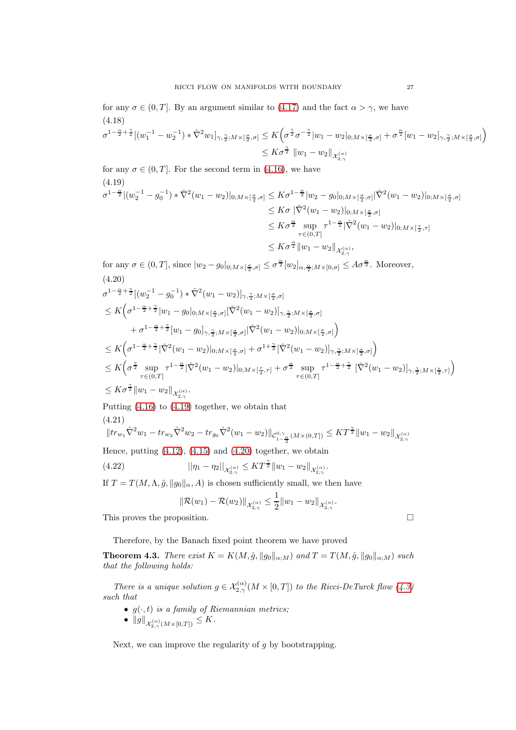for any  $\sigma \in (0, T]$ . By an argument similar to  $(4.17)$  and the fact  $\alpha > \gamma$ , we have  $\sigma^{1-\frac{\alpha}{2}+\frac{\gamma}{2}}[(w_1^{-1}-w_2^{-1})*\hat{\nabla}^2 w_1]_{\gamma,\frac{\gamma}{2};M\times[\frac{\sigma}{2},\sigma]}\leq K\Big(\sigma^{\frac{\gamma}{2}}\sigma^{-\frac{\gamma}{2}}|w_1-w_2|_{0;M\times[\frac{\sigma}{2},\sigma]}+\sigma^{\frac{\alpha}{2}}[w_1-w_2]_{\gamma,\frac{\gamma}{2};M\times[\frac{\sigma}{2},\sigma]}\Big)$ (4.18) γ

$$
\leq K \sigma^{\frac{\boldsymbol{-}}{2}} \, \left\|w_1-w_2\right\|_{\mathcal{X}_{2,\gamma}^{(\alpha)}}
$$

<span id="page-26-0"></span>for any  $\sigma \in (0, T]$ . For the second term in [\(4.16\)](#page-25-2), we have (4.19)

$$
\sigma^{1-\frac{\alpha}{2}}|(w_2^{-1}-g_0^{-1})*\hat{\nabla}^2(w_1-w_2)|_{0;M\times[\frac{\sigma}{2},\sigma]} \leq K\sigma^{1-\frac{\alpha}{2}}|w_2-g_0|_{0;M\times[\frac{\sigma}{2},\sigma]}|\hat{\nabla}^2(w_1-w_2)|_{0;M\times[\frac{\sigma}{2},\sigma]}
$$
  
\n
$$
\leq K\sigma |\hat{\nabla}^2(w_1-w_2)|_{0;M\times[\frac{\sigma}{2},\sigma]}
$$
  
\n
$$
\leq K\sigma^{\frac{\alpha}{2}}\sup_{\tau\in(0,T]} \tau^{1-\frac{\alpha}{2}}|\hat{\nabla}^2(w_1-w_2)|_{0;M\times[\frac{\tau}{2},\tau]}
$$
  
\n
$$
\leq K\sigma^{\frac{\alpha}{2}}\|w_1-w_2\|_{\mathcal{X}_{2,\gamma}^{(\alpha)}},
$$

<span id="page-26-1"></span>for any  $\sigma \in (0,T]$ , since  $|w_2 - g_0|_{0; M \times [\frac{\sigma}{2}, \sigma]} \leq \sigma^{\frac{\alpha}{2}} [w_2]_{\alpha, \frac{\alpha}{2}; M \times [0, \sigma]} \leq A \sigma^{\frac{\alpha}{2}}$ . Moreover, (4.20)

$$
\sigma^{1-\frac{\alpha}{2}+\frac{\gamma}{2}}[(w_2^{-1}-g_0^{-1})*\hat{\nabla}^2(w_1-w_2)]_{\gamma,\frac{\gamma}{2};M\times[\frac{\sigma}{2},\sigma]}
$$
\n
$$
\leq K\Big(\sigma^{1-\frac{\alpha}{2}+\frac{\gamma}{2}}|w_1-g_0|_{0;M\times[\frac{\sigma}{2},\sigma]}|\hat{\nabla}^2(w_1-w_2)|_{\gamma,\frac{\gamma}{2};M\times[\frac{\sigma}{2},\sigma]}
$$
\n
$$
+\sigma^{1-\frac{\alpha}{2}+\frac{\gamma}{2}}[w_1-g_0]_{\gamma,\frac{\gamma}{2};M\times[\frac{\sigma}{2},\sigma]}|\hat{\nabla}^2(w_1-w_2)|_{0;M\times[\frac{\sigma}{2},\sigma]}\Big)
$$
\n
$$
\leq K\Big(\sigma^{1-\frac{\alpha}{2}+\frac{\gamma}{2}}|\hat{\nabla}^2(w_1-w_2)|_{0;M\times[\frac{\sigma}{2},\sigma]} + \sigma^{1+\frac{\gamma}{2}}[\hat{\nabla}^2(w_1-w_2)]_{\gamma,\frac{\gamma}{2};M\times[\frac{\sigma}{2},\sigma]}\Big)
$$
\n
$$
\leq K\Big(\sigma^{\frac{\gamma}{2}}\sup_{\tau\in(0,T]} \tau^{1-\frac{\alpha}{2}}|\hat{\nabla}^2(w_1-w_2)|_{0;M\times[\frac{\tau}{2},\tau]} + \sigma^{\frac{\alpha}{2}}\sup_{\tau\in(0,T]} \tau^{1-\frac{\alpha}{2}+\frac{\gamma}{2}}[\hat{\nabla}^2(w_1-w_2)]_{\gamma,\frac{\gamma}{2};M\times[\frac{\tau}{2},\tau]}\Big)
$$
\n
$$
\leq K\sigma^{\frac{\gamma}{2}}\|w_1-w_2\|_{\mathcal{X}_{2,\gamma}^{(\alpha)}}.
$$

Putting [\(4.16\)](#page-25-2) to [\(4.19\)](#page-26-0) together, we obtain that (4.21)

$$
||tr_{w_1}\hat{\nabla}^2 w_1 - tr_{w_2}\hat{\nabla}^2 w_2 - tr_{g_0}\hat{\nabla}^2 (w_1 - w_2)||_{\mathcal{C}^{0,\gamma}_{1-\frac{\alpha}{2}}(M\times (0,T])} \leq KT^{\frac{\gamma}{2}}||w_1 - w_2||_{\mathcal{X}^{(\alpha)}_{2,\gamma}}
$$

Hence, putting  $(4.12)$ ,  $(4.15)$  and  $(4.20)$  together, we obtain

(4.22) 
$$
||\eta_1 - \eta_2||_{\mathcal{X}_{2,\gamma}^{(\alpha)}} \leq KT^{\frac{\gamma}{2}} ||w_1 - w_2||_{\mathcal{X}_{2,\gamma}^{(\alpha)}}.
$$

If  $T = T(M, \Lambda, \hat{g}, \|g_0\|_{\alpha}, A)$  is chosen sufficiently small, we then have

$$
\|\mathcal{R}(w_1)-\mathcal{R}(w_2)\|_{\mathcal{X}_{2,\gamma}^{(\alpha)}}\leq \frac{1}{2}\|w_1-w_2\|_{\mathcal{X}_{2,\gamma}^{(\alpha)}}.
$$

This proves the proposition.

Therefore, by the Banach fixed point theorem we have proved

<span id="page-26-2"></span>**Theorem 4.3.** There exist  $K = K(M, \hat{g}, \|g_0\|_{\alpha:M})$  and  $T = T(M, \hat{g}, \|g_0\|_{\alpha:M})$  such that the following holds:

There is a unique solution  $g \in \mathcal{X}_{2,\gamma}^{(\alpha)}(M \times [0,T])$  to the Ricci-DeTurck flow  $(4.3)$ such that

- $g(\cdot, t)$  is a family of Riemannian metrics;
- $\bullet \ \|g\|_{\mathcal{X}_{2,\gamma}^{(\alpha)}(M\times [0,T])}\leq K.$

Next, we can improve the regularity of  $q$  by bootstrapping.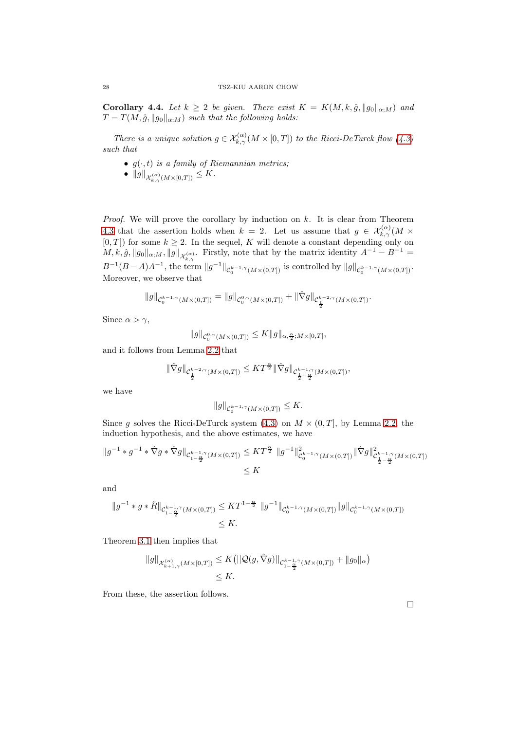<span id="page-27-0"></span>Corollary 4.4. Let  $k \geq 2$  be given. There exist  $K = K(M, k, \hat{g}, ||g_0||_{\alpha;M})$  and  $T = T(M, \hat{g}, \|g_0\|_{\alpha;M})$  such that the following holds:

There is a unique solution  $g \in \mathcal{X}_{k,\gamma}^{(\alpha)}(M \times [0,T])$  to the Ricci-DeTurck flow  $(4.3)$ such that

- $g(\cdot, t)$  is a family of Riemannian metrics;
- $\bullet \ \|g\|_{\mathcal{X}_{k,\gamma}^{(\alpha)}(M\times [0,T])}\leq K.$

*Proof.* We will prove the corollary by induction on  $k$ . It is clear from Theorem [4.3](#page-26-2) that the assertion holds when  $k = 2$ . Let us assume that  $g \in \mathcal{X}_{k,\gamma}^{(\alpha)}(M \times$  $[0, T]$  for some  $k \geq 2$ . In the sequel, K will denote a constant depending only on  $M, k, \hat{g}, \|g_0\|_{\alpha;M}, \|g\|_{\mathcal{X}_{k,\gamma}^{(\alpha)}}$ . Firstly, note that by the matrix identity  $A^{-1} - B^{-1} =$  $B^{-1}(B-A)A^{-1}$ , the term  $||g^{-1}||_{\mathcal{C}_0^{k-1,\gamma}(M\times(0,T])}$  is controlled by  $||g||_{\mathcal{C}_0^{k-1,\gamma}(M\times(0,T])}$ . Moreover, we observe that

$$
||g||_{\mathcal{C}_0^{k-1,\gamma}(M\times(0,T])}=||g||_{\mathcal{C}_0^{0,\gamma}(M\times(0,T])}+||\hat{\nabla}g||_{\mathcal{C}_{\frac{1}{2}}^{k-2,\gamma}(M\times(0,T])}.
$$

Since  $\alpha > \gamma$ ,

$$
||g||_{\mathcal{C}_0^{0,\gamma}(M\times(0,T])}\leq K||g||_{\alpha,\frac{\alpha}{2};M\times[0,T]},
$$

and it follows from Lemma [2.2](#page-5-0) that

$$
\|\hat{\nabla}g\|_{\mathcal{C}^{k-2,\gamma}_{\frac{1}{2}}(M\times(0,T])}\leq KT^{\frac{\alpha}{2}}\|\hat{\nabla}g\|_{\mathcal{C}^{k-1,\gamma}_{\frac{1}{2}-\frac{\alpha}{2}}(M\times(0,T])},
$$

we have

$$
||g||_{\mathcal{C}_0^{k-1,\gamma}(M\times(0,T])}\leq K.
$$

Since g solves the Ricci-DeTurck system [\(4.3\)](#page-21-3) on  $M \times (0,T]$ , by Lemma [2.2,](#page-5-0) the induction hypothesis, and the above estimates, we have

$$
\|g^{-1} \ast g^{-1} \ast \hat{\nabla} g \ast \hat{\nabla} g\|_{\mathcal{C}_{1-\frac{\alpha}{2}}^{k-1,\gamma}(M \times (0,T])} \leq KT^{\frac{\alpha}{2}} \, \|g^{-1}\|_{\mathcal{C}_0^{k-1,\gamma}(M \times (0,T])}^2 \|\hat{\nabla} g\|_{\mathcal{C}_{\frac{1}{2}-\frac{\alpha}{2}}^{k-1,\gamma}(M \times (0,T])}^2
$$
  
\$\leq K\$

and

$$
||g^{-1} * g * \hat{R}||_{\mathcal{C}_{1-\frac{\alpha}{2}}^{k-1,\gamma}(M\times(0,T])} \leq KT^{1-\frac{\alpha}{2}} \ ||g^{-1}||_{\mathcal{C}_0^{k-1,\gamma}(M\times(0,T])} ||g||_{\mathcal{C}_0^{k-1,\gamma}(M\times(0,T])}
$$
  
\$\leq K\$.

Theorem [3.1](#page-6-2) then implies that

$$
||g||_{\mathcal{X}_{k+1,\gamma}^{(\alpha)}(M\times [0,T])} \leq K(||\mathcal{Q}(g,\hat{\nabla}g)||_{\mathcal{C}_{1-\frac{\alpha}{2}}^{k-1,\gamma}(M\times (0,T])} + ||g_0||_{\alpha})
$$
  

$$
\leq K.
$$

From these, the assertion follows.

 $\Box$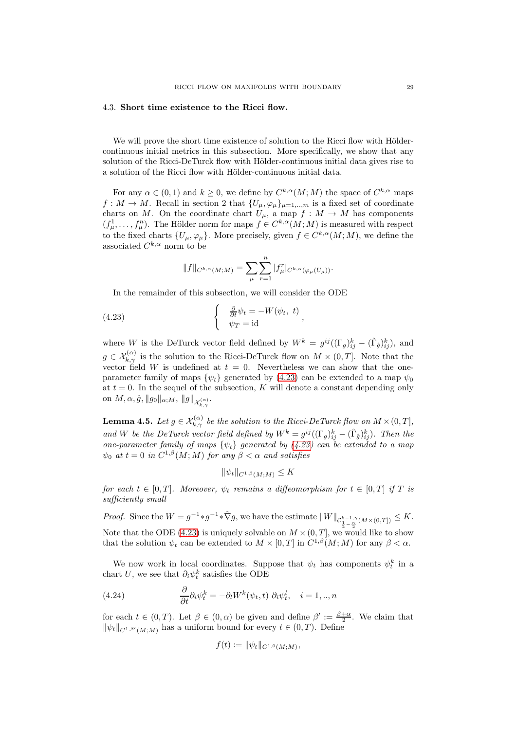# <span id="page-28-0"></span>4.3. Short time existence to the Ricci flow.

We will prove the short time existence of solution to the Ricci flow with Höldercontinuous initial metrics in this subsection. More specifically, we show that any solution of the Ricci-DeTurck flow with Hölder-continuous initial data gives rise to a solution of the Ricci flow with Hölder-continuous initial data.

For any  $\alpha \in (0,1)$  and  $k \geq 0$ , we define by  $C^{k,\alpha}(M;M)$  the space of  $C^{k,\alpha}$  maps  $f: M \to M$ . Recall in section 2 that  $\{U_{\mu}, \varphi_{\mu}\}_{\mu=1,\dots,m}$  is a fixed set of coordinate charts on M. On the coordinate chart  $U_{\mu}$ , a map  $f : M \to M$  has components  $(f_{\mu}^1, \ldots, f_{\mu}^n)$ . The Hölder norm for maps  $f \in C^{k,\alpha}(M;M)$  is measured with respect to the fixed charts  $\{U_{\mu}, \varphi_{\mu}\}\$ . More precisely, given  $f \in C^{k,\alpha}(M;M)$ , we define the associated  $C^{k,\alpha}$  norm to be

$$
||f||_{C^{k,\alpha}(M;M)} = \sum_{\mu} \sum_{r=1}^n |f_{\mu}^r|_{C^{k,\alpha}(\varphi_{\mu}(U_{\mu}))}.
$$

In the remainder of this subsection, we will consider the ODE

<span id="page-28-1"></span>(4.23) 
$$
\begin{cases} \frac{\partial}{\partial t} \psi_t = -W(\psi_t, t) \\ \psi_T = id \end{cases}
$$

where W is the DeTurck vector field defined by  $W^k = g^{ij}((\Gamma_g)_{ij}^k - (\hat{\Gamma}_{\hat{g}})_{ij}^k)$ , and  $g \in \mathcal{X}_{k,\gamma}^{(\alpha)}$  is the solution to the Ricci-DeTurck flow on  $M \times (0,T]$ . Note that the vector field W is undefined at  $t = 0$ . Nevertheless we can show that the oneparameter family of maps  $\{\psi_t\}$  generated by [\(4.23\)](#page-28-1) can be extended to a map  $\psi_0$ at  $t = 0$ . In the sequel of the subsection, K will denote a constant depending only on  $M, \alpha, \hat{g}, \|g_0\|_{\alpha;M}, \|g\|_{\mathcal{X}_{k,\gamma}^{(\alpha)}}.$ 

<span id="page-28-3"></span>**Lemma 4.5.** Let  $g \in \mathcal{X}_{k,\gamma}^{(\alpha)}$  be the solution to the Ricci-DeTurck flow on  $M \times (0,T]$ , and W be the DeTurck vector field defined by  $W^k = g^{ij}((\Gamma_g)_{ij}^k - (\hat{\Gamma}_{\hat{g}})_{ij}^k)$ . Then the one-parameter family of maps  $\{\psi_t\}$  generated by [\(4.23\)](#page-28-1) can be extended to a map  $\psi_0$  at  $t=0$  in  $C^{1,\beta}(M;M)$  for any  $\beta<\alpha$  and satisfies

$$
\|\psi_t\|_{C^{1,\beta}(M;M)} \leq K
$$

for each  $t \in [0, T]$ . Moreover,  $\psi_t$  remains a diffeomorphism for  $t \in [0, T]$  if T is sufficiently small

*Proof.* Since the  $W = g^{-1} * \hat{\nabla}g$ , we have the estimate  $||W||_{\mathcal{C}_{\frac{1}{2}-\frac{\alpha}{2}}^{k-1,\gamma}(M\times(0,T])} \leq K$ . Note that the ODE [\(4.23\)](#page-28-1) is uniquely solvable on  $M \times (0, T]$ , we would like to show that the solution  $\psi_t$  can be extended to  $M \times [0,T]$  in  $C^{1,\beta}(M;M)$  for any  $\beta < \alpha$ .

We now work in local coordinates. Suppose that  $\psi_t$  has components  $\psi_t^k$  in a chart U, we see that  $\partial_i \psi_t^k$  satisfies the ODE

<span id="page-28-2"></span>(4.24) 
$$
\frac{\partial}{\partial t} \partial_i \psi_t^k = -\partial_l W^k(\psi_t, t) \partial_i \psi_t^l, \quad i = 1, ..., n
$$

for each  $t \in (0,T)$ . Let  $\beta \in (0,\alpha)$  be given and define  $\beta' := \frac{\beta+\alpha}{2}$ . We claim that  $\|\psi_t\|_{C^{1,\beta'}(M;M)}$  has a uniform bound for every  $t \in (0,T)$ . Define

$$
f(t) := \|\psi_t\|_{C^{1,0}(M;M)},
$$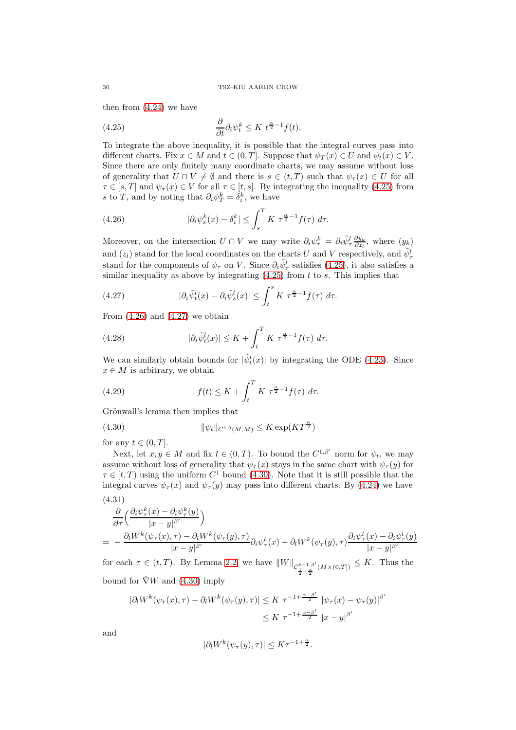then from  $(4.24)$  we have

<span id="page-29-0"></span>(4.25) 
$$
\frac{\partial}{\partial t} \partial_i \psi_t^k \leq K \ t^{\frac{\alpha}{2}-1} f(t).
$$

To integrate the above inequality, it is possible that the integral curves pass into different charts. Fix  $x \in M$  and  $t \in (0, T]$ . Suppose that  $\psi_T(x) \in U$  and  $\psi_t(x) \in V$ . Since there are only finitely many coordinate charts, we may assume without loss of generality that  $U \cap V \neq \emptyset$  and there is  $s \in (t,T)$  such that  $\psi_{\tau}(x) \in U$  for all  $\tau \in [s, T]$  and  $\psi_{\tau}(x) \in V$  for all  $\tau \in [t, s]$ . By integrating the inequality [\(4.25\)](#page-29-0) from s to T, and by noting that  $\partial_i \psi_T^k = \delta_i^k$ , we have

<span id="page-29-1"></span>(4.26) 
$$
|\partial_i \psi_s^k(x) - \delta_i^k| \leq \int_s^T K \ \tau^{\frac{\alpha}{2}-1} f(\tau) \ d\tau.
$$

Moreover, on the intersection  $U \cap V$  we may write  $\partial_i \psi^k_\tau = \partial_i \tilde{\psi}^l_\tau \frac{\partial y_k}{\partial z_l}$ , where  $(y_k)$ and  $(z_l)$  stand for the local coordinates on the charts U and V respectively, and  $\tilde{\psi}^l_\tau$ stand for the components of  $\psi_{\tau}$  on V. Since  $\partial_i \tilde{\psi}^l_{\tau}$  satisfies [\(4.25\)](#page-29-0), it also satisfies a similar inequality as above by integrating  $(4.25)$  from t to s. This implies that

<span id="page-29-2"></span>(4.27) 
$$
|\partial_i \tilde{\psi}_t^l(x) - \partial_i \tilde{\psi}_s^l(x)| \leq \int_t^s K \ \tau^{\frac{\alpha}{2}-1} f(\tau) \ d\tau.
$$

From  $(4.26)$  and  $(4.27)$  we obtain

(4.28) 
$$
|\partial_i \tilde{\psi}_t^l(x)| \leq K + \int_t^T K \ \tau^{\frac{\alpha}{2}-1} f(\tau) \ d\tau.
$$

We can similarly obtain bounds for  $|\tilde{\psi}_t^l(x)|$  by integrating the ODE [\(4.23\)](#page-28-1). Since  $x \in M$  is arbitrary, we obtain

<span id="page-29-4"></span>(4.29) 
$$
f(t) \leq K + \int_t^T K \ \tau^{\frac{\alpha}{2}-1} f(\tau) \ d\tau.
$$

Grönwall's lemma then implies that

<span id="page-29-3"></span>(4.30) 
$$
\|\psi_t\|_{C^{1,0}(M;M)} \le K \exp(KT^{\frac{\alpha}{2}})
$$

for any  $t \in (0, T]$ .

Next, let  $x, y \in M$  and fix  $t \in (0, T)$ . To bound the  $C^{1,\beta'}$  norm for  $\psi_t$ , we may assume without loss of generality that  $\psi_{\tau}(x)$  stays in the same chart with  $\psi_{\tau}(y)$  for  $\tau \in [t, T]$  using the uniform  $C^1$  bound [\(4.30\)](#page-29-3). Note that it is still possible that the integral curves  $\psi_{\tau}(x)$  and  $\psi_{\tau}(y)$  may pass into different charts. By [\(4.24\)](#page-28-2) we have (4.31)

$$
\frac{\partial}{\partial \tau} \left( \frac{\partial_i \psi_\tau^k(x) - \partial_i \psi_\tau^k(y)}{|x - y|^{\beta'}} \right) \n= - \frac{\partial_i W^k(\psi_\tau(x), \tau) - \partial_i W^k(\psi_\tau(y), \tau)}{|x - y|^{\beta'}} \partial_i \psi_\tau^l(x) - \partial_i W^k(\psi_\tau(y), \tau) \frac{\partial_i \psi_\tau^l(x) - \partial_i \psi_\tau^l(y)}{|x - y|^{\beta'}}
$$

for each  $\tau \in (t, T)$ . By Lemma [2.2,](#page-5-0) we have  $||W||_{\mathcal{C}^{k-1,\beta'}_{\frac{1}{2}-\frac{\alpha}{2}}(M\times(0,T])} \leq K$ . Thus the bound for  $\hat{\nabla}W$  and [\(4.30\)](#page-29-3) imply

$$
|\partial_t W^k(\psi_\tau(x), \tau) - \partial_t W^k(\psi_\tau(y), \tau)| \leq K \tau^{-1 + \frac{\alpha - \beta'}{2}} |\psi_\tau(x) - \psi_\tau(y)|^{\beta'}
$$
  

$$
\leq K \tau^{-1 + \frac{\alpha - \beta'}{2}} |x - y|^{\beta'}
$$

and

$$
|\partial_l W^k(\psi_\tau(y), \tau)| \leq K \tau^{-1+\frac{\alpha}{2}}.
$$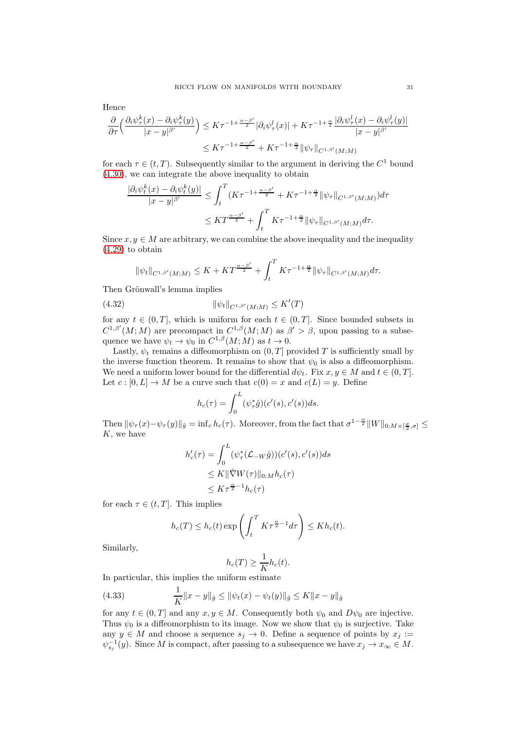Hence

$$
\frac{\partial}{\partial \tau} \Big( \frac{\partial_i \psi_\tau^k(x) - \partial_i \psi_\tau^k(y)}{|x - y|^{\beta'}} \Big) \leq K \tau^{-1 + \frac{\alpha - \beta'}{2}} |\partial_i \psi_\tau^l(x)| + K \tau^{-1 + \frac{\alpha}{2}} \frac{|\partial_i \psi_\tau^l(x) - \partial_i \psi_\tau^l(y)|}{|x - y|^{\beta'}} \leq K \tau^{-1 + \frac{\alpha - \beta'}{2}} + K \tau^{-1 + \frac{\alpha}{2}} \|\psi_\tau\|_{C^{1, \beta'}(M; M)}.
$$

for each  $\tau \in (t, T)$ . Subsequently similar to the argument in deriving the  $C^1$  bound [\(4.30\)](#page-29-3), we can integrate the above inequality to obtain

$$
\frac{|\partial_i \psi_t^k(x) - \partial_i \psi_t^k(y)|}{|x - y|^{\beta'}} \le \int_t^T (K\tau^{-1 + \frac{\alpha - \beta'}{2}} + K\tau^{-1 + \frac{\alpha}{2}} \|\psi_\tau\|_{C^{1, \beta'}(M; M)}) d\tau
$$
  

$$
\le K T^{\frac{\alpha - \beta'}{2}} + \int_t^T K\tau^{-1 + \frac{\alpha}{2}} \|\psi_\tau\|_{C^{1, \beta'}(M; M)} d\tau.
$$

Since  $x, y \in M$  are arbitrary, we can combine the above inequality and the inequality [\(4.29\)](#page-29-4) to obtain

$$
\|\psi_t\|_{C^{1,\beta'}(M;M)} \le K + KT^{\frac{\alpha-\beta'}{2}} + \int_t^T K\tau^{-1+\frac{\alpha}{2}} \|\psi_\tau\|_{C^{1,\beta'}(M;M)} d\tau.
$$

Then Grönwall's lemma implies

(4.32) 
$$
\|\psi_t\|_{C^{1,\beta'}(M;M)} \leq K'(T)
$$

for any  $t \in (0, T]$ , which is uniform for each  $t \in (0, T]$ . Since bounded subsets in  $C^{1,\beta'}(M;M)$  are precompact in  $C^{1,\beta}(M;M)$  as  $\beta' > \beta$ , upon passing to a subsequence we have  $\psi_t \to \psi_0$  in  $C^{1,\beta}(M;M)$  as  $t \to 0$ .

Lastly,  $\psi_t$  remains a diffeomorphism on  $(0, T]$  provided T is sufficiently small by the inverse function theorem. It remains to show that  $\psi_0$  is also a diffeomorphism. We need a uniform lower bound for the differential  $d\psi_t$ . Fix  $x, y \in M$  and  $t \in (0, T]$ . Let  $c : [0, L] \to M$  be a curve such that  $c(0) = x$  and  $c(L) = y$ . Define

$$
h_c(\tau) = \int_0^L (\psi_\tau^* \hat{g}) (c'(s), c'(s)) ds.
$$

Then  $\|\psi_\tau(x)-\psi_\tau(y)\|_{\hat{g}} = \inf_c h_c(\tau)$ . Moreover, from the fact that  $\sigma^{1-\frac{\alpha}{2}}\|W\|_{0;M\times[\frac{\sigma}{2},\sigma]} \leq$  $K$ , we have

$$
h'_c(\tau) = \int_0^L (\psi_\tau^*(\mathcal{L}_{-W}\hat{g})) (c'(s), c'(s)) ds
$$
  
\n
$$
\leq K \|\hat{\nabla}W(\tau)\|_{0;M} h_c(\tau)
$$
  
\n
$$
\leq K\tau^{\frac{\alpha}{2}-1} h_c(\tau)
$$

for each  $\tau \in (t, T]$ . This implies

$$
h_c(T) \le h_c(t) \exp\left(\int_t^T K\tau^{\frac{\alpha}{2}-1} d\tau\right) \le Kh_c(t).
$$

Similarly,

$$
h_c(T) \ge \frac{1}{K} h_c(t).
$$

In particular, this implies the uniform estimate

<span id="page-30-0"></span>(4.33) 
$$
\frac{1}{K}||x - y||_{\hat{g}} \le ||\psi_t(x) - \psi_t(y)||_{\hat{g}} \le K||x - y||_{\hat{g}}
$$

for any  $t \in (0, T]$  and any  $x, y \in M$ . Consequently both  $\psi_0$  and  $D\psi_0$  are injective. Thus  $\psi_0$  is a diffeomorphism to its image. Now we show that  $\psi_0$  is surjective. Take any  $y \in M$  and choose a sequence  $s_j \to 0$ . Define a sequence of points by  $x_j :=$  $\psi_{s_j}^{-1}(y)$ . Since M is compact, after passing to a subsequence we have  $x_j \to x_\infty \in M$ .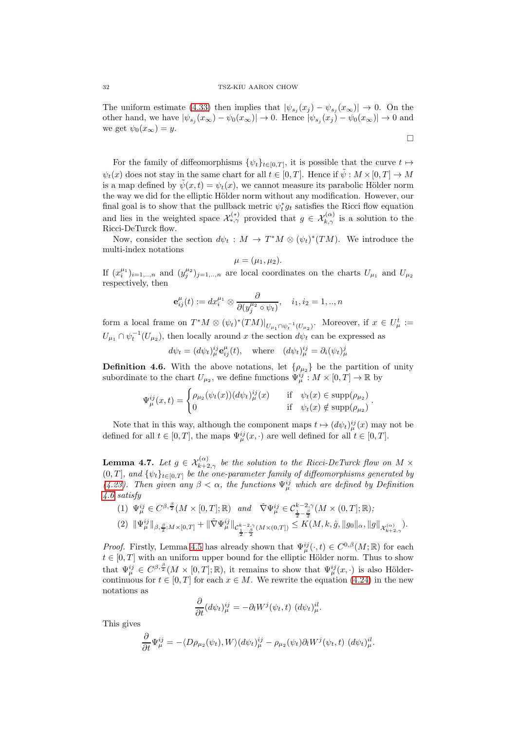The uniform estimate [\(4.33\)](#page-30-0) then implies that  $|\psi_{s_j}(x_j) - \psi_{s_j}(x_{\infty})| \to 0$ . On the other hand, we have  $|\psi_{s_j}(x_{\infty}) - \psi_0(x_{\infty})| \to 0$ . Hence  $|\psi_{s_j}(x_j) - \psi_0(x_{\infty})| \to 0$  and we get  $\psi_0(x_\infty) = y$ .

 $\Box$ 

For the family of diffeomorphisms 
$$
\{\psi_t\}_{t\in[0,T]}
$$
, it is possible that the curve  $t \mapsto \psi_t(x)$  does not stay in the same chart for all  $t \in [0,T]$ . Hence if  $\tilde{\psi}: M \times [0,T] \to M$  is a map defined by  $\tilde{\psi}(x,t) = \psi_t(x)$ , we cannot measure its parabolic Hölder norm the way we did for the elliptic Hölder norm without any modification. However, our final goal is to show that the pullback metric  $\psi_t^* g_t$  satisfies the Ricci flow equation and lies in the weighted space  $\mathcal{X}_{*,\gamma}^{(*)}$  provided that  $g \in \mathcal{X}_{k,\gamma}^{(\alpha)}$  is a solution to the Ricci-DeTurck flow.

Now, consider the section  $d\psi_t : M \to T^*M \otimes (\psi_t)^*(TM)$ . We introduce the multi-index notations

$$
\mu=(\mu_1,\mu_2).
$$

If  $(x_i^{\mu_1})_{i=1,\dots,n}$  and  $(y_j^{\mu_2})_{j=1,\dots,n}$  are local coordinates on the charts  $U_{\mu_1}$  and  $U_{\mu_2}$ respectively, then

$$
\mathbf{e}_{ij}^{\mu}(t) := dx_i^{\mu_1} \otimes \frac{\partial}{\partial (y_j^{\mu_2} \circ \psi_t)}, \quad i_1, i_2 = 1, ..., n
$$

form a local frame on  $T^*M \otimes (\psi_t)^*(TM)|_{U_{\mu_1} \cap \psi_t^{-1}(U_{\mu_2})}$ . Moreover, if  $x \in U^t_\mu :=$  $U_{\mu_1} \cap \psi_t^{-1}(U_{\mu_2})$ , then locally around x the section  $d\psi_t$  can be expressed as

 $d\psi_t = (d\psi_t)^{ij}_{\mu} \mathbf{e}_{ij}^{\mu}(t)$ , where  $(d\psi_t)^{ij}_{\mu} = \partial_i(\psi_t)^j_{\mu}$ 

<span id="page-31-0"></span>**Definition 4.6.** With the above notations, let  $\{\rho_{\mu_2}\}\$  be the partition of unity subordinate to the chart  $U_{\mu_2}$ , we define functions  $\Psi_{\mu}^{ij}: M \times [0,T] \to \mathbb{R}$  by

$$
\Psi_{\mu}^{ij}(x,t) = \begin{cases} \rho_{\mu_2}(\psi_t(x))(d\psi_t)^{ij}_{\mu}(x) & \text{if } \psi_t(x) \in \text{supp}(\rho_{\mu_2})\\ 0 & \text{if } \psi_t(x) \notin \text{supp}(\rho_{\mu_2}) \end{cases}.
$$

Note that in this way, although the component maps  $t \mapsto (d\psi_t)^{ij}_{\mu}(x)$  may not be defined for all  $t \in [0, T]$ , the maps  $\Psi_{\mu}^{ij}(x, \cdot)$  are well defined for all  $t \in [0, T]$ .

<span id="page-31-1"></span>**Lemma 4.7.** Let  $g \in \mathcal{X}_{k+2,\gamma}^{(\alpha)}$  be the solution to the Ricci-DeTurck flow on  $M \times$  $(0,T]$ , and  $\{\psi_t\}_{t\in[0,T]}$  be the one-parameter family of diffeomorphisms generated by [\(4.23\)](#page-28-1). Then given any  $\beta < \alpha$ , the functions  $\Psi_{\mu}^{ij}$  which are defined by Definition [4.6](#page-31-0) satisfy

$$
(1) \ \Psi_{\mu}^{ij} \in C^{\beta, \frac{\beta}{2}}(M \times [0, T]; \mathbb{R}) \ \ and \ \ \hat{\nabla} \Psi_{\mu}^{ij} \in C_{\frac{1}{2} - \frac{\beta}{2}}^{k-2, \gamma}(M \times (0, T]; \mathbb{R});
$$
\n
$$
(2) \ \|\Psi_{\mu}^{ij}\|_{\beta, \frac{\beta}{2}; M \times [0, T]} + \|\hat{\nabla} \Psi_{\mu}^{ij}\|_{C_{\frac{1}{2} - \frac{\beta}{2}}^{k-2, \gamma}(M \times (0, T])} \leq K(M, k, \hat{g}, \|g_0\|_{\alpha}, \|g\|_{\mathcal{X}_{k+2, \gamma}}).
$$

*Proof.* Firstly, Lemma [4.5](#page-28-3) has already shown that  $\Psi_{\mu}^{ij}(\cdot, t) \in C^{0,\beta}(M;\mathbb{R})$  for each  $t \in [0, T]$  with an uniform upper bound for the elliptic Hölder norm. Thus to show that  $\Psi_{\mu}^{ij} \in C^{\beta,\frac{\beta}{2}}(M\times[0,T];\mathbb{R})$ , it remains to show that  $\Psi_{\mu}^{ij}(x,\cdot)$  is also Höldercontinuous for  $t \in [0, T]$  for each  $x \in M$ . We rewrite the equation [\(4.24\)](#page-28-2) in the new notations as

$$
\frac{\partial}{\partial t}(d\psi_t)^{ij}_{\mu} = -\partial_l W^j(\psi_t, t) \ (d\psi_t)^{il}_{\mu}.
$$

This gives

$$
\frac{\partial}{\partial t}\Psi_{\mu}^{ij} = -\langle D\rho_{\mu_2}(\psi_t), W\rangle (d\psi_t)_{\mu}^{ij} - \rho_{\mu_2}(\psi_t)\partial_l W^j(\psi_t, t) (d\psi_t)_{\mu}^{il}.
$$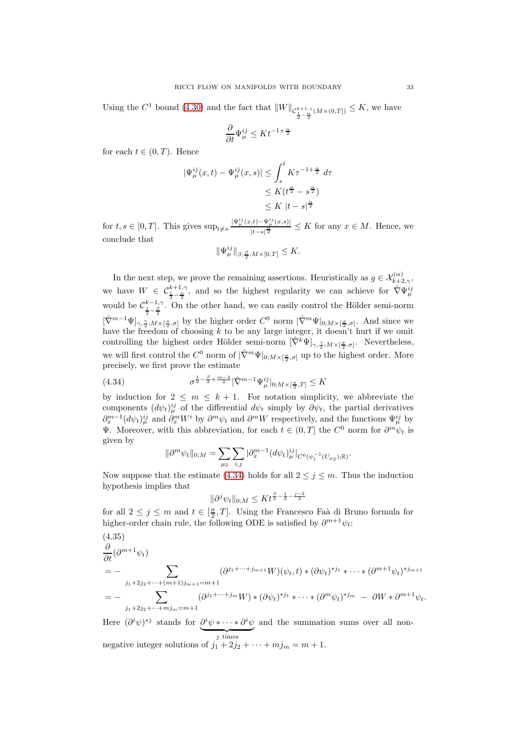Using the  $C^1$  bound [\(4.30\)](#page-29-3) and the fact that  $||W||_{\mathcal{C}_{\frac{1}{2}-\frac{\alpha}{2}}^{k+1,\gamma}(M\times(0,T])} \leq K$ , we have

$$
\frac{\partial}{\partial t} \Psi^{ij}_\mu \leq K t^{-1+\frac{\alpha}{2}}
$$

for each  $t \in (0, T)$ . Hence

$$
|\Psi_{\mu}^{ij}(x,t) - \Psi_{\mu}^{ij}(x,s)| \leq \int_{s}^{t} K \tau^{-1+\frac{\alpha}{2}} d\tau
$$
  

$$
\leq K(t^{\frac{\alpha}{2}} - s^{\frac{\alpha}{2}})
$$
  

$$
\leq K |t - s|^{\frac{\alpha}{2}}
$$

for  $t, s \in [0, T]$ . This gives  $\sup_{t \neq s} \frac{|\Psi_{\mu}^{ij}(x,t) - \Psi_{\mu}^{ij}(x,s)|}{|t-s|^{\frac{\alpha}{2}}}$  $\frac{f^{(t)}(x,y)}{|t-s|^{\frac{\alpha}{2}}} \leq K$  for any  $x \in M$ . Hence, we conclude that

$$
\|\Psi_{\mu}^{ij}\|_{\beta,\frac{\beta}{2};M\times[0,T]}\leq K.
$$

In the next step, we prove the remaining assertions. Heuristically as  $g \in \mathcal{X}_{k+2,\gamma}^{(\alpha)}$ , we have  $W \in C_{\frac{1}{2} - \frac{\alpha}{2}}^{k+1,\gamma}$ , and so the highest regularity we can achieve for  $\hat{\nabla} \Psi_{\mu}^{ij}$ would be  $\mathcal{C}_{\frac{1}{2}-\frac{\beta}{2}}^{k-1,\gamma}$ . On the other hand, we can easily control the Hölder semi-norm  $[\hat{\nabla}^{m-1}\Psi]_{\gamma,\frac{\gamma}{2},M\times[\frac{\sigma}{2},\sigma]}$  by the higher order  $C^0$  norm  $|\hat{\nabla}^m\Psi|_{0,M\times[\frac{\sigma}{2},\sigma]}$ . And since we have the freedom of choosing  $k$  to be any large integer, it doesn't hurt if we omit controlling the highest order Hölder semi-norm  $[\hat{\nabla}^k \Psi]_{\gamma, \frac{\gamma}{2}; M \times [\frac{\sigma}{2}, \sigma]}$ . Nevertheless, we will first control the  $C^0$  norm of  $|\hat{\nabla}^m \Psi|_{0; M \times [\frac{\sigma}{2}, \sigma]}$  up to the highest order. More precisely, we first prove the estimate

<span id="page-32-0"></span>(4.34) 
$$
\sigma^{\frac{1}{2} - \frac{\beta}{2} + \frac{m-2}{2}} |\hat{\nabla}^{m-1} \Psi_{\mu}^{ij}|_{0; M \times [\frac{\sigma}{2}, T]} \leq K
$$

by induction for  $2 \leq m \leq k+1$ . For notation simplicity, we abbreviate the components  $(d\psi_t)^{ij}_{\mu}$  of the differential  $d\psi_t$  simply by  $\partial \psi_t$ , the partial derivatives  $\partial_x^{m-1}(d\psi_t)^{ij}_{\mu}$  and  $\partial_x^m W^i$  by  $\partial^m \psi_t$  and  $\partial^m W$  respectively, and the functions  $\Psi_{\mu}^{ij}$  by **V**. Moreover, with this abbreviation, for each  $t \in (0,T]$  the  $C^0$  norm for  $\partial^m \psi_t$  is given by

$$
\|\partial^m \psi_t\|_{0;M} = \sum_{\mu_2} \sum_{i,j} |\partial_x^{m-1} (d\psi_t)_{\mu}^{ij}|_{C^0(\psi_t^{-1}(U_{\mu_2});\mathbb{R})}.
$$

Now suppose that the estimate [\(4.34\)](#page-32-0) holds for all  $2 \le j \le m$ . Thus the induction hypothesis implies that

$$
\|\partial^j \psi_t\|_{0;M} \le K t^{\frac{\beta}{2} - \frac{1}{2} - \frac{j-2}{2}}
$$

for all  $2 \leq j \leq m$  and  $t \in \left[\frac{\sigma}{2}, T\right]$ . Using the Francesco Faà di Bruno formula for higher-order chain rule, the following ODE is satisfied by  $\partial^{m+1}\psi_i$ :

<span id="page-32-1"></span>
$$
\frac{\partial}{\partial t}(\partial^{m+1}\psi_t) = - \sum_{j_1+2j_2+\cdots+(m+1)j_{m+1}=m+1} (\partial^{j_1+\cdots+j_{m+1}}W)(\psi_t, t) * (\partial \psi_t)^{*j_1} * \cdots * (\partial^{m+1}\psi_t)^{*j_{m+1}} \n= - \sum_{j_1+2j_2+\cdots+mj_m=m+1} (\partial^{j_1+\cdots+j_m}W) * (\partial \psi_t)^{*j_1} * \cdots * (\partial^m \psi_t)^{*j_m} - \partial W * \partial^{m+1}\psi_t.
$$

Here  $(\partial^i \psi)^{*j}$  stands for  $\partial^i \psi \cdot \cdot \cdot \cdot \cdot \partial^i \psi$  ${j \times j}$  times and the summation sums over all nonnegative integer solutions of  $j_1 + 2j_2 + \cdots + mj_m = m + 1$ .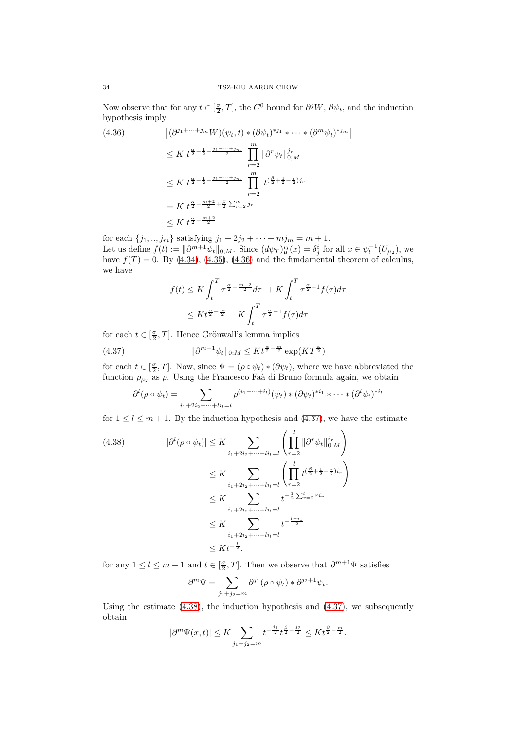Now observe that for any  $t \in [\frac{\sigma}{2}, T]$ , the  $C^0$  bound for  $\partial^j W$ ,  $\partial \psi_t$ , and the induction hypothesis imply

<span id="page-33-0"></span>
$$
(4.36) \qquad |(\partial^{j_1+\cdots+j_m}W)(\psi_t, t) * (\partial \psi_t)^{*j_1} * \cdots * (\partial^m \psi_t)^{*j_m}|
$$
  
\n
$$
\leq K \ t^{\frac{\alpha}{2} - \frac{1}{2} - \frac{j_1 + \cdots + j_m}{2}} \prod_{r=2}^m \|\partial^r \psi_t\|_{0;M}^{j_r}
$$
  
\n
$$
\leq K \ t^{\frac{\alpha}{2} - \frac{1}{2} - \frac{j_1 + \cdots + j_m}{2}} \prod_{r=2}^m t^{(\frac{\beta}{2} + \frac{1}{2} - \frac{r}{2})j_r}
$$
  
\n
$$
= K \ t^{\frac{\alpha}{2} - \frac{m+2}{2} + \frac{\beta}{2} \sum_{r=2}^m j_r}
$$
  
\n
$$
\leq K \ t^{\frac{\alpha}{2} - \frac{m+2}{2}}
$$

for each  $\{j_1, ..., j_m\}$  satisfying  $j_1 + 2j_2 + \cdots + mj_m = m + 1$ . Let us define  $f(t) := ||\partial^{m+1}\psi_t||_{0,M}$ . Since  $(d\psi_T)^{ij}_{\mu}(x) = \delta^i_j$  for all  $x \in \psi_t^{-1}(U_{\mu_2})$ , we have  $f(T) = 0$ . By [\(4.34\)](#page-32-0), [\(4.35\)](#page-32-1), [\(4.36\)](#page-33-0) and the fundamental theorem of calculus, we have

$$
f(t) \leq K \int_{t}^{T} \tau^{\frac{\alpha}{2} - \frac{m+2}{2}} d\tau + K \int_{t}^{T} \tau^{\frac{\alpha}{2} - 1} f(\tau) d\tau
$$
  

$$
\leq K t^{\frac{\alpha}{2} - \frac{m}{2}} + K \int_{t}^{T} \tau^{\frac{\alpha}{2} - 1} f(\tau) d\tau
$$

for each  $t \in [\frac{\sigma}{2}, T]$ . Hence Grönwall's lemma implies

<span id="page-33-1"></span>(4.37) 
$$
\|\partial^{m+1}\psi_t\|_{0;M} \leq Kt^{\frac{\alpha}{2}-\frac{m}{2}}\exp(KT^{\frac{\alpha}{2}})
$$

for each  $t \in [\frac{\sigma}{2}, T]$ . Now, since  $\Psi = (\rho \circ \psi_t) * (\partial \psi_t)$ , where we have abbreviated the function  $\rho_{\mu_2}$  as  $\rho$ . Using the Francesco Faà di Bruno formula again, we obtain

$$
\partial^l(\rho \circ \psi_t) = \sum_{i_1+2i_2+\cdots+i_l=1} \rho^{(i_1+\cdots+i_l)}(\psi_t) * (\partial \psi_t)^{*i_1} * \cdots * (\partial^l \psi_t)^{*i_l}
$$

for  $1 \leq l \leq m+1$ . By the induction hypothesis and [\(4.37\)](#page-33-1), we have the estimate

<span id="page-33-2"></span>
$$
(4.38) \qquad |\partial^{l}(\rho \circ \psi_{t})| \leq K \sum_{i_{1}+2i_{2}+\cdots+i_{l_{l}}=l} \left(\prod_{r=2}^{l} \|\partial^{r}\psi_{t}\|_{0;M}^{i_{r}}\right)
$$

$$
\leq K \sum_{i_{1}+2i_{2}+\cdots+i_{l_{l}}=l} \left(\prod_{r=2}^{l} t^{(\frac{\beta}{2}+\frac{1}{2}-\frac{r}{2})i_{r}}\right)
$$

$$
\leq K \sum_{i_{1}+2i_{2}+\cdots+i_{l_{l}}=l} t^{-\frac{1}{2}\sum_{r=2}^{l}ri_{r}}
$$

$$
\leq K \sum_{i_{1}+2i_{2}+\cdots+i_{l_{l}}=l} t^{-\frac{l-i_{1}}{2}}
$$

$$
\leq K t^{-\frac{l}{2}}.
$$

for any  $1 \leq l \leq m+1$  and  $t \in [\frac{\sigma}{2}, T]$ . Then we observe that  $\partial^{m+1}\Psi$  satisfies

$$
\partial^m \Psi = \sum_{j_1+j_2 = m} \partial^{j_1} (\rho \circ \psi_t) * \partial^{j_2+1} \psi_t.
$$

Using the estimate  $(4.38)$ , the induction hypothesis and  $(4.37)$ , we subsequently obtain

$$
|\partial^m \Psi(x,t)| \le K \sum_{j_1+j_2=m} t^{-\frac{j_1}{2}} t^{\frac{\beta}{2}-\frac{j_2}{2}} \le K t^{\frac{\beta}{2}-\frac{m}{2}}.
$$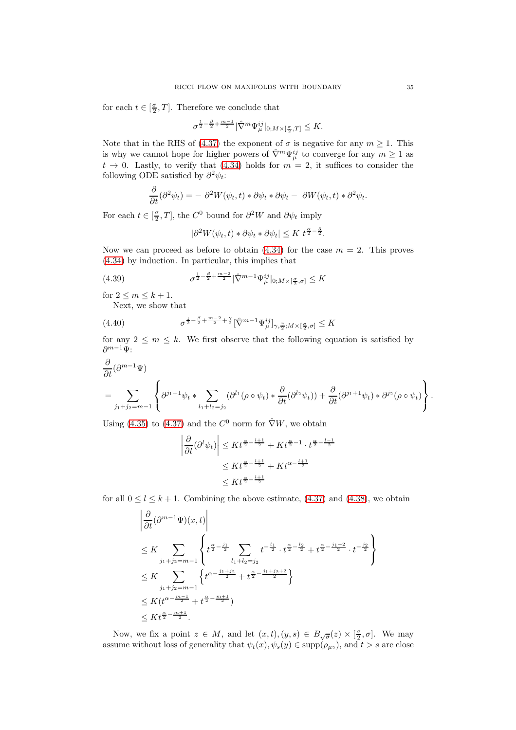for each  $t \in [\frac{\sigma}{2}, T]$ . Therefore we conclude that

$$
\sigma^{\frac{1}{2}-\frac{\beta}{2}+\frac{m-1}{2}}|\hat{\nabla}^m\Psi^{ij}_\mu|_{0;M\times[\frac{\sigma}{2},T]}\leq K.
$$

Note that in the RHS of [\(4.37\)](#page-33-1) the exponent of  $\sigma$  is negative for any  $m \geq 1$ . This is why we cannot hope for higher powers of  $\hat{\nabla}^m \Psi_{\mu}^{ij}$  to converge for any  $m \geq 1$  as  $t \to 0$ . Lastly, to verify that [\(4.34\)](#page-32-0) holds for  $m = 2$ , it suffices to consider the following ODE satisfied by  $\partial^2 \psi_t$ :

$$
\frac{\partial}{\partial t}(\partial^2 \psi_t) = -\partial^2 W(\psi_t, t) * \partial \psi_t * \partial \psi_t - \partial W(\psi_t, t) * \partial^2 \psi_t.
$$

For each  $t \in [\frac{\sigma}{2}, T]$ , the  $C^0$  bound for  $\partial^2 W$  and  $\partial \psi_t$  imply

$$
|\partial^2 W(\psi_t, t) * \partial \psi_t * \partial \psi_t| \leq K t^{\frac{\alpha}{2} - \frac{3}{2}}.
$$

Now we can proceed as before to obtain  $(4.34)$  for the case  $m = 2$ . This proves [\(4.34\)](#page-32-0) by induction. In particular, this implies that

<span id="page-34-0"></span>(4.39) 
$$
\sigma^{\frac{1}{2} - \frac{\beta}{2} + \frac{m-2}{2}} |\hat{\nabla}^{m-1} \Psi_{\mu}^{ij}|_{0; M \times [\frac{\sigma}{2}, \sigma]} \leq K
$$

for  $2 \le m \le k+1$ .

Next, we show that

<span id="page-34-1"></span>(4.40) 
$$
\sigma^{\frac{1}{2} - \frac{\beta}{2} + \frac{m-2}{2} + \frac{\gamma}{2}} [\hat{\nabla}^{m-1} \Psi_{\mu}^{ij}]_{\gamma, \frac{\gamma}{2}; M \times [\frac{\sigma}{2}, \sigma]} \leq K
$$

for any  $2 \leq m \leq k$ . We first observe that the following equation is satisfied by  $\partial^{m-1}\Psi$ :

$$
\frac{\partial}{\partial t}(\partial^{m-1}\Psi)
$$
\n
$$
= \sum_{j_1+j_2=m-1} \left\{ \partial^{j_1+1}\psi_t * \sum_{l_1+l_2=j_2} (\partial^{l_1}(\rho \circ \psi_t) * \frac{\partial}{\partial t}(\partial^{l_2}\psi_t)) + \frac{\partial}{\partial t}(\partial^{j_1+1}\psi_t) * \partial^{j_2}(\rho \circ \psi_t) \right\}.
$$

Using [\(4.35\)](#page-32-1) to [\(4.37\)](#page-33-1) and the  $C^0$  norm for  $\hat{\nabla}W$ , we obtain

$$
\left| \frac{\partial}{\partial t} (\partial^l \psi_t) \right| \le K t^{\frac{\alpha}{2} - \frac{l+1}{2}} + K t^{\frac{\alpha}{2} - 1} \cdot t^{\frac{\alpha}{2} - \frac{l-1}{2}}
$$

$$
\le K t^{\frac{\alpha}{2} - \frac{l+1}{2}} + K t^{\alpha - \frac{l+1}{2}}
$$

$$
\le K t^{\frac{\alpha}{2} - \frac{l+1}{2}}
$$

for all  $0 \le l \le k+1$ . Combining the above estimate, [\(4.37\)](#page-33-1) and [\(4.38\)](#page-33-2), we obtain

$$
\left| \frac{\partial}{\partial t} (\partial^{m-1} \Psi)(x, t) \right|
$$
\n
$$
\leq K \sum_{j_1+j_2=m-1} \left\{ t^{\frac{\alpha}{2} - \frac{j_1}{2}} \sum_{l_1+l_2=j_2} t^{-\frac{l_1}{2}} \cdot t^{\frac{\alpha}{2} - \frac{l_2}{2}} + t^{\frac{\alpha}{2} - \frac{j_1+2}{2}} \cdot t^{-\frac{j_2}{2}} \right\}
$$
\n
$$
\leq K \sum_{j_1+j_2=m-1} \left\{ t^{\alpha - \frac{j_1+j_2}{2}} + t^{\frac{\alpha}{2} - \frac{j_1+j_2+2}{2}} \right\}
$$
\n
$$
\leq K (t^{\alpha - \frac{m-1}{2}} + t^{\frac{\alpha}{2} - \frac{m+1}{2}})
$$
\n
$$
\leq K t^{\frac{\alpha}{2} - \frac{m+1}{2}}.
$$

Now, we fix a point  $z \in M$ , and let  $(x,t), (y,s) \in B_{\sqrt{\sigma}}(z) \times [\frac{\sigma}{2}, \sigma]$ . We may assume without loss of generality that  $\psi_t(x), \psi_s(y) \in \text{supp}(\rho_{\mu_2}),$  and  $t > s$  are close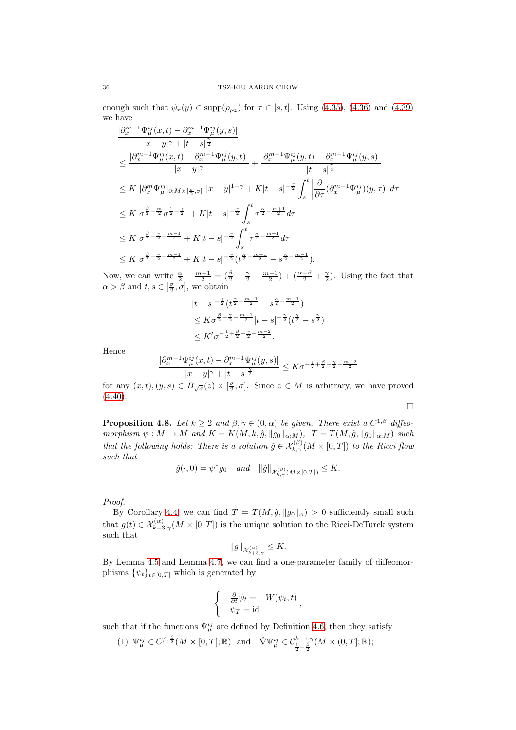enough such that  $\psi_{\tau}(y) \in \text{supp}(\rho_{\mu_2})$  for  $\tau \in [s, t]$ . Using [\(4.35\)](#page-32-1), [\(4.36\)](#page-33-0) and [\(4.39\)](#page-34-0) we have

$$
\frac{|\partial_x^{m-1}\Psi_{\mu}^{ij}(x,t) - \partial_x^{m-1}\Psi_{\mu}^{ij}(y,s)|}{|x - y|^{\gamma} + |t - s|^{\frac{\gamma}{2}}} \n\leq \frac{|\partial_x^{m-1}\Psi_{\mu}^{ij}(x,t) - \partial_x^{m-1}\Psi_{\mu}^{ij}(y,t)|}{|x - y|^{\gamma}} + \frac{|\partial_x^{m-1}\Psi_{\mu}^{ij}(y,t) - \partial_x^{m-1}\Psi_{\mu}^{ij}(y,s)|}{|t - s|^{\frac{\gamma}{2}}} \n\leq K |\partial_x^m\Psi_{\mu}^{ij}|_{0;M \times [\frac{\sigma}{2}, \sigma]} |x - y|^{1 - \gamma} + K|t - s|^{-\frac{\gamma}{2}} \int_s^t \left| \frac{\partial}{\partial \tau} (\partial_x^{m-1}\Psi_{\mu}^{ij})(y, \tau) \right| d\tau \n\leq K \sigma^{\frac{\beta}{2} - \frac{m}{2}} \sigma^{\frac{1}{2} - \frac{\gamma}{2}} + K|t - s|^{-\frac{\gamma}{2}} \int_s^t \tau^{\frac{\alpha}{2} - \frac{m+1}{2}} d\tau \n\leq K \sigma^{\frac{\beta}{2} - \frac{\gamma}{2} - \frac{m-1}{2}} + K|t - s|^{-\frac{\gamma}{2}} \int_s^t \tau^{\frac{\alpha}{2} - \frac{m+1}{2}} d\tau \n\leq K \sigma^{\frac{\beta}{2} - \frac{\gamma}{2} - \frac{m-1}{2}} + K|t - s|^{-\frac{\gamma}{2}} (t^{\frac{\alpha}{2} - \frac{m-1}{2}} - s^{\frac{\alpha}{2} - \frac{m-1}{2}}).
$$

Now, we can write  $\frac{\alpha}{2} - \frac{m-1}{2} = (\frac{\beta}{2} - \frac{\gamma}{2} - \frac{m-1}{2}) + (\frac{\alpha-\beta}{2} + \frac{\gamma}{2})$ . Using the fact that  $\alpha > \beta$  and  $t, s \in [\frac{\sigma}{2}, \sigma]$ , we obtain

$$
|t - s|^{-\frac{\gamma}{2}} (t^{\frac{\alpha}{2} - \frac{m-1}{2}} - s^{\frac{\alpha}{2} - \frac{m-1}{2}})
$$
  
\$\leq K\sigma^{\frac{\beta}{2} - \frac{\gamma}{2} - \frac{m-1}{2}} |t - s|^{-\frac{\gamma}{2}} (t^{\frac{\gamma}{2}} - s^{\frac{\gamma}{2}})  
\$\leq K'\sigma^{-\frac{1}{2} + \frac{\beta}{2} - \frac{\gamma}{2} - \frac{m-2}{2}}.\$

Hence

$$
\frac{|\partial_x^{m-1}\Psi_{\mu}^{ij}(x,t) - \partial_x^{m-1}\Psi_{\mu}^{ij}(y,s)|}{|x - y|^{\gamma} + |t - s|^{\frac{\gamma}{2}}} \leq K\sigma^{-\frac{1}{2} + \frac{\beta}{2} - \frac{\gamma}{2} - \frac{m-2}{2}}
$$

for any  $(x, t), (y, s) \in B_{\sqrt{\sigma}}(z) \times [\frac{\sigma}{2}, \sigma]$ . Since  $z \in M$  is arbitrary, we have proved  $(4.40).$  $(4.40).$ 

 $\Box$ 

<span id="page-35-0"></span>**Proposition 4.8.** Let  $k \geq 2$  and  $\beta, \gamma \in (0, \alpha)$  be given. There exist a  $C^{1,\beta}$  diffeomorphism  $\psi : M \to M$  and  $K = K(M, k, \hat{g}, ||g_0||_{\alpha;M})$ ,  $T = T(M, \hat{g}, ||g_0||_{\alpha;M})$  such that the following holds: There is a solution  $\tilde{g} \in \mathcal{X}_{k,\gamma}^{(\beta)}(M\times [0,T])$  to the Ricci flow such that

$$
\tilde{g}(\cdot,0) = \psi^* g_0 \quad and \quad \|\tilde{g}\|_{\mathcal{X}_{k,\gamma}^{(\beta)}(M \times [0,T])} \leq K.
$$

Proof.

By Corollary [4.4,](#page-27-0) we can find  $T = T(M, \hat{g}, ||g_0||_{\alpha}) > 0$  sufficiently small such that  $g(t) \in \mathcal{X}_{k+3,\gamma}^{(\alpha)}(M \times [0,T])$  is the unique solution to the Ricci-DeTurck system such that

$$
\|g\|_{\mathcal{X}_{k+3,\gamma}^{(\alpha)}} \leq K.
$$

By Lemma [4.5](#page-28-3) and Lemma [4.7,](#page-31-1) we can find a one-parameter family of diffeomorphisms  $\{\psi_t\}_{t\in[0,T]}$  which is generated by

$$
\begin{cases} \frac{\partial}{\partial t} \psi_t = -W(\psi_t, t) \\ \psi_T = \mathrm{id} \end{cases}
$$

,

such that if the functions  $\Psi_{\mu}^{ij}$  are defined by Definition [4.6,](#page-31-0) then they satisfy

(1)  $\Psi_{\mu}^{ij} \in C^{\beta, \frac{\beta}{2}}(M \times [0, T]; \mathbb{R})$  and  $\widehat{\nabla} \Psi_{\mu}^{ij} \in C_{\frac{1}{2} - \frac{\beta}{2}}^{k-1, \gamma}(M \times (0, T]; \mathbb{R});$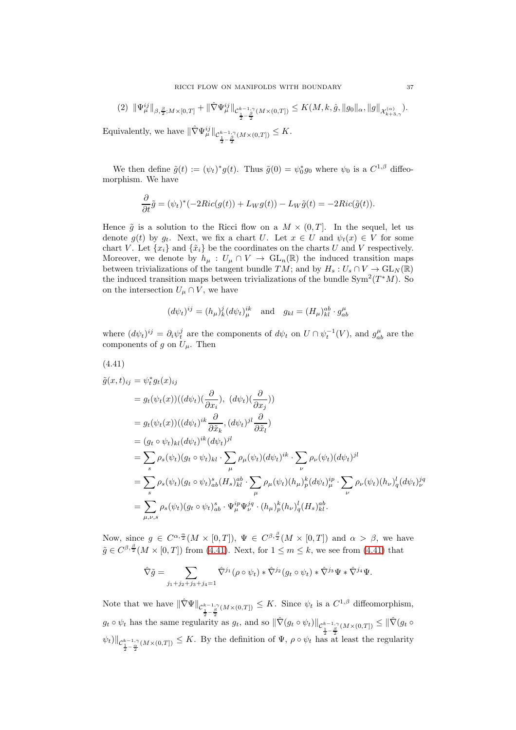$$
(2) \ \|\Psi_{\mu}^{ij}\|_{\beta,\frac{\beta}{2};M\times[0,T]}+\|\hat{\nabla}\Psi_{\mu}^{ij}\|_{\mathcal{C}_{\frac{1}{2}-\frac{\beta}{2}}^{k-1,\gamma}(M\times(0,T])}\leq K(M,k,\hat{g},\|g_0\|_{\alpha},\|g\|_{\mathcal{X}_{k+3,\gamma}^{(\alpha)}}).
$$

Equivalently, we have  $\|\hat{\nabla}\Psi^{ij}_{\mu}\|_{\mathcal{C}_{\frac{1}{2}-\frac{\beta}{2}}^{k-1,\gamma}(M\times(0,T])}\leq K.$ 

We then define  $\tilde{g}(t) := (\psi_t)^* g(t)$ . Thus  $\tilde{g}(0) = \psi_0^* g_0$  where  $\psi_0$  is a  $C^{1,\beta}$  diffeomorphism. We have

$$
\frac{\partial}{\partial t}\tilde{g} = (\psi_t)^*(-2Ric(g(t)) + L_Wg(t)) - L_W\tilde{g}(t) = -2Ric(\tilde{g}(t)).
$$

Hence  $\tilde{g}$  is a solution to the Ricci flow on a  $M \times (0,T]$ . In the sequel, let us denote  $g(t)$  by  $g_t$ . Next, we fix a chart U. Let  $x \in U$  and  $\psi_t(x) \in V$  for some chart V. Let  $\{x_i\}$  and  $\{\tilde{x}_i\}$  be the coordinates on the charts U and V respectively. Moreover, we denote by  $h_\mu: U_\mu \cap V \to GL_n(\mathbb{R})$  the induced transition maps between trivializations of the tangent bundle  $TM$ ; and by  $H_s: U_s \cap V \to GL_N(\mathbb{R})$ the induced transition maps between trivializations of the bundle  $\text{Sym}^2(T^*M)$ . So on the intersection  $U_{\mu} \cap V$ , we have

$$
(d\psi_t)^{ij} = (h_\mu)^j_k (d\psi_t)^{ik}_\mu \quad \text{and} \quad g_{kl} = (H_\mu)^{ab}_{kl} \cdot g^\mu_{ab}
$$

where  $(d\psi_t)^{ij} = \partial_i \psi_t^j$  are the components of  $d\psi_t$  on  $U \cap \psi_t^{-1}(V)$ , and  $g_{ab}^{\mu}$  are the components of g on  $U_{\mu}$ . Then

<span id="page-36-0"></span>
$$
(4.41)
$$
  
\n
$$
\tilde{g}(x, t)_{ij} = \psi_t^* g_t(x)_{ij}
$$
  
\n
$$
= g_t(\psi_t(x))((d\psi_t)(\frac{\partial}{\partial x_i}), (d\psi_t)(\frac{\partial}{\partial x_j}))
$$
  
\n
$$
= g_t(\psi_t(x))((d\psi_t)^{ik}\frac{\partial}{\partial \tilde{x}_k}, (d\psi_t)^{jl}\frac{\partial}{\partial \tilde{x}_l})
$$
  
\n
$$
= (g_t \circ \psi_t)_{kl}(d\psi_t)^{ik}(d\psi_t)^{jl}
$$
  
\n
$$
= \sum_s \rho_s(\psi_t)(g_t \circ \psi_t)_{kl} \cdot \sum_\mu \rho_\mu(\psi_t)(d\psi_t)^{ik} \cdot \sum_\nu \rho_\nu(\psi_t)(d\psi_t)^{jl}
$$
  
\n
$$
= \sum_s \rho_s(\psi_t)(g_t \circ \psi_t)^s_{ab}(H_s)^{ab}_{kl} \cdot \sum_\mu \rho_\mu(\psi_t)(h_\mu)^k_p (d\psi_t)^{ip}_{\mu} \cdot \sum_\nu \rho_\nu(\psi_t)(h_\nu)^l_q (d\psi_t)^{jq}_{\nu}
$$
  
\n
$$
= \sum_{\mu,\nu,s} \rho_s(\psi_t)(g_t \circ \psi_t)^s_{ab} \cdot \Psi_\mu^{ip} \Psi_\nu^{jq} \cdot (h_\mu)^k_p (h_\nu)^l_q (H_s)^{ab}_{kl}.
$$

Now, since  $g \in C^{\alpha, \frac{\alpha}{2}}(M \times [0,T])$ ,  $\Psi \in C^{\beta, \frac{\beta}{2}}(M \times [0,T])$  and  $\alpha > \beta$ , we have  $\tilde{g} \in C^{\beta, \frac{\beta}{2}}(M \times [0, T])$  from [\(4.41\)](#page-36-0). Next, for  $1 \le m \le k$ , we see from (4.41) that

$$
\hat{\nabla}\tilde{g} = \sum_{j_1+j_2+j_3+j_4=1} \hat{\nabla}^{j_1} (\rho \circ \psi_t) * \hat{\nabla}^{j_2} (g_t \circ \psi_t) * \hat{\nabla}^{j_3} \Psi * \hat{\nabla}^{j_4} \Psi.
$$

Note that we have  $\|\hat{\nabla}\Psi\|_{C^{\frac{k-1}{2},\gamma}_{\frac{1}{2}}(M\times(0,T])}\leq K$ . Since  $\psi_t$  is a  $C^{1,\beta}$  diffeomorphism,  $g_t \circ \psi_t$  has the same regularity as  $g_t$ , and so  $\|\hat{\nabla}(g_t \circ \psi_t)\|_{\mathcal{C}^{k-1,\gamma}_{\frac{1}{2}-\frac{\beta}{2}}(M\times(0,T])} \leq \|\hat{\nabla}(g_t \circ \psi_t)\|_{\mathcal{C}^{k-1,\gamma}_{\frac{1}{2}-\frac{\beta}{2}}(M\times(0,T])}$  $\|\psi_t\|_{\mathcal{C}^{k-1,\gamma}_{\frac{1}{2}-\frac{\alpha}{2}}(M\times(0,T])}\leq K.$  By the definition of  $\Psi$ ,  $\rho\circ\psi_t$  has at least the regularity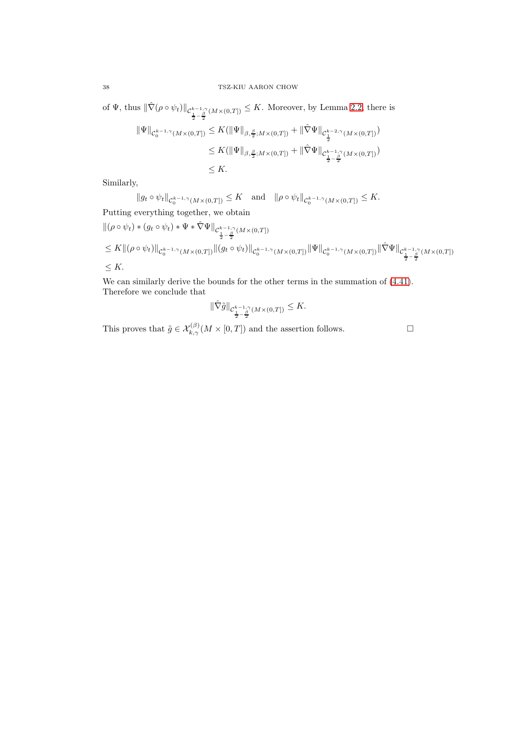of  $\Psi$ , thus  $\|\hat{\nabla}(\rho \circ \psi_t)\|_{\mathcal{C}_{\frac{1}{2}-\frac{\beta}{2}}^{k-1,\gamma}(M\times(0,T])} \leq K$ . Moreover, by Lemma [2.2,](#page-5-0) there is

$$
\begin{split} \|\Psi\|_{\mathcal{C}_0^{k-1,\gamma}(M\times(0,T])} &\leq K(\|\Psi\|_{\beta,\frac{\beta}{2};M\times(0,T])} + \|\hat{\nabla}\Psi\|_{\mathcal{C}_{\frac{1}{2}}^{k-2,\gamma}(M\times(0,T])})\\ &\leq K(\|\Psi\|_{\beta,\frac{\beta}{2};M\times(0,T])} + \|\hat{\nabla}\Psi\|_{\mathcal{C}_{\frac{1}{2}-\frac{\beta}{2}}^{k-1,\gamma}(M\times(0,T])})\\ &\leq K. \end{split}
$$

Similarly,

$$
||g_t \circ \psi_t||_{\mathcal{C}_0^{k-1,\gamma}(M \times (0,T])} \leq K \text{ and } ||\rho \circ \psi_t||_{\mathcal{C}_0^{k-1,\gamma}(M \times (0,T])} \leq K.
$$
 Putting everything together, we obtain

$$
\begin{split} &\|(\rho\circ\psi_t)*(g_t\circ\psi_t)*\Psi*\hat{\nabla}\Psi\|_{\mathcal{C}^{k-1,\gamma}_2(M\times (0,T])}\\ &\leq K\|(\rho\circ\psi_t)\|_{\mathcal{C}^{k-1,\gamma}_0(M\times (0,T])}\|(g_t\circ\psi_t)\|_{\mathcal{C}^{k-1,\gamma}_0(M\times (0,T])}\|\Psi\|_{\mathcal{C}^{k-1,\gamma}_0(M\times (0,T])}\|\hat{\nabla}\Psi\|_{\mathcal{C}^{k-1,\gamma}_2(M\times (0,T])}\\ &\leq K. \end{split}
$$

We can similarly derive the bounds for the other terms in the summation of  $(4.41)$ . Therefore we conclude that

$$
\|\hat \nabla \tilde g\|_{\mathcal{C}^{k-1,\gamma}_{\frac{1}{2}-\frac{\beta}{2}}(M\times (0,T])}\leq K.
$$

This proves that  $\tilde{g} \in \mathcal{X}_{k,\gamma}^{(\beta)}(M \times [0,T])$  and the assertion follows.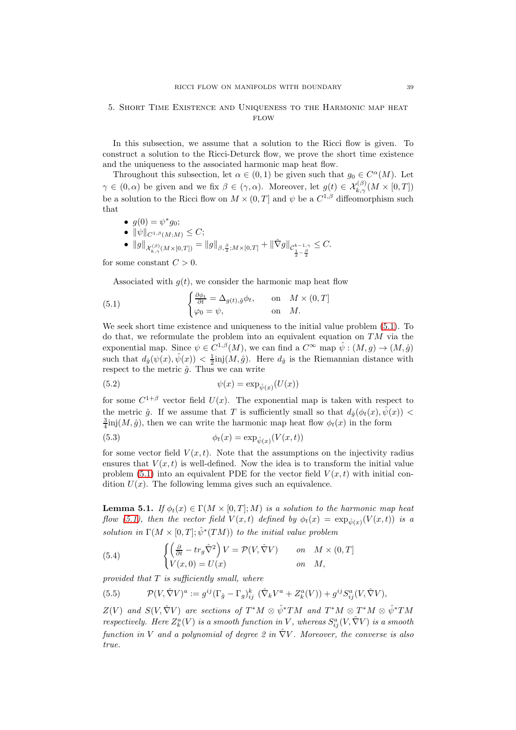## <span id="page-38-0"></span>5. Short Time Existence and Uniqueness to the Harmonic map heat  $FLOW$

In this subsection, we assume that a solution to the Ricci flow is given. To construct a solution to the Ricci-Deturck flow, we prove the short time existence and the uniqueness to the associated harmonic map heat flow.

Throughout this subsection, let  $\alpha \in (0,1)$  be given such that  $g_0 \in C^{\alpha}(M)$ . Let  $\gamma \in (0, \alpha)$  be given and we fix  $\beta \in (\gamma, \alpha)$ . Moreover, let  $g(t) \in \mathcal{X}_{k,\gamma}^{(\beta)}(M \times [0, T])$ be a solution to the Ricci flow on  $M \times (0,T]$  and  $\psi$  be a  $C^{1,\beta}$  diffeomorphism such that

• 
$$
g(0) = \psi^* g_0;
$$
  
\n•  $\|\psi\|_{C^{1,\beta}(M;M)} \leq C;$   
\n•  $\|g\|_{\mathcal{X}_{k,\gamma}^{(\beta)}(M\times [0,T])} = \|g\|_{\beta,\frac{\beta}{2};M\times [0,T]} + \|\hat{\nabla}g\|_{\mathcal{C}_{\frac{1}{2}-\frac{\beta}{2}}^{k-1,\gamma}} \leq C.$ 

for some constant  $C > 0$ .

Associated with  $g(t)$ , we consider the harmonic map heat flow

<span id="page-38-1"></span>(5.1) 
$$
\begin{cases} \frac{\partial \phi_t}{\partial t} = \Delta_{g(t), \hat{g}} \phi_t, & \text{on } M \times (0, T] \\ \varphi_0 = \psi, & \text{on } M. \end{cases}
$$

We seek short time existence and uniqueness to the initial value problem [\(5.1\)](#page-38-1). To do that, we reformulate the problem into an equivalent equation on  $TM$  via the exponential map. Since  $\psi \in C^{1,\beta}(M)$ , we can find a  $C^{\infty}$  map  $\hat{\psi} : (M,g) \to (M,\hat{g})$ such that  $d_{\hat{g}}(\psi(x), \hat{\psi}(x)) < \frac{1}{2}$ inj $(M, \hat{g})$ . Here  $d_{\hat{g}}$  is the Riemannian distance with respect to the metric  $\hat{g}$ . Thus we can write

(5.2) 
$$
\psi(x) = \exp_{\hat{\psi}(x)}(U(x))
$$

for some  $C^{1+\beta}$  vector field  $U(x)$ . The exponential map is taken with respect to the metric  $\hat{g}$ . If we assume that T is sufficiently small so that  $d_{\hat{g}}(\phi_t(x), \hat{\psi}(x))$  <  $\frac{3}{4}$ inj $(M, \hat{g})$ , then we can write the harmonic map heat flow  $\phi_t(x)$  in the form

(5.3) 
$$
\phi_t(x) = \exp_{\hat{\psi}(x)}(V(x,t))
$$

for some vector field  $V(x, t)$ . Note that the assumptions on the injectivity radius ensures that  $V(x, t)$  is well-defined. Now the idea is to transform the initial value problem [\(5.1\)](#page-38-1) into an equivalent PDE for the vector field  $V(x, t)$  with initial condition  $U(x)$ . The following lemma gives such an equivalence.

<span id="page-38-3"></span>**Lemma 5.1.** If  $\phi_t(x) \in \Gamma(M \times [0,T]; M)$  is a solution to the harmonic map heat flow [\(5.1\)](#page-38-1), then the vector field  $V(x,t)$  defined by  $\phi_t(x) = \exp_{\hat{\psi}(x)}(V(x,t))$  is a solution in  $\Gamma(M \times [0,T]; \hat{\psi}^*(TM))$  to the initial value problem

<span id="page-38-2"></span>(5.4) 
$$
\begin{cases} \left(\frac{\partial}{\partial t} - tr_g \hat{\nabla}^2\right) V = \mathcal{P}(V, \hat{\nabla}V) & \text{on} & M \times (0, T] \\ V(x, 0) = U(x) & \text{on} & M, \end{cases}
$$

provided that  $T$  is sufficiently small, where

(5.5) 
$$
\mathcal{P}(V, \hat{\nabla}V)^a := g^{ij}(\Gamma_{\hat{g}} - \Gamma_g)_{ij}^k (\hat{\nabla}_k V^a + Z_k^a(V)) + g^{ij} S_{ij}^a(V, \hat{\nabla}V),
$$

 $Z(V)$  and  $S(V, \hat{\nabla}V)$  are sections of  $T^*M \otimes \hat{\psi}^*TM$  and  $T^*M \otimes \tilde{\chi}^*M \otimes \hat{\psi}^*TM$ respectively. Here  $Z_k^a(V)$  is a smooth function in V, whereas  $S_{ij}^a(V, \hat{\nabla}V)$  is a smooth function in V and a polynomial of degree 2 in  $\hat{\nabla}V$ . Moreover, the converse is also true.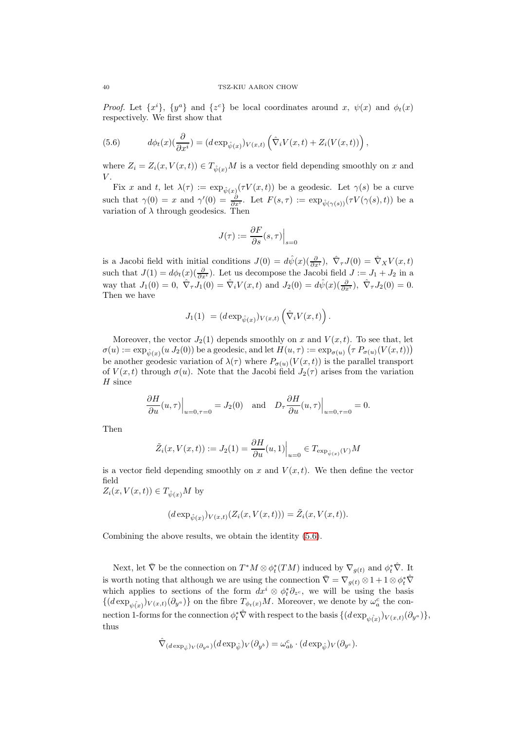*Proof.* Let  $\{x^{i}\}, \{y^{a}\}$  and  $\{z^{c}\}\$ be local coordinates around x,  $\psi(x)$  and  $\phi_t(x)$ respectively. We first show that

<span id="page-39-0"></span>(5.6) 
$$
d\phi_t(x)(\frac{\partial}{\partial x^i}) = (d \exp_{\hat{\psi}(x)})_{V(x,t)} (\hat{\nabla}_i V(x,t) + Z_i(V(x,t))) ,
$$

where  $Z_i = Z_i(x, V(x, t)) \in T_{\hat{\psi}(x)}M$  is a vector field depending smoothly on x and  $V$ .

Fix x and t, let  $\lambda(\tau) := \exp_{\hat{\psi}(x)}(\tau V(x,t))$  be a geodesic. Let  $\gamma(s)$  be a curve such that  $\gamma(0) = x$  and  $\gamma'(0) = \frac{\partial}{\partial x^i}$ . Let  $F(s,\tau) := \exp_{\hat{\psi}(\gamma(s))}(\tau V(\gamma(s),t))$  be a variation of  $\lambda$  through geodesics. Then

$$
J(\tau) := \frac{\partial F}{\partial s}(s, \tau)\Big|_{s=0}
$$

is a Jacobi field with initial conditions  $J(0) = d\hat{\psi}(x) \left(\frac{\partial}{\partial x^i}\right), \ \hat{\nabla}_\tau J(0) = \hat{\nabla}_X V(x, t)$ such that  $J(1) = d\phi_t(x)(\frac{\partial}{\partial x^i})$ . Let us decompose the Jacobi field  $J := J_1 + J_2$  in a way that  $J_1(0) = 0$ ,  $\hat{\nabla}_{\tau} J_1(0) = \hat{\nabla}_i V(x, t)$  and  $J_2(0) = d\hat{\psi}(x) (\frac{\partial}{\partial x^i})$ ,  $\hat{\nabla}_{\tau} J_2(0) = 0$ . Then we have

$$
J_1(1) = (d \exp_{\hat{\psi}(x)})_{V(x,t)} \left(\hat{\nabla}_i V(x,t)\right).
$$

Moreover, the vector  $J_2(1)$  depends smoothly on x and  $V(x, t)$ . To see that, let  $\sigma(u) := \exp_{\hat{\psi}(x)}(u \cdot J_2(0))$  be a geodesic, and let  $H(u, \tau) := \exp_{\sigma(u)}(\tau P_{\sigma(u)}(V(x,t)))$ be another geodesic variation of  $\lambda(\tau)$  where  $P_{\sigma(u)}(V(x,t))$  is the parallel transport of  $V(x,t)$  through  $\sigma(u)$ . Note that the Jacobi field  $J_2(\tau)$  arises from the variation  $H$  since

$$
\frac{\partial H}{\partial u}(u,\tau)\Big|_{u=0,\tau=0} = J_2(0) \text{ and } D_\tau \frac{\partial H}{\partial u}(u,\tau)\Big|_{u=0,\tau=0} = 0.
$$

Then

$$
\tilde{Z}_i(x, V(x,t)) := J_2(1) = \frac{\partial H}{\partial u}(u,1)\Big|_{u=0} \in T_{\exp_{\hat{\psi}(x)}(V)}M
$$

is a vector field depending smoothly on x and  $V(x, t)$ . We then define the vector field

 $Z_i(x, V(x, t)) \in T_{\hat{\psi}(x)}M$  by

$$
(d \exp_{\hat{\psi}(x)})_{V(x,t)}(Z_i(x, V(x,t))) = \tilde{Z}_i(x, V(x,t)).
$$

Combining the above results, we obtain the identity [\(5.6\)](#page-39-0).

Next, let  $\bar{\nabla}$  be the connection on  $T^*M \otimes \phi_t^*(TM)$  induced by  $\nabla_{g(t)}$  and  $\phi_t^* \hat{\nabla}$ . It is worth noting that although we are using the connection  $\bar{\nabla} = \nabla_{g(t)} \otimes 1 + 1 \otimes \phi_t^* \hat{\nabla}$ which applies to sections of the form  $dx^i \otimes \phi_t^* \partial_{z^c}$ , we will be using the basis  $\{(d \exp_{\psi(x)})_{V(x,t)}(\partial_{y^a})\}$  on the fibre  $T_{\phi_t(x)}M$ . Moreover, we denote by  $\omega_a^c$  the connection 1-forms for the connection  $\phi_t^* \hat{\nabla}$  with respect to the basis  $\{ (d \exp_{\hat{\psi(x)}})_{V(x,t)} (\partial_{y^a}) \},$ thus

$$
\hat{\nabla}_{(d\exp_{\hat{\psi}})V}(\partial_{y^a})(d\exp_{\hat{\psi}})_{V}(\partial_{y^b})=\omega_{ab}^c\cdot(d\exp_{\hat{\psi}})_{V}(\partial_{y^c}).
$$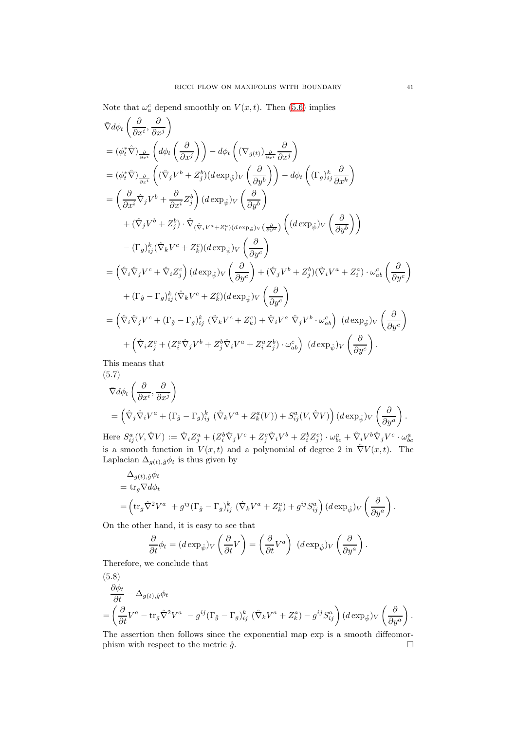Note that 
$$
\omega_a^c
$$
 depend smoothly on  $V(x, t)$ . Then (5.6) implies  
\n
$$
\nabla d\phi_t \left( \frac{\partial}{\partial x^i}, \frac{\partial}{\partial x^j} \right)
$$
\n
$$
= (\phi_t^* \hat{\nabla})_{\frac{\partial}{\partial x^i}} \left( d\phi_t \left( \frac{\partial}{\partial x^j} \right) \right) - d\phi_t \left( (\nabla_{g(t)})_{\frac{\partial}{\partial x^i}} \frac{\partial}{\partial x^j} \right)
$$
\n
$$
= (\phi_t^* \hat{\nabla})_{\frac{\partial}{\partial x^i}} \left( (\hat{\nabla}_j V^b + Z^b_j) (d \exp_{\hat{\psi}}) V \left( \frac{\partial}{\partial y^b} \right) \right) - d\phi_t \left( (\Gamma_g)_{ij}^k \frac{\partial}{\partial x^k} \right)
$$
\n
$$
= \left( \frac{\partial}{\partial x^i} \hat{\nabla}_j V^b + \frac{\partial}{\partial x^i} Z^b_j \right) (d \exp_{\hat{\psi}}) V \left( \frac{\partial}{\partial y^b} \right)
$$
\n
$$
+ (\hat{\nabla}_j V^b + Z^b_j) \cdot \hat{\nabla}_{(\hat{\nabla}_i V^a + Z^a_i) (d \exp_{\hat{\psi}}) V \left( \frac{\partial}{\partial y^a} \right)} \left( (d \exp_{\hat{\psi}}) V \left( \frac{\partial}{\partial y^b} \right) \right)
$$
\n
$$
- (\Gamma_g)_{ij}^k (\hat{\nabla}_k V^c + Z^c_k) (d \exp_{\hat{\psi}}) V \left( \frac{\partial}{\partial y^c} \right)
$$
\n
$$
= \left( \hat{\nabla}_i \hat{\nabla}_j V^c + \hat{\nabla}_i Z^c_j \right) (d \exp_{\hat{\psi}}) V \left( \frac{\partial}{\partial y^c} \right)
$$
\n
$$
+ (\Gamma_{\hat{g}} - \Gamma_g)_{ij}^k (\hat{\nabla}_k V^c + Z^c_k) (d \exp_{\hat{\psi}}) V \left( \frac{\partial}{\partial y^c} \right)
$$
\n
$$
= \left( \hat{\nabla}_i \hat{\nabla}_j V^c + (\Gamma_{\hat{g}} - \Gamma_g)_{ij}^k \left(
$$

This means that (5.7)

$$
\nabla d\phi_t \left( \frac{\partial}{\partial x^i}, \frac{\partial}{\partial x^j} \right)
$$
  
=  $\left( \hat{\nabla}_j \hat{\nabla}_i V^a + (\Gamma_{\hat{g}} - \Gamma_g)_{ij}^k \left( \hat{\nabla}_k V^a + Z_k^a(V) \right) + S_{ij}^a(V, \hat{\nabla} V) \right) (d \exp_{\hat{\psi}})_V \left( \frac{\partial}{\partial y^a} \right).$ 

Here  $S_{ij}^a(V, \hat{\nabla}V) := \hat{\nabla}_i Z_j^a + (Z_i^b \hat{\nabla}_j V^c + Z_j^c \hat{\nabla}_i V^b + Z_i^b Z_j^c) \cdot \omega_{bc}^a + \hat{\nabla}_i V^b \hat{\nabla}_j V^c \cdot \omega_{bc}^a$ is a smooth function in  $V(x, t)$  and a polynomial of degree 2 in  $\hat{\nabla}V(x, t)$ . The Laplacian  $\Delta_{g(t),\hat{g}}\phi_t$  is thus given by

$$
\Delta_{g(t),\hat{g}} \phi_t
$$
  
= tr<sub>g</sub>  $\nabla d\phi_t$   
=  $\left(\text{tr}_g \hat{\nabla}^2 V^a + g^{ij} (\Gamma_{\hat{g}} - \Gamma_g)_{ij}^k (\hat{\nabla}_k V^a + Z_k^a) + g^{ij} S_{ij}^a \right) (d \exp_{\hat{\psi}})_V \left(\frac{\partial}{\partial y^a}\right).$ 

On the other hand, it is easy to see that

$$
\frac{\partial}{\partial t}\phi_t = (d \exp_{\hat{\psi}})_V \left(\frac{\partial}{\partial t}V\right) = \left(\frac{\partial}{\partial t}V^a\right) (d \exp_{\hat{\psi}})_V \left(\frac{\partial}{\partial y^a}\right).
$$

Therefore, we conclude that

(5.8)  
\n
$$
\frac{\partial \phi_t}{\partial t} - \Delta_{g(t),\hat{g}} \phi_t
$$
\n
$$
= \left( \frac{\partial}{\partial t} V^a - \text{tr}_g \hat{\nabla}^2 V^a - g^{ij} (\Gamma_{\hat{g}} - \Gamma_g)_{ij}^k (\hat{\nabla}_k V^a + Z_k^a) - g^{ij} S_{ij}^a \right) (d \exp_{\hat{\psi}})_V \left( \frac{\partial}{\partial y^a} \right).
$$

The assertion then follows since the exponential map exp is a smooth diffeomorphism with respect to the metric  $\hat{g}$ .

 $\setminus$ 

 $\setminus$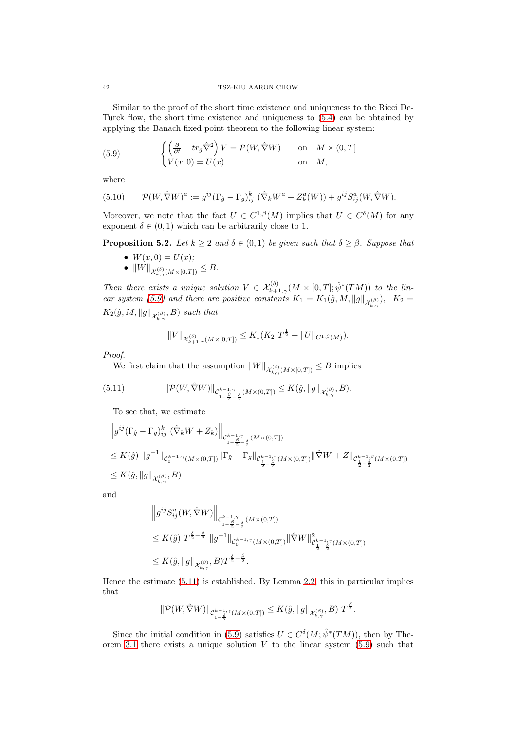Similar to the proof of the short time existence and uniqueness to the Ricci De-Turck flow, the short time existence and uniqueness to [\(5.4\)](#page-38-2) can be obtained by applying the Banach fixed point theorem to the following linear system:

<span id="page-41-0"></span>(5.9) 
$$
\begin{cases} \left(\frac{\partial}{\partial t} - tr_g \hat{\nabla}^2\right) V = \mathcal{P}(W, \hat{\nabla}W) & \text{on} & M \times (0, T] \\ V(x, 0) = U(x) & \text{on} & M, \end{cases}
$$

where

(5.10) 
$$
\mathcal{P}(W,\hat{\nabla}W)^a := g^{ij}(\Gamma_{\hat{g}} - \Gamma_g)_{ij}^k (\hat{\nabla}_k W^a + Z_k^a(W)) + g^{ij} S_{ij}^a(W,\hat{\nabla}W).
$$

Moreover, we note that the fact  $U \in C^{1,\beta}(M)$  implies that  $U \in C^{\delta}(M)$  for any exponent  $\delta \in (0,1)$  which can be arbitrarily close to 1.

<span id="page-41-2"></span>**Proposition 5.2.** Let  $k \geq 2$  and  $\delta \in (0,1)$  be given such that  $\delta \geq \beta$ . Suppose that

- $W(x, 0) = U(x);$
- $\bullet \ \|W\|_{\mathcal{X}_{k,\gamma}^{(\delta)}(M\times [0,T])}\leq B.$

Then there exists a unique solution  $V \in \mathcal{X}_{k+1,\gamma}^{(\delta)}(M \times [0,T]; \hat{\psi}^*(TM))$  to the lin-ear system [\(5.9\)](#page-41-0) and there are positive constants  $K_1 = K_1(\hat{g}, M, ||g||_{\mathcal{X}_{k,\gamma}^{(\beta)}}), K_2 =$  $K_2(\hat{g}, M, \|g\|_{\mathcal{X}_{k,\gamma}^{(\beta)}}, B)$  such that

$$
||V||_{\mathcal{X}_{k+1,\gamma}^{(\delta)}(M\times [0,T])} \leq K_1(K_2 T^{\frac{1}{2}} + ||U||_{C^{1,\beta}(M)}).
$$

Proof.

We first claim that the assumption  $||W||_{\mathcal{X}_{k,\gamma}^{(\delta)}(M\times[0,T])}\leq B$  implies

<span id="page-41-1"></span>(5.11) 
$$
\|\mathcal{P}(W,\hat{\nabla}W)\|_{\mathcal{C}^{k-1,\gamma}_{1-\frac{\beta}{2}-\frac{\delta}{2}}(M\times(0,T])}\leq K(\hat{g},\|g\|_{\mathcal{X}^{(\beta)}_{k,\gamma}},B).
$$

To see that, we estimate

$$
\|g^{ij}(\Gamma_{\hat{g}} - \Gamma_g)_{ij}^k \left. (\hat{\nabla}_k W + Z_k) \right\|_{\mathcal{C}^{k-1,\gamma}_{1-\frac{\beta}{2}-\frac{\delta}{2}}(M \times (0,T])}
$$
  
\n
$$
\leq K(\hat{g}) \|g^{-1}\|_{\mathcal{C}^{k-1,\gamma}_0(M \times (0,T])} \|\Gamma_{\hat{g}} - \Gamma_g\|_{\mathcal{C}^{k-1,\gamma}_{\frac{1}{2}-\frac{\delta}{2}}(M \times (0,T])} \|\hat{\nabla} W + Z\|_{\mathcal{C}^{k-1,\beta}_{\frac{1}{2}-\frac{\delta}{2}}(M \times (0,T])}
$$
  
\n
$$
\leq K(\hat{g}, \|g\|_{\mathcal{X}^{(\beta)}_{k,\gamma}}, B)
$$

and

$$
\|g^{ij}S_{ij}^{a}(W,\hat{\nabla}W)\|_{\mathcal{C}_{1-\frac{\beta}{2}-\frac{\delta}{2}}^{k-1,\gamma}(M\times(0,T])}\n\leq K(\hat{g})\;T^{\frac{\delta}{2}-\frac{\beta}{2}}\|g^{-1}\|_{\mathcal{C}_{0}^{k-1,\gamma}(M\times(0,T])}\|\hat{\nabla}W\|_{\mathcal{C}_{\frac{1}{2}-\frac{\delta}{2}}^{k-1,\gamma}(M\times(0,T])}^{2}
$$
\n
$$
\leq K(\hat{g},\|g\|_{\mathcal{X}_{k,\gamma}^{(\beta)}},B)T^{\frac{\delta}{2}-\frac{\beta}{2}}.
$$

Hence the estimate [\(5.11\)](#page-41-1) is established. By Lemma [2.2,](#page-5-0) this in particular implies that

$$
\|\mathcal{P}(W,\hat{\nabla}W)\|_{\mathcal{C}^{k-1,\gamma}_{1-\frac{\delta}{2}}(M\times(0,T])}\leq K(\hat{g},\|g\|_{\mathcal{X}^{(\beta)}_{k,\gamma}},B)\;T^{\frac{\beta}{2}}.
$$

Since the initial condition in [\(5.9\)](#page-41-0) satisfies  $U \in C^{\delta}(M; \hat{\psi}^*(TM))$ , then by The-orem [3.1](#page-6-2) there exists a unique solution  $V$  to the linear system [\(5.9\)](#page-41-0) such that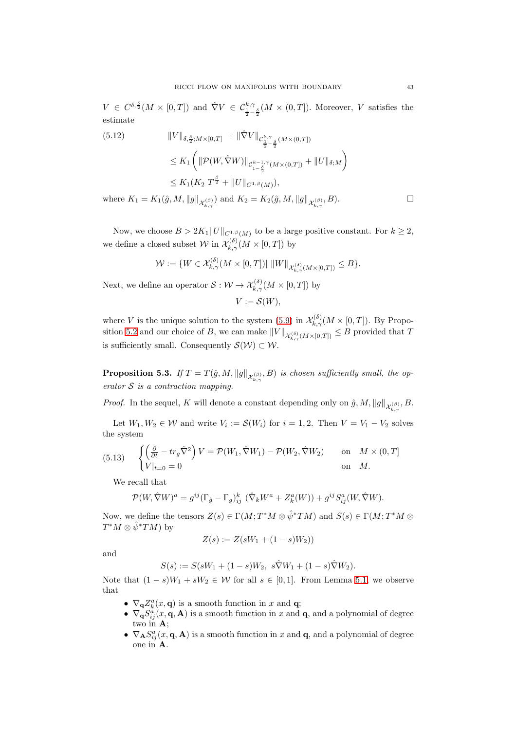$V \in C^{\delta, \frac{\delta}{2}}(M \times [0, T])$  and  $\hat{\nabla} V \in C^{\frac{k}{2}, \gamma}_{\frac{1}{2} - \frac{\delta}{2}}(M \times (0, T])$ . Moreover, V satisfies the estimate

(5.12) 
$$
||V||_{\delta, \frac{\delta}{2}; M \times [0,T]} + ||\hat{\nabla}V||_{\mathcal{C}^{k,\gamma}_{\frac{1}{2} - \frac{\delta}{2}}(M \times (0,T])}
$$
  
\n
$$
\leq K_1 \left( ||\mathcal{P}(W, \hat{\nabla}W)||_{\mathcal{C}^{k-1,\gamma}_{1-\frac{\delta}{2}}(M \times (0,T])} + ||U||_{\delta;M} \right)
$$
  
\n
$$
\leq K_1 (K_2 T^{\frac{\beta}{2}} + ||U||_{C^{1,\beta}(M)}),
$$
  
\nwhere  $K_1 = K_1(\hat{g}, M, ||g||_{\mathcal{X}^{(\beta)}_{k,\gamma}})$  and  $K_2 = K_2(\hat{g}, M, ||g||_{\mathcal{X}^{(\beta)}_{k,\gamma}}, B).$ 

Now, we choose  $B > 2K_1 ||U||_{C^{1,\beta}(M)}$  to be a large positive constant. For  $k \geq 2$ , we define a closed subset  $\mathcal W$  in  $\mathcal X_{k,\gamma}^{(\delta)}(M\times [0,T])$  by

$$
\mathcal{W}:=\{W\in\mathcal{X}_{k,\gamma}^{(\delta)}(M\times[0,T])|\,\left\|W\right\|_{\mathcal{X}_{k,\gamma}^{(\delta)}(M\times[0,T])}\leq B\}.
$$

Next, we define an operator  $S: \mathcal{W} \to \mathcal{X}_{k,\gamma}^{(\delta)}(M \times [0,T])$  by

$$
V:=\mathcal{S}(W),
$$

where V is the unique solution to the system [\(5.9\)](#page-41-0) in  $\mathcal{X}_{k,\gamma}^{(\delta)}(M\times[0,T])$ . By Propo-sition [5.2](#page-41-2) and our choice of B, we can make  $||V||_{\mathcal{X}_{k,\gamma}^{(\delta)}(M\times [0,T])} \leq B$  provided that T is sufficiently small. Consequently  $\mathcal{S}(\mathcal{W}) \subset \mathcal{W}$ .

<span id="page-42-0"></span>**Proposition 5.3.** If  $T = T(\hat{g}, M, ||g||_{\mathcal{X}_{k,\gamma}^{(\beta)}}, B)$  is chosen sufficiently small, the operator  $S$  is a contraction mapping.

*Proof.* In the sequel, K will denote a constant depending only on  $\hat{g}$ , M,  $||g||_{\mathcal{X}_{k,\gamma}^{(\beta)}}$ , B.

Let  $W_1, W_2 \in \mathcal{W}$  and write  $V_i := \mathcal{S}(W_i)$  for  $i = 1, 2$ . Then  $V = V_1 - V_2$  solves the system

(5.13) 
$$
\begin{cases} \left(\frac{\partial}{\partial t} - tr_g \hat{\nabla}^2\right) V = \mathcal{P}(W_1, \hat{\nabla}W_1) - \mathcal{P}(W_2, \hat{\nabla}W_2) & \text{on } M \times (0, T] \\ V|_{t=0} = 0 & \text{on } M. \end{cases}
$$

We recall that

$$
\mathcal{P}(W,\hat{\nabla}W)^a = g^{ij}(\Gamma_{\hat{g}} - \Gamma_g)_{ij}^k \, (\hat{\nabla}_k W^a + Z_k^a(W)) + g^{ij} S_{ij}^a(W,\hat{\nabla}W).
$$

Now, we define the tensors  $Z(s) \in \Gamma(M; T^*M \otimes \hat{\psi}^*TM)$  and  $S(s) \in \Gamma(M; T^*M \otimes \hat{\psi}^*TM)$  $T^*M\otimes \hat{\psi}^*TM$ ) by

$$
Z(s) := Z(sW_1 + (1 - s)W_2))
$$

and

$$
S(s) := S(sW_1 + (1 - s)W_2, \ s\hat{\nabla}W_1 + (1 - s)\hat{\nabla}W_2).
$$

Note that  $(1-s)W_1 + sW_2 \in W$  for all  $s \in [0,1]$ . From Lemma [5.1,](#page-38-3) we observe that

- $\nabla_{\mathbf{q}}Z_k^a(x,\mathbf{q})$  is a smooth function in x and **q**;
- $\nabla_{\mathbf{q}} S_{ij}^a(x, \mathbf{q}, \mathbf{A})$  is a smooth function in x and  $\mathbf{q}$ , and a polynomial of degree two in A;
- $\nabla_{\mathbf{A}} S^a_{ij}(x, \mathbf{q}, \mathbf{A})$  is a smooth function in x and  $\mathbf{q}$ , and a polynomial of degree one in A.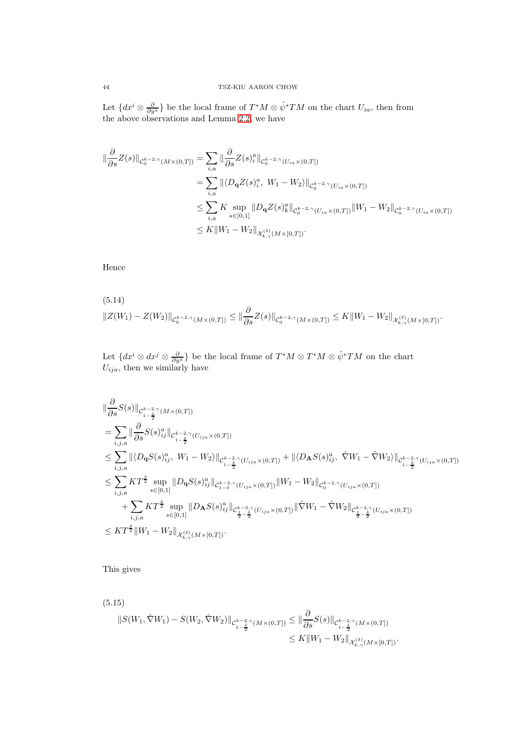Let  $\{dx^i \otimes \frac{\partial}{\partial y^a}\}$  be the local frame of  $T^*M \otimes \hat{\psi}^*TM$  on the chart  $U_{ia}$ , then from the above observations and Lemma [2.2,](#page-5-0) we have

$$
\begin{split} \|\frac{\partial}{\partial s}Z(s)\|_{\mathcal{C}_{0}^{k-2,\gamma}(M\times(0,T])} &= \sum_{i,a}\|\frac{\partial}{\partial s}Z(s)_{i}^{a}\|_{\mathcal{C}_{0}^{k-2,\gamma}(U_{ia}\times(0,T])} \\ &= \sum_{i,a}\|(D_{\mathbf{q}}Z(s)_{i}^{a},W_{1}-W_{2})\|_{\mathcal{C}_{0}^{k-2,\gamma}(U_{ia}\times(0,T])} \\ &\leq \sum_{i,a}K\sup_{s\in[0,1]}\|D_{\mathbf{q}}Z(s)_{k}^{a}\|_{\mathcal{C}_{0}^{k-2,\gamma}(U_{ia}\times(0,T])}\|W_{1}-W_{2}\|_{\mathcal{C}_{0}^{k-2,\gamma}(U_{ia}\times(0,T])} \\ &\leq K\|W_{1}-W_{2}\|_{\mathcal{X}_{k,\gamma}^{(\delta)}(M\times[0,T])}. \end{split}
$$

Hence

<span id="page-43-0"></span>
$$
(5.14) \t\t ||Z(W_1) - Z(W_2)||_{\mathcal{C}_0^{k-2,\gamma}(M \times (0,T])} \le ||\frac{\partial}{\partial s}Z(s)||_{\mathcal{C}_0^{k-2,\gamma}(M \times (0,T])} \le K||W_1 - W_2||_{\mathcal{X}_{k,\gamma}^{(\delta)}(M \times [0,T])}.
$$

Let  $\{dx^i\otimes dx^j\otimes \frac{\partial}{\partial y^a}\}$  be the local frame of  $T^*M\otimes T^*M\otimes \hat{\psi}^*TM$  on the chart  $U_{ija}$ , then we similarly have

$$
\| \frac{\partial}{\partial s} S(s) \|_{C^{k-2,\gamma}_{i-\frac{\delta}{2}}(M \times (0,T])}
$$
\n
$$
= \sum_{i,j,a} \| \frac{\partial}{\partial s} S(s)_{ij}^a \|_{C^{k-2,\gamma}_{i-\frac{\delta}{2}}(U_{ija} \times (0,T])}
$$
\n
$$
\leq \sum_{i,j,a} \| \langle D_{\mathbf{q}} S(s)_{ij}^a, W_1 - W_2 \rangle \|_{C^{k-2,\gamma}_{i-\frac{\delta}{2}}(U_{ija} \times (0,T])} + \| \langle D_{\mathbf{A}} S(s)_{ij}^a, \hat{\nabla} W_1 - \hat{\nabla} W_2 \rangle \|_{C^{k-2,\gamma}_{i-\frac{\delta}{2}}(U_{ija} \times (0,T])}
$$
\n
$$
\leq \sum_{i,j,a} KT^{\frac{\delta}{2}} \sup_{s \in [0,1]} \| D_{\mathbf{q}} S(s)_{ij}^a \|_{C^{k-2,\gamma}_{i-\delta}(U_{ija} \times (0,T])} \| W_1 - W_2 \|_{C^{k-2,\gamma}_{0}(U_{ija} \times (0,T])}
$$
\n
$$
+ \sum_{i,j,a} KT^{\frac{\delta}{2}} \sup_{s \in [0,1]} \| D_{\mathbf{A}} S(s)_{ij}^a \|_{C^{k-2,\gamma}_{i-\frac{\delta}{2}}(U_{ija} \times (0,T])} \| \hat{\nabla} W_1 - \hat{\nabla} W_2 \|_{C^{k-2,\gamma}_{i-\frac{\delta}{2}(\frac{\delta}{2} - \frac{\delta}{2})} (U_{ija} \times (0,T])}
$$
\n
$$
\leq KT^{\frac{\delta}{2}} \| W_1 - W_2 \|_{\mathcal{X}_{k,\gamma}^{(\delta)}(M \times [0,T])}.
$$

This gives

<span id="page-43-1"></span>
$$
(5.15)
$$
\n
$$
||S(W_1, \hat{\nabla}W_1) - S(W_2, \hat{\nabla}W_2)||_{\mathcal{C}_{1-\frac{\delta}{2}}^{k-2,\gamma}(M \times (0,T])} \leq ||\frac{\partial}{\partial s}S(s)||_{\mathcal{C}_{1-\frac{\delta}{2}}^{k-2,\gamma}(M \times (0,T])}
$$
\n
$$
\leq K||W_1 - W_2||_{\mathcal{X}_{k,\gamma}^{(\delta)}(M \times [0,T])}.
$$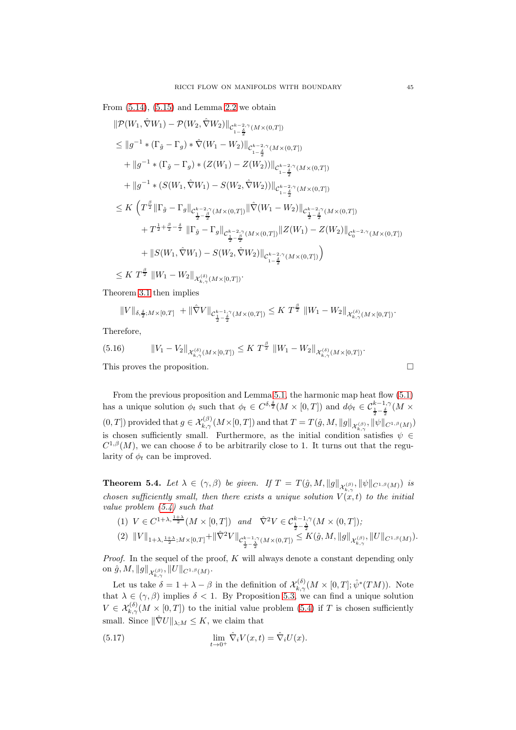From  $(5.14)$ ,  $(5.15)$  and Lemma [2.2](#page-5-0) we obtain

$$
\|\mathcal{P}(W_{1}, \hat{\nabla}W_{1}) - \mathcal{P}(W_{2}, \hat{\nabla}W_{2})\|_{C_{1-\frac{\delta}{2}}^{k-2,\gamma}(M\times(0,T])}
$$
\n
$$
\leq \|g^{-1} * (\Gamma_{\hat{g}} - \Gamma_{g}) * \hat{\nabla}(W_{1} - W_{2})\|_{C_{1-\frac{\delta}{2}}^{k-2,\gamma}(M\times(0,T])}
$$
\n
$$
+ \|g^{-1} * (\Gamma_{\hat{g}} - \Gamma_{g}) * (Z(W_{1}) - Z(W_{2}))\|_{C_{1-\frac{\delta}{2}}^{k-2,\gamma}(M\times(0,T])}
$$
\n
$$
+ \|g^{-1} * (S(W_{1}, \hat{\nabla}W_{1}) - S(W_{2}, \hat{\nabla}W_{2}))\|_{C_{1-\frac{\delta}{2}}^{k-2,\gamma}(M\times(0,T])}
$$
\n
$$
\leq K \left(T^{\frac{\beta}{2}} \|\Gamma_{\hat{g}} - \Gamma_{g}\|_{C_{\frac{1-\beta}{2}}^{k-2,\gamma}(M\times(0,T])} \|\hat{\nabla}(W_{1} - W_{2})\|_{C_{\frac{1}{2}-\frac{\delta}{2}}^{k-2,\gamma}(M\times(0,T])}
$$
\n
$$
+ T^{\frac{1}{2} + \frac{\beta}{2} - \frac{\delta}{2}} \|\Gamma_{\hat{g}} - \Gamma_{g}\|_{C_{\frac{1-\beta}{2}}^{k-2,\gamma}(M\times(0,T])} \|Z(W_{1}) - Z(W_{2})\|_{C_{0}^{k-2,\gamma}(M\times(0,T])}
$$
\n
$$
+ \|S(W_{1}, \hat{\nabla}W_{1}) - S(W_{2}, \hat{\nabla}W_{2})\|_{C_{1-\frac{\delta}{2}}^{k-2,\gamma}(M\times(0,T])}\right)
$$

 $\leq K \ T^{\frac{\beta}{2}} \ \|W_1-W_2\|_{\mathcal{X}_{k,\gamma}^{(\delta)}(M\times [0,T])}.$ 

Theorem [3.1](#page-6-2) then implies

$$
||V||_{\delta, \frac{\delta}{2}; M\times[0,T]} + ||\hat{\nabla}V||_{\mathcal{C}^{k-1,\gamma}_{\frac{1}{2}-\frac{\delta}{2}}(M\times(0,T])} \leq K T^{\frac{\beta}{2}} ||W_1 - W_2||_{\mathcal{X}^{(\delta)}_{k,\gamma}(M\times[0,T])}.
$$

Therefore,

(5.16) 
$$
\|V_1 - V_2\|_{\mathcal{X}_{k,\gamma}^{(\delta)}(M\times [0,T])} \leq K T^{\frac{\beta}{2}} \|W_1 - W_2\|_{\mathcal{X}_{k,\gamma}^{(\delta)}(M\times [0,T])}.
$$
  
This proves the proposition.

From the previous proposition and Lemma [5.1,](#page-38-3) the harmonic map heat flow [\(5.1\)](#page-38-1) has a unique solution  $\phi_t$  such that  $\phi_t \in C^{\delta, \frac{\delta}{2}}(M \times [0,T])$  and  $d\phi_t \in C^{\frac{k-1}{2}, \gamma}_{\frac{1}{2}-\frac{\delta}{2}}(M \times$  $(0,T])$  provided that  $g \in \mathcal{X}_{k,\gamma}^{(\beta)}(M\times[0,T])$  and that  $T=T(\hat{g}, M, \|g\|_{\mathcal{X}_{k,\gamma}^{(\beta)}}, \|\psi\|_{C^{1,\beta}(M)})$ is chosen sufficiently small. Furthermore, as the initial condition satisfies  $\psi \in$  $C^{1,\beta}(M)$ , we can choose  $\delta$  to be arbitrarily close to 1. It turns out that the regularity of  $\phi_t$  can be improved.

<span id="page-44-1"></span>**Theorem 5.4.** Let  $\lambda \in (\gamma, \beta)$  be given. If  $T = T(\hat{g}, M, ||g||_{\mathcal{X}_{k,\gamma}^{(\beta)}}, ||\psi||_{C^{1,\beta}(M)})$  is chosen sufficiently small, then there exists a unique solution  $V(x,t)$  to the initial value problem [\(5.4\)](#page-38-2) such that

$$
(1) \ \ V \in C^{1+\lambda, \frac{1+\lambda}{2}}(M\times[0,T]) \ \ and \ \ \hat{\nabla}^{2}V \in \mathcal{C}_{\frac{1}{2}-\frac{\lambda}{2}}^{k-1,\gamma}(M\times(0,T]);
$$
\n
$$
(2) \ \ \|V\|_{1+\lambda, \frac{1+\lambda}{2};M\times[0,T]} + \|\hat{\nabla}^{2}V\|_{\mathcal{C}_{\frac{1}{2}-\frac{\lambda}{2}}^{k-1,\gamma}(M\times(0,T])} \leq K(\hat{g}, M, \|g\|_{\mathcal{X}_{k,\gamma}^{(\beta)}}, \|U\|_{C^{1,\beta}(M)}).
$$

*Proof.* In the sequel of the proof,  $K$  will always denote a constant depending only  $\text{on }\hat{g}, M, {\| g \|}_{\mathcal{X}^{(\beta)}_{k, \gamma}}, {\| U \|}_{C^{1,\beta}(M)}.$  $k, \gamma$ 

Let us take  $\delta = 1 + \lambda - \beta$  in the definition of  $\mathcal{X}_{k,\gamma}^{(\delta)}(M \times [0,T]; \hat{\psi}^*(TM))$ . Note that  $\lambda \in (\gamma, \beta)$  implies  $\delta < 1$ . By Proposition [5.3,](#page-42-0) we can find a unique solution  $V \in \mathcal{X}_{k,\gamma}^{(\delta)}(M \times [0,T])$  to the initial value problem [\(5.4\)](#page-38-2) if T is chosen sufficiently small. Since  $\|\hat{\nabla}U\|_{\lambda;M} \leq K$ , we claim that

<span id="page-44-0"></span>(5.17) 
$$
\lim_{t \to 0^+} \hat{\nabla}_i V(x, t) = \hat{\nabla}_i U(x).
$$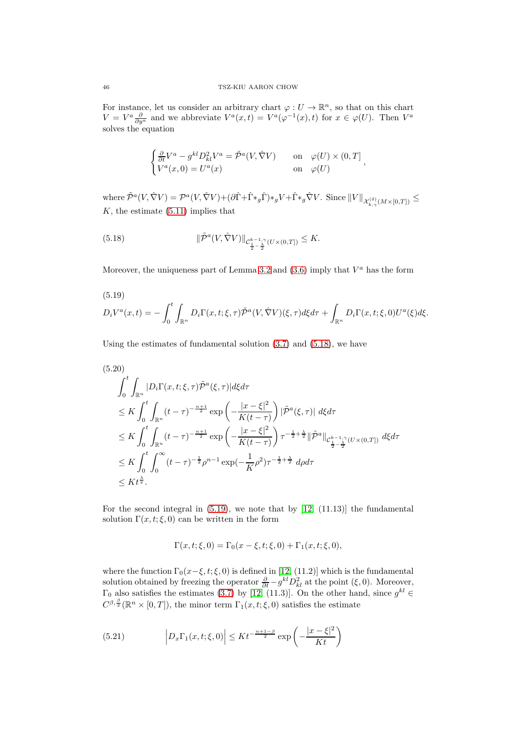For instance, let us consider an arbitrary chart  $\varphi: U \to \mathbb{R}^n$ , so that on this chart  $V = V^a \frac{\partial}{\partial y^a}$  and we abbreviate  $V^a(x,t) = V^a(\varphi^{-1}(x),t)$  for  $x \in \varphi(U)$ . Then  $V^a$ solves the equation

$$
\begin{cases} \frac{\partial}{\partial t} V^a - g^{kl} D_{kl}^2 V^a = \tilde{\mathcal{P}}^a(V, \hat{\nabla} V) & \text{on} \quad \varphi(U) \times (0, T] \\ V^a(x, 0) = U^a(x) & \text{on} \quad \varphi(U) \end{cases},
$$

where  $\tilde{\mathcal{P}}^{a}(V, \hat{\nabla}V) = \mathcal{P}^{a}(V, \hat{\nabla}V) + (\partial \hat{\Gamma} + \hat{\Gamma} *_{g} \hat{\Gamma}) *_{g} V + \hat{\Gamma} *_{g} \hat{\nabla}V$ . Since  $||V||_{\mathcal{X}_{k,\gamma}^{(\delta)}(M \times [0,T])} \le$  $K$ , the estimate  $(5.11)$  implies that

<span id="page-45-0"></span>(5.18) 
$$
\|\tilde{\mathcal{P}}^{a}(V, \hat{\nabla}V)\|_{\mathcal{C}^{k-1,\gamma}_{\frac{1}{2}-\frac{\lambda}{2}}(U\times(0,T])}\leq K.
$$

Moreover, the uniqueness part of Lemma [3.2](#page-7-2) and  $(3.6)$  imply that  $V^a$  has the form

<span id="page-45-1"></span>(5.19)  
\n
$$
D_iV^a(x,t) = -\int_0^t \int_{\mathbb{R}^n} D_i\Gamma(x,t;\xi,\tau)\tilde{\mathcal{P}}^a(V,\hat{\nabla}V)(\xi,\tau)d\xi d\tau + \int_{\mathbb{R}^n} D_i\Gamma(x,t;\xi,0)U^a(\xi)d\xi.
$$

Using the estimates of fundamental solution [\(3.7\)](#page-8-1) and [\(5.18\)](#page-45-0), we have

<span id="page-45-3"></span>
$$
(5.20)
$$
\n
$$
\int_{0}^{t} \int_{\mathbb{R}^{n}} |D_{i}\Gamma(x, t; \xi, \tau) \tilde{\mathcal{P}}^{a}(\xi, \tau)| d\xi d\tau
$$
\n
$$
\leq K \int_{0}^{t} \int_{\mathbb{R}^{n}} (t - \tau)^{-\frac{n+1}{2}} \exp\left(-\frac{|x - \xi|^{2}}{K(t - \tau)}\right) |\tilde{\mathcal{P}}^{a}(\xi, \tau)| d\xi d\tau
$$
\n
$$
\leq K \int_{0}^{t} \int_{\mathbb{R}^{n}} (t - \tau)^{-\frac{n+1}{2}} \exp\left(-\frac{|x - \xi|^{2}}{K(t - \tau)}\right) \tau^{-\frac{1}{2} + \frac{\lambda}{2}} \|\tilde{\mathcal{P}}^{a}\|_{\mathcal{C}_{\frac{1}{2} - \frac{\lambda}{2}}^{k - 1, \gamma}(U \times (0, T])} d\xi d\tau
$$
\n
$$
\leq K \int_{0}^{t} \int_{0}^{\infty} (t - \tau)^{-\frac{1}{2}} \rho^{n-1} \exp(-\frac{1}{K} \rho^{2}) \tau^{-\frac{1}{2} + \frac{\lambda}{2}} d\rho d\tau
$$
\n
$$
\leq K t^{\frac{\lambda}{2}}.
$$

For the second integral in  $(5.19)$ , we note that by  $[12, (11.13)]$  the fundamental solution  $\Gamma(x, t; \xi, 0)$  can be written in the form

$$
\Gamma(x, t; \xi, 0) = \Gamma_0(x - \xi, t; \xi, 0) + \Gamma_1(x, t; \xi, 0),
$$

where the function  $\Gamma_0(x-\xi, t; \xi, 0)$  is defined in [\[12,](#page-54-12) (11.2)] which is the fundamental solution obtained by freezing the operator  $\frac{\partial}{\partial t} - g^{kl} D_{kl}^2$  at the point  $(\xi, 0)$ . Moreover,  $\Gamma_0$  also satisfies the estimates [\(3.7\)](#page-8-1) by [\[12,](#page-54-12) (11.3)]. On the other hand, since  $g^{kl} \in$  $C^{\beta, \frac{\beta}{2}}(\mathbb{R}^n \times [0,T])$ , the minor term  $\Gamma_1(x,t;\xi,0)$  satisfies the estimate

<span id="page-45-2"></span>(5.21) 
$$
\left| D_x \Gamma_1(x, t; \xi, 0) \right| \leq K t^{-\frac{n+1-\beta}{2}} \exp \left( -\frac{|x-\xi|^2}{Kt} \right)
$$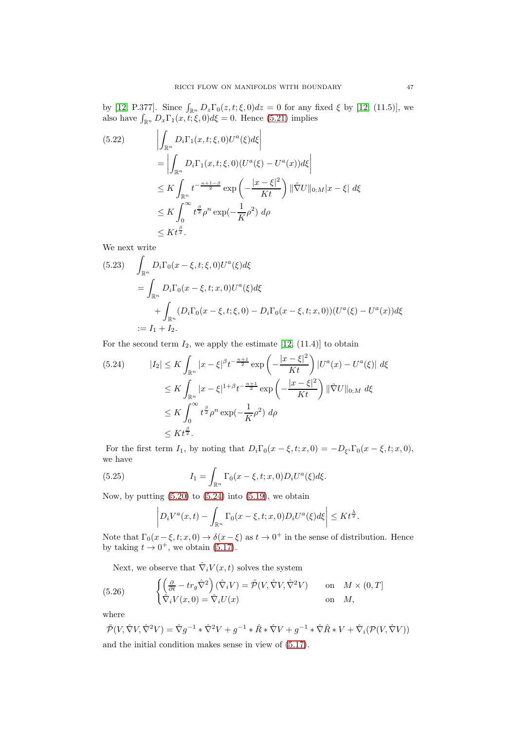by [\[12,](#page-54-12) P.377]. Since  $\int_{\mathbb{R}^n} D_z \Gamma_0(z, t; \xi, 0) dz = 0$  for any fixed  $\xi$  by [12, (11.5)], we also have  $\int_{\mathbb{R}^n} D_x \Gamma_1(x, t; \xi, 0) d\xi = 0$ . Hence [\(5.21\)](#page-45-2) implies

$$
(5.22) \qquad \left| \int_{\mathbb{R}^n} D_i \Gamma_1(x, t; \xi, 0) U^a(\xi) d\xi \right|
$$
  
\n
$$
= \left| \int_{\mathbb{R}^n} D_i \Gamma_1(x, t; \xi, 0) (U^a(\xi) - U^a(x)) d\xi \right|
$$
  
\n
$$
\leq K \int_{\mathbb{R}^n} t^{-\frac{n+1-\beta}{2}} \exp\left(-\frac{|x-\xi|^2}{Kt}\right) \|\hat{\nabla} U\|_{0;M} |x-\xi| d\xi
$$
  
\n
$$
\leq K \int_0^\infty t^{\frac{\beta}{2}} \rho^n \exp(-\frac{1}{K} \rho^2) d\rho
$$
  
\n
$$
\leq K t^{\frac{\beta}{2}}.
$$

We next write

$$
(5.23) \quad \int_{\mathbb{R}^n} D_i \Gamma_0(x - \xi, t; \xi, 0) U^a(\xi) d\xi
$$
  
= 
$$
\int_{\mathbb{R}^n} D_i \Gamma_0(x - \xi, t; x, 0) U^a(\xi) d\xi
$$
  
+ 
$$
\int_{\mathbb{R}^n} (D_i \Gamma_0(x - \xi, t; \xi, 0) - D_i \Gamma_0(x - \xi, t; x, 0)) (U^a(\xi) - U^a(x)) d\xi
$$
  
:=  $I_1 + I_2$ .

For the second term  $I_2$ , we apply the estimate  $[12, (11.4)]$  to obtain

<span id="page-46-0"></span>
$$
(5.24) \t|I_2| \le K \int_{\mathbb{R}^n} |x - \xi|^{\beta} t^{-\frac{n+1}{2}} \exp\left(-\frac{|x - \xi|^2}{Kt}\right) |U^a(x) - U^a(\xi)| d\xi
$$
  
\n
$$
\le K \int_{\mathbb{R}^n} |x - \xi|^{1+\beta} t^{-\frac{n+1}{2}} \exp\left(-\frac{|x - \xi|^2}{Kt}\right) ||\hat{\nabla}U||_{0;M} d\xi
$$
  
\n
$$
\le K \int_0^\infty t^{\frac{\beta}{2}} \rho^n \exp(-\frac{1}{K}\rho^2) d\rho
$$
  
\n
$$
\le K t^{\frac{\beta}{2}}.
$$

For the first term  $I_1$ , by noting that  $D_i\Gamma_0(x-\xi,t;x,0) = -D_{\xi^i}\Gamma_0(x-\xi,t;x,0),$ we have

(5.25) 
$$
I_1 = \int_{\mathbb{R}^n} \Gamma_0(x - \xi, t; x, 0) D_i U^a(\xi) d\xi.
$$

Now, by putting  $(5.20)$  to  $(5.24)$  into  $(5.19)$ , we obtain

$$
\left| D_i V^a(x,t) - \int_{\mathbb{R}^n} \Gamma_0(x-\xi,t;x,0) D_i U^a(\xi) d\xi \right| \leq K t^{\frac{\lambda}{2}}.
$$

Note that  $\Gamma_0(x-\xi, t; x, 0) \to \delta(x-\xi)$  as  $t \to 0^+$  in the sense of distribution. Hence by taking  $t \to 0^+$ , we obtain [\(5.17\)](#page-44-0).

Next, we observe that  $\hat{\nabla}_i V(x, t)$  solves the system

<span id="page-46-1"></span>(5.26) 
$$
\begin{cases} \left(\frac{\partial}{\partial t} - tr_g \hat{\nabla}^2\right)(\hat{\nabla}_i V) = \tilde{\mathcal{P}}(V, \hat{\nabla} V, \hat{\nabla}^2 V) & \text{on} \quad M \times (0, T] \\ \hat{\nabla}_i V(x, 0) = \hat{\nabla}_i U(x) & \text{on} \quad M, \end{cases}
$$

where

$$
\tilde{\mathcal{P}}(V, \hat{\nabla}V, \hat{\nabla}^2 V) = \hat{\nabla}g^{-1} * \hat{\nabla}^2 V + g^{-1} * \hat{R} * \hat{\nabla}V + g^{-1} * \hat{\nabla}\hat{R} * V + \hat{\nabla}_i(\mathcal{P}(V, \hat{\nabla}V))
$$
  
and the initial condition makes sense in view of (5.17).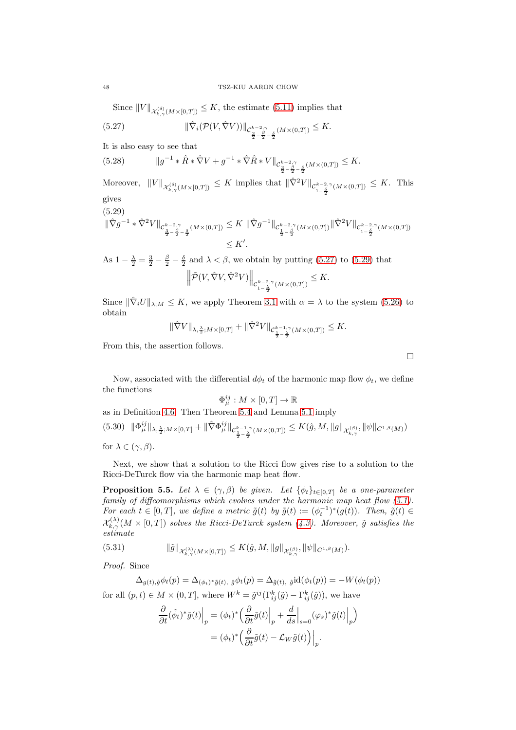Since  $||V||_{\mathcal{X}_{k,\gamma}^{(\delta)}(M\times[0,T])}\leq K$ , the estimate [\(5.11\)](#page-41-1) implies that

<span id="page-47-0"></span>(5.27) 
$$
\|\hat{\nabla}_i(\mathcal{P}(V,\hat{\nabla}V))\|_{\mathcal{C}^{k-2,\gamma}_{\frac{3}{2}-\frac{\beta}{2}-\frac{\delta}{2}}(M\times(0,T])}\leq K.
$$

It is also easy to see that

(5.28)  $||g^{-1} * \hat{R} * \hat{\nabla} V + g^{-1} * \hat{\nabla} \hat{R} * V||_{\mathcal{C}^{k-2,\gamma}_{\frac{3}{2} - \frac{\beta}{2} - \frac{\delta}{2}}(M \times (0,T])} \leq K.$ 

Moreover,  $||V||_{\mathcal{X}_{k,\gamma}^{(\delta)}(M\times[0,T])} \leq K$  implies that  $||\hat{\nabla}^2 V||_{\mathcal{C}_{1-\frac{\delta}{2}}^{k-2,\gamma}(M\times(0,T])} \leq K$ . This gives

<span id="page-47-1"></span>(5.29)

$$
\|\hat{\nabla}g^{-1}\ast\hat{\nabla}^{2}V\|_{\mathcal{C}^{k-2,\gamma}_{\frac{3}{2}-\frac{\beta}{2}-\frac{\delta}{2}}(M\times(0,T])}\leq K\,\|\hat{\nabla}g^{-1}\|_{\mathcal{C}^{k-2,\gamma}_{\frac{1}{2}-\frac{\beta}{2}}(M\times(0,T])}\|\hat{\nabla}^{2}V\|_{\mathcal{C}^{k-2,\gamma}_{1-\frac{\delta}{2}}(M\times(0,T])}\n\leq K'.
$$

As  $1 - \frac{\lambda}{2} = \frac{3}{2} - \frac{\beta}{2} - \frac{\delta}{2}$  and  $\lambda < \beta$ , we obtain by putting [\(5.27\)](#page-47-0) to [\(5.29\)](#page-47-1) that

$$
\left\|\tilde{\mathcal{P}}(V,\hat{\nabla}V,\hat{\nabla}^2V)\right\|_{\mathcal{C}_{1-\frac{\lambda}{2}}^{k-2,\gamma}(M\times(0,T])}\leq K.
$$

Since  $\|\hat{\nabla}_i U\|_{\lambda,M} \leq K$ , we apply Theorem [3.1](#page-6-2) with  $\alpha = \lambda$  to the system [\(5.26\)](#page-46-1) to obtain

$$
\|\hat{\nabla}V\|_{\lambda, \frac{\lambda}{2}; M\times [0,T]} + \|\hat{\nabla}^2 V\|_{\mathcal{C}^{k-1,\gamma}_{\frac{1}{2}-\frac{\lambda}{2}}(M\times (0,T])} \leq K.
$$

From this, the assertion follows.

Now, associated with the differential  $d\phi_t$  of the harmonic map flow  $\phi_t$ , we define the functions

$$
\Phi_\mu^{ij}:M\times[0,T]\to\mathbb{R}
$$

as in Definition [4.6.](#page-31-0) Then Theorem [5.4](#page-44-1) and Lemma [5.1](#page-38-3) imply

 $h(5.30)$   $\|\Phi_{\mu}^{ij}\|_{\lambda, \frac{\lambda}{2}; M\times[0,T]} + \|\hat{\nabla}\Phi_{\mu}^{ij}\|_{\mathcal{C}_{\frac{1}{2}-\frac{\lambda}{2}}^{k-1,\gamma}(M\times(0,T])} \leq K(\hat{g}, M, \|g\|_{\mathcal{X}_{k,\gamma}^{(\beta)}}, \|\psi\|_{C^{1,\beta}(M)})$ for  $\lambda \in (\gamma, \beta)$ .

Next, we show that a solution to the Ricci flow gives rise to a solution to the Ricci-DeTurck flow via the harmonic map heat flow.

<span id="page-47-2"></span>**Proposition 5.5.** Let  $\lambda \in (\gamma, \beta)$  be given. Let  $\{\phi_t\}_{t\in [0,T]}$  be a one-parameter family of diffeomorphisms which evolves under the harmonic map heat flow [\(5.1\)](#page-38-1). For each  $t \in [0,T]$ , we define a metric  $\tilde{g}(t)$  by  $\tilde{g}(t) := (\phi_t^{-1})^*(g(t))$ . Then,  $\tilde{g}(t) \in$  $\mathcal{X}_{k,\gamma}^{(\lambda)}(M\times [0,T])$  solves the Ricci-DeTurck system [\(4.3\)](#page-21-3). Moreover,  $\tilde{g}$  satisfies the estimate

(5.31) 
$$
\|\tilde{g}\|_{\mathcal{X}_{k,\gamma}^{(\lambda)}(M\times [0,T])}\leq K(\hat{g},M, \|g\|_{\mathcal{X}_{k,\gamma}^{(\beta)}}, \|\psi\|_{C^{1,\beta}(M)}).
$$

Proof. Since

 $\Delta_{g(t),\hat{g}}\phi_t(p) = \Delta_{(\phi_t)^*\tilde{g}(t),\ \hat{g}}\phi_t(p) = \Delta_{\tilde{g}(t),\ \hat{g}}\mathrm{id}(\phi_t(p)) = -W(\phi_t(p))$ for all  $(p, t) \in M \times (0, T]$ , where  $W^k = \tilde{g}^{ij}(\Gamma^k_{ij}(\tilde{g}) - \Gamma^k_{ij}(\hat{g}))$ , we have

$$
\frac{\partial}{\partial t}(\tilde{\phi}_t)^*\tilde{g}(t)\Big|_p = (\phi_t)^*\Big(\frac{\partial}{\partial t}\tilde{g}(t)\Big|_p + \frac{d}{ds}\Big|_{s=0} (\varphi_s)^*\tilde{g}(t)\Big|_p\Big) \n= (\phi_t)^*\Big(\frac{\partial}{\partial t}\tilde{g}(t) - \mathcal{L}_W\tilde{g}(t)\Big)\Big|_p.
$$

 $\Box$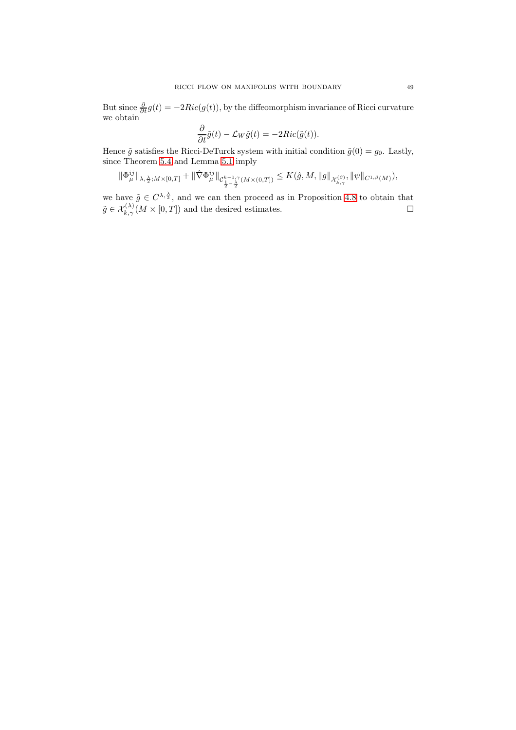But since  $\frac{\partial}{\partial t}g(t) = -2Ric(g(t))$ , by the diffeomorphism invariance of Ricci curvature we obtain

$$
\frac{\partial}{\partial t}\tilde{g}(t) - \mathcal{L}_W \tilde{g}(t) = -2Ric(\tilde{g}(t)).
$$

Hence  $\tilde{g}$  satisfies the Ricci-DeTurck system with initial condition  $\tilde{g}(0) = g_0$ . Lastly, since Theorem [5.4](#page-44-1) and Lemma [5.1](#page-38-3) imply

$$
\|\Phi_\mu^{ij}\|_{\lambda,\frac{\lambda}{2};M\times[0,T]}+\|\hat{\nabla}\Phi_\mu^{ij}\|_{\mathcal{C}^{k-1,\gamma}_{\frac{1}{2}-\frac{\lambda}{2}}(M\times(0,T])}\leq K(\hat{g},M,\|g\|_{\mathcal{X}^{(\beta)}_{k,\gamma}},\|\psi\|_{C^{1,\beta}(M)}),
$$

we have  $\tilde{g} \in C^{\lambda, \frac{\lambda}{2}}$ , and we can then proceed as in Proposition [4.8](#page-35-0) to obtain that  $\tilde{g} \in \mathcal{X}_{k,\gamma}^{(\lambda)}(M \times [0,T])$  and the desired estimates.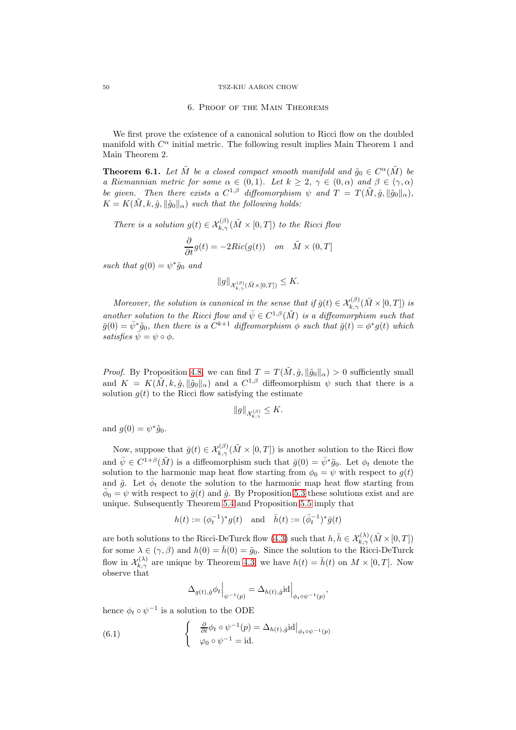#### <span id="page-49-0"></span>50 TSZ-KIU AARON CHOW

#### 6. Proof of the Main Theorems

We first prove the existence of a canonical solution to Ricci flow on the doubled manifold with  $C^{\alpha}$  initial metric. The following result implies Main Theorem 1 and Main Theorem 2.

**Theorem 6.1.** Let  $\tilde{M}$  be a closed compact smooth manifold and  $\tilde{g}_0 \in C^{\alpha}(\tilde{M})$  be a Riemannian metric for some  $\alpha \in (0,1)$ . Let  $k \geq 2$ ,  $\gamma \in (0,\alpha)$  and  $\beta \in (\gamma,\alpha)$ be given. Then there exists a  $C^{1,\beta}$  diffeomorphism  $\psi$  and  $T = T(\tilde{M}, \hat{g}, ||\tilde{g}_0||_{\alpha}),$  $K = K(\tilde{M}, k, \hat{g}, \|\tilde{g}_0\|_{\alpha})$  such that the following holds:

There is a solution  $g(t) \in \mathcal{X}_{k,\gamma}^{(\beta)}(\tilde{M} \times [0,T])$  to the Ricci flow

$$
\frac{\partial}{\partial t}g(t) = -2Ric(g(t)) \quad on \quad \tilde{M} \times (0,T]
$$

such that  $g(0) = \psi^* \tilde{g}_0$  and

$$
||g||_{\mathcal{X}_{k,\gamma}^{(\beta)}(\tilde{M}\times[0,T])}\leq K.
$$

Moreover, the solution is canonical in the sense that if  $\bar{g}(t) \in \mathcal{X}_{k,\gamma}^{(\beta)}(\tilde{M} \times [0,T])$  is another solution to the Ricci flow and  $\bar{\psi} \in C^{1,\beta}(\tilde{M})$  is a diffeomorphism such that  $\bar{g}(0) = \bar{\psi}^* \tilde{g}_0$ , then there is a  $C^{k+1}$  diffeomorphism  $\phi$  such that  $\bar{g}(t) = \phi^* g(t)$  which satisfies  $\bar{\psi} = \psi \circ \phi$ .

*Proof.* By Proposition [4.8,](#page-35-0) we can find  $T = T(\tilde{M}, \hat{g}, ||\tilde{g}_0||_{\alpha}) > 0$  sufficiently small and  $K = K(\tilde{M}, k, \hat{g}, ||\tilde{g}_0||_{\alpha})$  and a  $C^{1,\beta}$  diffeomorphism  $\psi$  such that there is a solution  $g(t)$  to the Ricci flow satisfying the estimate

$$
\|g\|_{\mathcal{X}_{k,\gamma}^{(\beta)}} \leq K.
$$

and  $g(0) = \psi^* \tilde{g}_0$ .

Now, suppose that  $\bar{g}(t) \in \mathcal{X}_{k,\gamma}^{(\beta)}(\tilde{M} \times [0,T])$  is another solution to the Ricci flow and  $\bar{\psi} \in C^{1+\beta}(\tilde{M})$  is a diffeomorphism such that  $\bar{g}(0) = \bar{\psi}^*\tilde{g}_0$ . Let  $\phi_t$  denote the solution to the harmonic map heat flow starting from  $\phi_0 = \psi$  with respect to  $g(t)$ and  $\hat{g}$ . Let  $\bar{\phi}_t$  denote the solution to the harmonic map heat flow starting from  $\bar{\phi}_0 = \psi$  with respect to  $\bar{g}(t)$  and  $\hat{g}$ . By Proposition [5.3](#page-42-0) these solutions exist and are unique. Subsequently Theorem [5.4](#page-44-1) and Proposition [5.5](#page-47-2) imply that

$$
h(t):=(\phi_t^{-1})^*g(t) \quad \text{and} \quad \bar{h}(t):=(\bar{\phi}_t^{-1})^*\bar{g}(t)
$$

are both solutions to the Ricci-DeTurck flow [\(4.3\)](#page-21-3) such that  $h, \bar{h} \in \mathcal{X}_{k,\gamma}^{(\lambda)}(\tilde{M} \times [0,T])$ for some  $\lambda \in (\gamma, \beta)$  and  $h(0) = \bar{h}(0) = \tilde{g}_0$ . Since the solution to the Ricci-DeTurck flow in  $\mathcal{X}_{k,\gamma}^{(\lambda)}$  are unique by Theorem [4.3,](#page-26-2) we have  $h(t) = \bar{h}(t)$  on  $M \times [0,T]$ . Now observe that

$$
\Delta_{g(t),\hat{g}}\phi_t\Big|_{\psi^{-1}(p)} = \Delta_{h(t),\hat{g}}\mathrm{id}\Big|_{\phi_t\circ\psi^{-1}(p)},
$$

hence  $\phi_t \circ \psi^{-1}$  is a solution to the ODE

(6.1) 
$$
\begin{cases} \frac{\partial}{\partial t} \phi_t \circ \psi^{-1}(p) = \Delta_{h(t),\hat{g}} \mathrm{id} \big|_{\phi_t \circ \psi^{-1}(p)} \\ \varphi_0 \circ \psi^{-1} = \mathrm{id}. \end{cases}
$$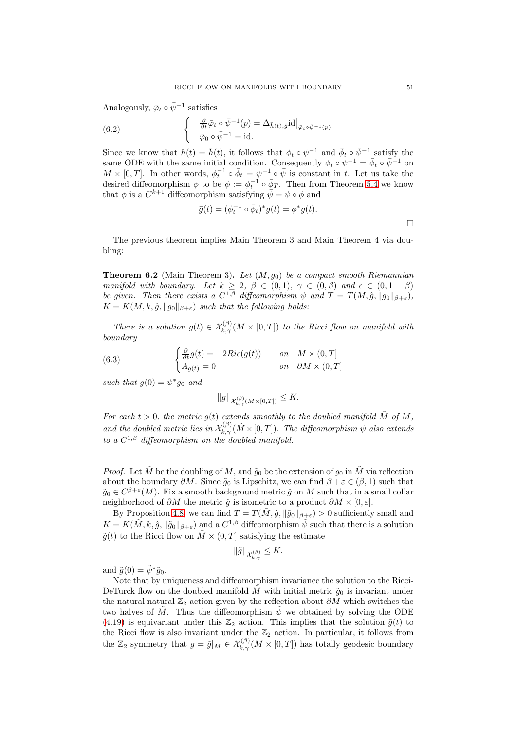Analogously,  $\bar{\varphi}_t \circ \bar{\psi}^{-1}$  satisfies

(6.2) 
$$
\begin{cases} \frac{\partial}{\partial t} \bar{\varphi}_t \circ \bar{\psi}^{-1}(p) = \Delta_{\bar{h}(t), \hat{g}} \mathrm{id} \big|_{\bar{\varphi}_t \circ \bar{\psi}^{-1}(p)} \\ \bar{\varphi}_0 \circ \bar{\psi}^{-1} = \mathrm{id}. \end{cases}
$$

Since we know that  $h(t) = \bar{h}(t)$ , it follows that  $\phi_t \circ \psi^{-1}$  and  $\bar{\phi}_t \circ \bar{\psi}^{-1}$  satisfy the same ODE with the same initial condition. Consequently  $\phi_t \circ \psi^{-1} = \bar{\phi}_t \circ \bar{\psi}^{-1}$  on  $M \times [0,T]$ . In other words,  $\phi_t^{-1} \circ \bar{\phi}_t = \psi^{-1} \circ \bar{\psi}$  is constant in t. Let us take the desired diffeomorphism  $\phi$  to be  $\phi := \phi_t^{-1} \circ \bar{\phi}_T$ . Then from Theorem [5.4](#page-44-1) we know that  $\phi$  is a  $C^{k+1}$  diffeomorphism satisfying  $\bar{\psi} = \psi \circ \phi$  and

$$
\bar{g}(t) = (\phi_t^{-1} \circ \bar{\phi}_t)^* g(t) = \phi^* g(t).
$$

The previous theorem implies Main Theorem 3 and Main Theorem 4 via doubling:

**Theorem 6.2** (Main Theorem 3). Let  $(M, g_0)$  be a compact smooth Riemannian manifold with boundary. Let  $k \geq 2$ ,  $\beta \in (0,1)$ ,  $\gamma \in (0,\beta)$  and  $\epsilon \in (0,1-\beta)$ be given. Then there exists a  $C^{1,\beta}$  diffeomorphism  $\psi$  and  $T = T(M, \hat{g}, ||g_0||_{\beta+\varepsilon}),$  $K = K(M, k, \hat{g}, \|g_0\|_{\beta+\varepsilon})$  such that the following holds:

There is a solution  $g(t) \in \mathcal{X}_{k,\gamma}^{(\beta)}(M \times [0,T])$  to the Ricci flow on manifold with boundary

<span id="page-50-0"></span>(6.3) 
$$
\begin{cases} \frac{\partial}{\partial t}g(t) = -2Ric(g(t)) & \text{on} \quad M \times (0,T] \\ A_{g(t)} = 0 & \text{on} \quad \partial M \times (0,T] \end{cases}
$$

such that  $g(0) = \psi^* g_0$  and

$$
||g||_{\mathcal{X}_{k,\gamma}^{(\beta)}(M\times [0,T])}\leq K.
$$

For each  $t > 0$ , the metric  $g(t)$  extends smoothly to the doubled manifold  $\tilde{M}$  of  $M$ , and the doubled metric lies in  $\mathcal{X}_{k,\gamma}^{(\beta)}(\tilde{M}\times[0,T])$ . The diffeomorphism  $\psi$  also extends to a  $C^{1,\beta}$  diffeomorphism on the doubled manifold.

*Proof.* Let  $\tilde{M}$  be the doubling of M, and  $\tilde{q}_0$  be the extension of  $q_0$  in  $\tilde{M}$  via reflection about the boundary  $\partial M$ . Since  $\tilde{g}_0$  is Lipschitz, we can find  $\beta + \varepsilon \in (\beta, 1)$  such that  $\tilde{g}_0 \in C^{\beta+\varepsilon}(M)$ . Fix a smooth background metric  $\hat{g}$  on M such that in a small collar neighborhood of  $\partial M$  the metric  $\hat{g}$  is isometric to a product  $\partial M \times [0, \varepsilon]$ .

By Proposition [4.8,](#page-35-0) we can find  $T = T(M, \hat{g}, ||\tilde{g}_0||_{\beta+\varepsilon}) > 0$  sufficiently small and  $K = K(\tilde{M}, k, \hat{g}, ||\tilde{g}_0||_{\beta+\varepsilon})$  and a  $C^{1,\beta}$  diffeomorphism  $\tilde{\psi}$  such that there is a solution  $\tilde{g}(t)$  to the Ricci flow on  $\tilde{M} \times (0,T]$  satisfying the estimate

$$
\|\tilde{g}\|_{\mathcal{X}_{k,\gamma}^{(\beta)}} \leq K.
$$

and  $\tilde{g}(0) = \tilde{\psi}^* \tilde{g}_0$ .

Note that by uniqueness and diffeomorphism invariance the solution to the Ricci-DeTurck flow on the doubled manifold  $\tilde{M}$  with initial metric  $\tilde{g}_0$  is invariant under the natural natural  $\mathbb{Z}_2$  action given by the reflection about  $\partial M$  which switches the two halves of M. Thus the diffeomorphism  $\psi$  we obtained by solving the ODE [\(4.19\)](#page-26-0) is equivariant under this  $\mathbb{Z}_2$  action. This implies that the solution  $\tilde{g}(t)$  to the Ricci flow is also invariant under the  $\mathbb{Z}_2$  action. In particular, it follows from the  $\mathbb{Z}_2$  symmetry that  $g = \tilde{g}|_M \in \mathcal{X}_{k,\gamma}^{(\beta)}(M \times [0,T])$  has totally geodesic boundary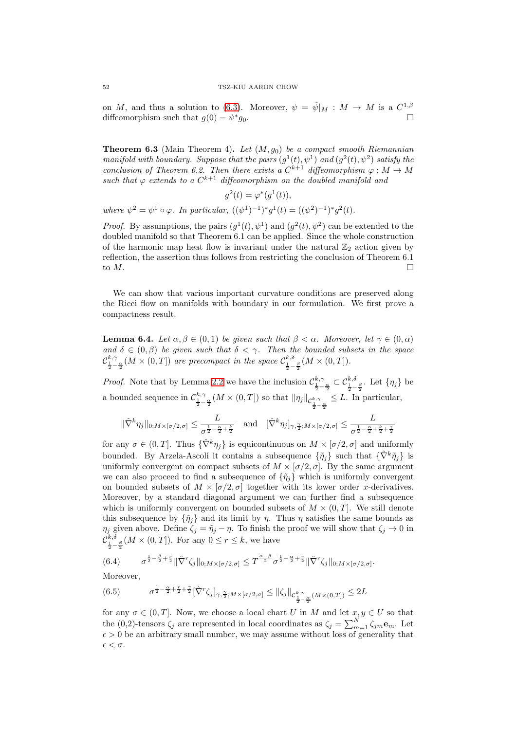on M, and thus a solution to [\(6.3\)](#page-50-0). Moreover,  $\psi = \tilde{\psi}|_M : M \to M$  is a  $C^{1,\beta}$ diffeomorphism such that  $g(0) = \psi^*$  $g_0$ .

**Theorem 6.3** (Main Theorem 4). Let  $(M, g_0)$  be a compact smooth Riemannian manifold with boundary. Suppose that the pairs  $(g^1(t), \psi^1)$  and  $(g^2(t), \psi^2)$  satisfy the conclusion of Theorem 6.2. Then there exists a  $C^{k+1}$  diffeomorphism  $\varphi : M \to M$ such that  $\varphi$  extends to a  $C^{k+1}$  diffeomorphism on the doubled manifold and

 $g^2(t) = \varphi^*(g^1(t)),$ where  $\psi^2 = \psi^1 \circ \varphi$ . In particular,  $((\psi^1)^{-1})^* g^1(t) = ((\psi^2)^{-1})^* g^2(t)$ .

*Proof.* By assumptions, the pairs  $(g^1(t), \psi^1)$  and  $(g^2(t), \psi^2)$  can be extended to the doubled manifold so that Theorem 6.1 can be applied. Since the whole construction of the harmonic map heat flow is invariant under the natural  $\mathbb{Z}_2$  action given by reflection, the assertion thus follows from restricting the conclusion of Theorem 6.1 to  $M$ .

We can show that various important curvature conditions are preserved along the Ricci flow on manifolds with boundary in our formulation. We first prove a compactness result.

<span id="page-51-2"></span>**Lemma 6.4.** Let  $\alpha, \beta \in (0,1)$  be given such that  $\beta < \alpha$ . Moreover, let  $\gamma \in (0,\alpha)$ and  $\delta \in (0, \beta)$  be given such that  $\delta < \gamma$ . Then the bounded subsets in the space  $\mathcal{C}_{\frac{1}{2}-\frac{\alpha}{2}}^{k,\gamma}(M\times(0,T])$  are precompact in the space  $\mathcal{C}_{\frac{1}{2}-\frac{\beta}{2}}^{k,\delta}(M\times(0,T]).$ 

*Proof.* Note that by Lemma [2.2](#page-5-0) we have the inclusion  $\mathcal{C}^{k,\gamma}_{\frac{1}{2}-\frac{\alpha}{2}} \subset \mathcal{C}^{k,\delta}_{\frac{1}{2}-\frac{\beta}{2}}$ . Let  $\{\eta_j\}$  be a bounded sequence in  $\mathcal{C}_{\frac{1}{2}-\frac{\alpha}{2}}^{k,\gamma}(M\times(0,T])$  so that  $\|\eta_j\|_{\mathcal{C}_{\frac{1}{2}-\frac{\alpha}{2}}^{k,\gamma}} \leq L$ . In particular,

$$
\|\hat{\nabla}^k \eta_j\|_{0;M\times[\sigma/2,\sigma]} \leq \frac{L}{\sigma^{\frac{1}{2}-\frac{\alpha}{2}+\frac{k}{2}}} \quad \text{and} \quad [\hat{\nabla}^k \eta_j]_{\gamma,\frac{\gamma}{2};M\times[\sigma/2,\sigma]} \leq \frac{L}{\sigma^{\frac{1}{2}-\frac{\alpha}{2}+\frac{k}{2}+\frac{\gamma}{2}}}
$$

for any  $\sigma \in (0, T]$ . Thus  $\{\hat{\nabla}^k \eta_i\}$  is equicontinuous on  $M \times [\sigma/2, \sigma]$  and uniformly bounded. By Arzela-Ascoli it contains a subsequence  $\{\tilde{\eta}_i\}$  such that  $\{\hat{\nabla}^k \tilde{\eta}_i\}$  is uniformly convergent on compact subsets of  $M \times [\sigma/2, \sigma]$ . By the same argument we can also proceed to find a subsequence of  $\{\tilde{\eta}_j\}$  which is uniformly convergent on bounded subsets of  $M \times [\sigma/2, \sigma]$  together with its lower order x-derivatives. Moreover, by a standard diagonal argument we can further find a subsequence which is uniformly convergent on bounded subsets of  $M \times (0,T]$ . We still denote this subsequence by  $\{\tilde{\eta}_i\}$  and its limit by  $\eta$ . Thus  $\eta$  satisfies the same bounds as  $\eta_j$  given above. Define  $\zeta_j = \tilde{\eta}_j - \eta$ . To finish the proof we will show that  $\zeta_j \to 0$  in  $\mathcal{C}^{k,\delta}_{\frac{1}{2}-\frac{\beta}{2}}(M\times(0,T])$ . For any  $0\leq r\leq k$ , we have

<span id="page-51-1"></span>
$$
(6.4) \qquad \sigma^{\frac{1}{2}-\frac{\beta}{2}+\frac{r}{2}} \|\hat{\nabla}^r \zeta_j\|_{0;M\times[\sigma/2,\sigma]} \leq T^{\frac{\alpha-\beta}{2}} \sigma^{\frac{1}{2}-\frac{\alpha}{2}+\frac{r}{2}} \|\hat{\nabla}^r \zeta_j\|_{0;M\times[\sigma/2,\sigma]}.
$$

Moreover,

<span id="page-51-0"></span>
$$
(6.5) \qquad \sigma^{\frac{1}{2}-\frac{\alpha}{2}+\frac{r}{2}+\frac{\gamma}{2}}[\hat{\nabla}^r \zeta_j]_{\gamma,\frac{\gamma}{2};M \times [\sigma/2,\sigma]} \leq \|\zeta_j\|_{\mathcal{C}^{k,\gamma}_{\frac{1}{2}-\frac{\alpha}{2}}(M \times (0,T])} \leq 2L
$$

for any  $\sigma \in (0, T]$ . Now, we choose a local chart U in M and let  $x, y \in U$  so that the (0,2)-tensors  $\zeta_j$  are represented in local coordinates as  $\zeta_j = \sum_{m=1}^{N} \zeta_{jm} \mathbf{e}_m$ . Let  $\epsilon > 0$  be an arbitrary small number, we may assume without loss of generality that  $\epsilon < \sigma$ .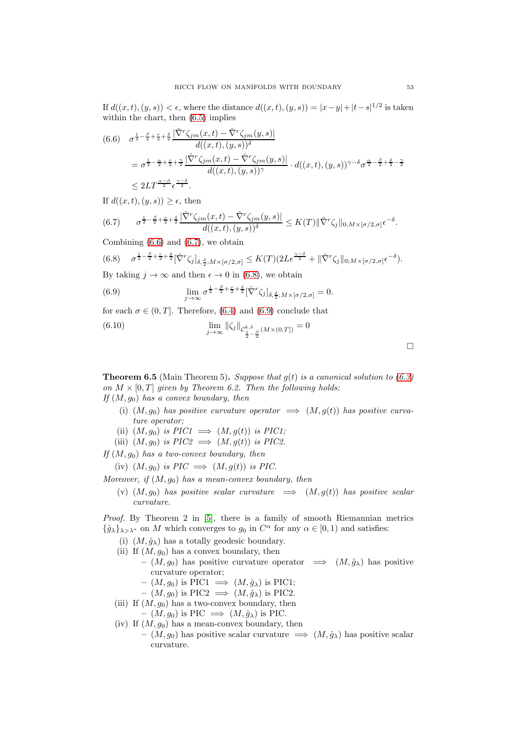If  $d((x, t), (y, s)) < \epsilon$ , where the distance  $d((x, t), (y, s)) = |x - y| + |t - s|^{1/2}$  is taken within the chart, then [\(6.5\)](#page-51-0) implies

<span id="page-52-0"></span>
$$
(6.6) \quad \sigma^{\frac{1}{2}-\frac{\beta}{2}+\frac{r}{2}+\frac{\delta}{2}} \frac{|\hat{\nabla}^r \zeta_{jm}(x,t) - \hat{\nabla}^r \zeta_{jm}(y,s)|}{d((x,t),(y,s))^\delta}
$$
  
\n
$$
= \sigma^{\frac{1}{2}-\frac{\alpha}{2}+\frac{r}{2}+\frac{\gamma}{2}} \frac{|\hat{\nabla}^r \zeta_{jm}(x,t) - \hat{\nabla}^r \zeta_{jm}(y,s)|}{d((x,t),(y,s))^\gamma} \cdot d((x,t),(y,s))^{\gamma-\delta} \sigma^{\frac{\alpha}{2}-\frac{\beta}{2}+\frac{\delta}{2}-\frac{\gamma}{2}}
$$
  
\n
$$
\leq 2LT^{\frac{\alpha-\beta}{2}} \epsilon^{\frac{\gamma-\delta}{2}}.
$$

If  $d((x, t), (y, s)) \geq \epsilon$ , then

<span id="page-52-1"></span>
$$
(6.7) \qquad \sigma^{\frac{1}{2}-\frac{\beta}{2}+\frac{r}{2}+\frac{\delta}{2}}\frac{|\hat{\nabla}^r\zeta_{jm}(x,t)-\hat{\nabla}^r\zeta_{jm}(y,s)|}{d((x,t),(y,s))^\delta}\leq K(T)\|\hat{\nabla}^r\zeta_j\|_{0;M\times[\sigma/2,\sigma]}\epsilon^{-\delta}.
$$

Combining  $(6.6)$  and  $(6.7)$ , we obtain

<span id="page-52-2"></span>
$$
(6.8) \quad \sigma^{\frac{1}{2}-\frac{\beta}{2}+\frac{r}{2}+\frac{\delta}{2}}[\hat{\nabla}^r\zeta_j]_{\delta,\frac{\delta}{2};M\times[\sigma/2,\sigma]}\leq K(T)(2L\epsilon^{\frac{\gamma-\delta}{2}}+\|\hat{\nabla}^r\zeta_j\|_{0;M\times[\sigma/2,\sigma]}\epsilon^{-\delta}).
$$

By taking  $j \to \infty$  and then  $\epsilon \to 0$  in [\(6.8\)](#page-52-2), we obtain

<span id="page-52-3"></span>(6.9) 
$$
\lim_{j \to \infty} \sigma^{\frac{1}{2} - \frac{\beta}{2} + \frac{r}{2} + \frac{\delta}{2}} [\hat{\nabla}^r \zeta_j]_{\delta, \frac{\delta}{2}; M \times [\sigma/2, \sigma]} = 0.
$$

for each  $\sigma \in (0, T]$ . Therefore, [\(6.4\)](#page-51-1) and [\(6.9\)](#page-52-3) conclude that

(6.10) 
$$
\lim_{j \to \infty} \|\zeta_j\|_{C^{k,\delta}_{\frac{1}{2} - \frac{\beta}{2}}(M \times (0,T])} = 0
$$

**Theorem 6.5** (Main Theorem 5). Suppose that  $g(t)$  is a canonical solution to [\(6.3\)](#page-50-0) on  $M \times [0, T]$  given by Theorem 6.2. Then the following holds: If  $(M, g_0)$  has a convex boundary, then

- (i)  $(M, g_0)$  has positive curvature operator  $\implies (M, g(t))$  has positive curvature operator;
- (ii)  $(M, g_0)$  is  $PIC1 \implies (M, g(t))$  is  $PIC1;$
- (iii)  $(M, g_0)$  is  $PIC2 \implies (M, g(t))$  is PIC2.

If  $(M, g_0)$  has a two-convex boundary, then

(iv)  $(M, q_0)$  is  $PIC \implies (M, q(t))$  is PIC.

Moreover, if  $(M, q_0)$  has a mean-convex boundary, then

(v)  $(M, g_0)$  has positive scalar curvature  $\implies$   $(M, g(t))$  has positive scalar curvature.

Proof. By Theorem 2 in [\[5\]](#page-54-11), there is a family of smooth Riemannian metrics  $\{\hat{g}_{\lambda}\}_{\lambda>\lambda^*}$  on M which converges to  $g_0$  in  $C^{\alpha}$  for any  $\alpha \in [0,1)$  and satisfies:

- (i)  $(M, \hat{g}_{\lambda})$  has a totally geodesic boundary.
- (ii) If  $(M, g_0)$  has a convex boundary, then
	- $(M, g_0)$  has positive curvature operator  $\implies (M, \hat{g}_{\lambda})$  has positive curvature operator;
	- $(M, g_0)$  is PIC1  $\implies (M, \hat{g}_{\lambda})$  is PIC1;
	- $(M, q_0)$  is PIC2  $\implies (M, \hat{q}_{\lambda})$  is PIC2.
- (iii) If  $(M, q_0)$  has a two-convex boundary, then
	- $(M, g_0)$  is PIC  $\implies (M, \hat{g}_{\lambda})$  is PIC.
- (iv) If  $(M, g_0)$  has a mean-convex boundary, then –  $(M, g_0)$  has positive scalar curvature  $\implies (M, \hat{g}_{\lambda})$  has positive scalar curvature.

 $\Box$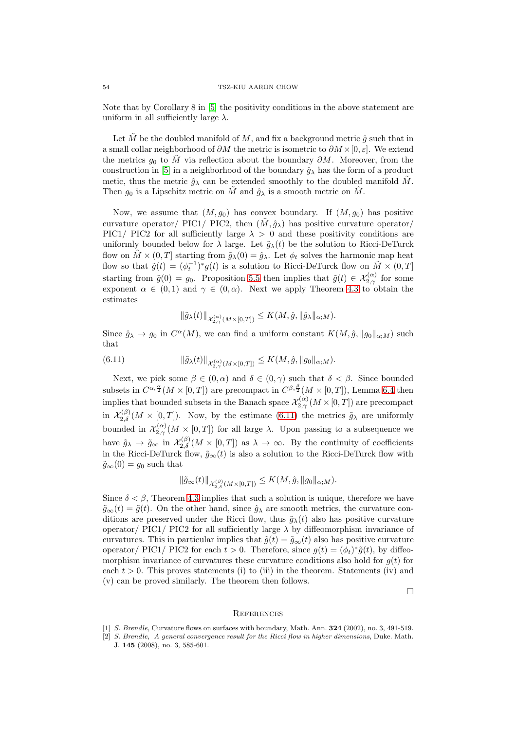Note that by Corollary 8 in [\[5\]](#page-54-11) the positivity conditions in the above statement are uniform in all sufficiently large  $\lambda$ .

Let  $\tilde{M}$  be the doubled manifold of M, and fix a background metric  $\hat{g}$  such that in a small collar neighborhood of  $\partial M$  the metric is isometric to  $\partial M \times [0, \varepsilon]$ . We extend the metrics  $q_0$  to  $\tilde{M}$  via reflection about the boundary  $\partial M$ . Moreover, from the construction in [\[5\]](#page-54-11) in a neighborhood of the boundary  $\hat{g}_{\lambda}$  has the form of a product metic, thus the metric  $\hat{g}_{\lambda}$  can be extended smoothly to the doubled manifold  $\tilde{M}$ . Then  $g_0$  is a Lipschitz metric on M and  $\hat{g}_{\lambda}$  is a smooth metric on M.

Now, we assume that  $(M, g_0)$  has convex boundary. If  $(M, g_0)$  has positive curvature operator/ PIC1/ PIC2, then  $(\tilde{M}, \hat{g}_{\lambda})$  has positive curvature operator/ PIC1/ PIC2 for all sufficiently large  $\lambda > 0$  and these positivity conditions are uniformly bounded below for  $\lambda$  large. Let  $\tilde{g}_{\lambda}(t)$  be the solution to Ricci-DeTurck flow on  $M \times (0, T]$  starting from  $\tilde{g}_{\lambda}(0) = \hat{g}_{\lambda}$ . Let  $\phi_t$  solves the harmonic map heat flow so that  $\tilde{g}(t) = (\phi_t^{-1})^* g(t)$  is a solution to Ricci-DeTurck flow on  $\tilde{M} \times (0,T]$ starting from  $\tilde{g}(0) = g_0$ . Proposition [5.5](#page-47-2) then implies that  $\tilde{g}(t) \in \mathcal{X}_{2,\gamma}^{(\alpha)}$  for some exponent  $\alpha \in (0,1)$  and  $\gamma \in (0,\alpha)$ . Next we apply Theorem [4.3](#page-26-2) to obtain the estimates

$$
\|\tilde{g}_{\lambda}(t)\|_{\mathcal{X}_{2,\gamma}^{(\alpha)}(M\times [0,T])}\leq K(M,\hat{g},\|\hat{g}_{\lambda}\|_{\alpha;M}).
$$

Since  $\hat{g}_{\lambda} \to g_0$  in  $C^{\alpha}(M)$ , we can find a uniform constant  $K(M, \hat{g}, \|g_0\|_{\alpha;M})$  such that

<span id="page-53-3"></span>(6.11) 
$$
\|\tilde{g}_{\lambda}(t)\|_{\mathcal{X}_{2,\gamma}^{(\alpha)}(M\times [0,T])}\leq K(M,\hat{g},\|g_0\|_{\alpha;M}).
$$

Next, we pick some  $\beta \in (0, \alpha)$  and  $\delta \in (0, \gamma)$  such that  $\delta < \beta$ . Since bounded subsets in  $C^{\alpha, \frac{\alpha}{2}}(M \times [0, T])$  are precompact in  $C^{\beta, \frac{\beta}{2}}(M \times [0, T])$ , Lemma [6.4](#page-51-2) then implies that bounded subsets in the Banach space  $\mathcal{X}_{2,\gamma}^{(\alpha)}(M\times [0,T])$  are precompact in  $\mathcal{X}_{2,\delta}^{(\beta)}(M\times[0,T])$ . Now, by the estimate [\(6.11\)](#page-53-3) the metrics  $\tilde{g}_{\lambda}$  are uniformly bounded in  $\mathcal{X}_{2,\gamma}^{(\alpha)}(M\times[0,T])$  for all large  $\lambda$ . Upon passing to a subsequence we have  $\tilde{g}_{\lambda} \to \tilde{g}_{\infty}$  in  $\mathcal{X}_{2,\delta}^{(\beta)}(M \times [0,T])$  as  $\lambda \to \infty$ . By the continuity of coefficients in the Ricci-DeTurck flow,  $\tilde{g}_{\infty}(t)$  is also a solution to the Ricci-DeTurck flow with  $\tilde{q}_{\infty}(0) = q_0$  such that

$$
\|\tilde{g}_{\infty}(t)\|_{\mathcal{X}^{(\beta)}_{2,\delta}(M\times [0,T])}\leq K(M,\hat{g},\|g_0\|_{\alpha;M}).
$$

Since  $\delta < \beta$ , Theorem [4.3](#page-26-2) implies that such a solution is unique, therefore we have  $\tilde{g}_{\infty}(t) = \tilde{g}(t)$ . On the other hand, since  $\hat{g}_{\lambda}$  are smooth metrics, the curvature conditions are preserved under the Ricci flow, thus  $\tilde{g}_{\lambda}(t)$  also has positive curvature operator/ PIC1/ PIC2 for all sufficiently large  $\lambda$  by diffeomorphism invariance of curvatures. This in particular implies that  $\tilde{g}(t) = \tilde{g}_{\infty}(t)$  also has positive curvature operator/ PIC1/ PIC2 for each  $t > 0$ . Therefore, since  $g(t) = (\phi_t)^* \tilde{g}(t)$ , by diffeomorphism invariance of curvatures these curvature conditions also hold for  $q(t)$  for each  $t > 0$ . This proves statements (i) to (iii) in the theorem. Statements (iv) and (v) can be proved similarly. The theorem then follows.

 $\Box$ 

#### <span id="page-53-0"></span>**REFERENCES**

- <span id="page-53-2"></span><span id="page-53-1"></span>[1] S. Brendle, Curvature flows on surfaces with boundary, Math. Ann. 324 (2002), no. 3, 491-519.
- [2] S. Brendle, A general convergence result for the Ricci flow in higher dimensions, Duke. Math. J. 145 (2008), no. 3, 585-601.